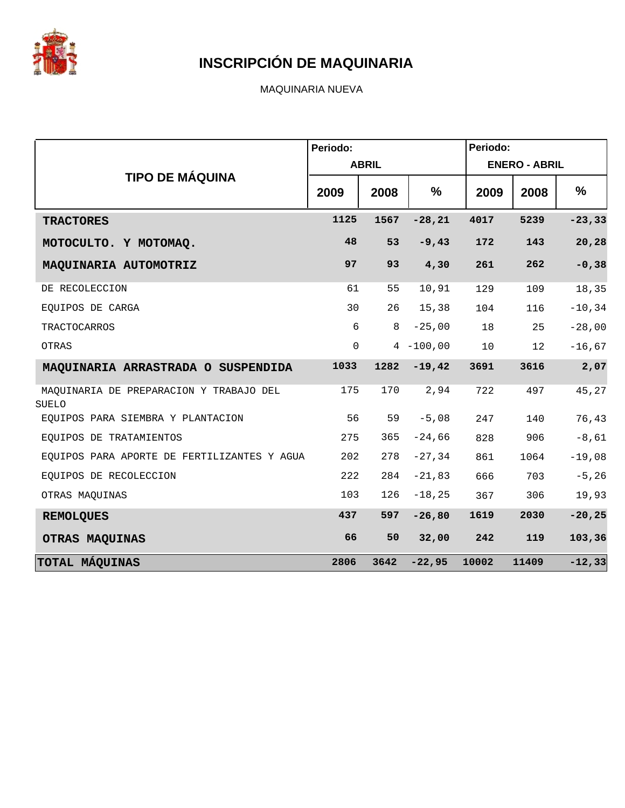

MAQUINARIA NUEVA

|                                                         | Periodo:    |              |              | Periodo: |                      |           |
|---------------------------------------------------------|-------------|--------------|--------------|----------|----------------------|-----------|
|                                                         |             | <b>ABRIL</b> |              |          | <b>ENERO - ABRIL</b> |           |
| <b>TIPO DE MÁQUINA</b>                                  | 2009        | 2008         | %            | 2009     | 2008                 | %         |
| <b>TRACTORES</b>                                        | 1125        | 1567         | $-28, 21$    | 4017     | 5239                 | $-23, 33$ |
| MOTOCULTO. Y MOTOMAQ.                                   | 48          | 53           | $-9,43$      | 172      | 143                  | 20,28     |
| MAQUINARIA AUTOMOTRIZ                                   | 97          | 93           | 4,30         | 261      | 262                  | $-0,38$   |
| DE RECOLECCION                                          | 61          | 55           | 10,91        | 129      | 109                  | 18,35     |
| EQUIPOS DE CARGA                                        | 30          | 26           | 15,38        | 104      | 116                  | $-10, 34$ |
| <b>TRACTOCARROS</b>                                     | 6           | 8            | $-25,00$     | 18       | 25                   | $-28,00$  |
| OTRAS                                                   | $\mathbf 0$ |              | $4 - 100,00$ | 10       | 12                   | $-16, 67$ |
| MAQUINARIA ARRASTRADA O SUSPENDIDA                      | 1033        | 1282         | $-19,42$     | 3691     | 3616                 | 2,07      |
| MAOUINARIA DE PREPARACION Y TRABAJO DEL<br><b>SUELO</b> | 175         | 170          | 2,94         | 722      | 497                  | 45,27     |
| EQUIPOS PARA SIEMBRA Y PLANTACION                       | 56          | 59           | $-5,08$      | 247      | 140                  | 76,43     |
| EOUIPOS DE TRATAMIENTOS                                 | 275         | 365          | $-24,66$     | 828      | 906                  | $-8,61$   |
| EQUIPOS PARA APORTE DE FERTILIZANTES Y AGUA             | 202         | 278          | $-27, 34$    | 861      | 1064                 | $-19,08$  |
| EQUIPOS DE RECOLECCION                                  | 222         | 284          | $-21,83$     | 666      | 703                  | $-5, 26$  |
| OTRAS MAQUINAS                                          | 103         | 126          | $-18,25$     | 367      | 306                  | 19,93     |
| <b>REMOLQUES</b>                                        | 437         | 597          | $-26,80$     | 1619     | 2030                 | $-20, 25$ |
| OTRAS MAQUINAS                                          | 66          | 50           | 32,00        | 242      | 119                  | 103,36    |
| TOTAL MÁQUINAS                                          | 2806        | 3642         | $-22,95$     | 10002    | 11409                | $-12,33$  |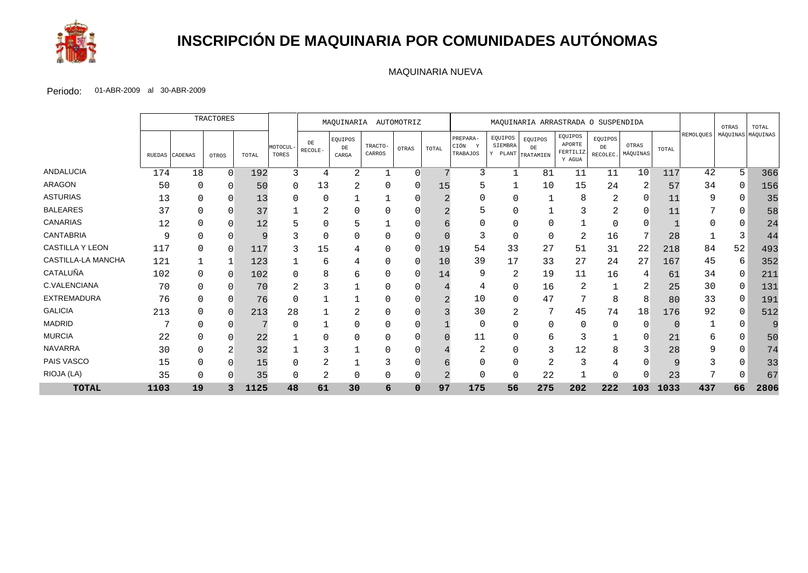

# **INSCRIPCIÓN DE MAQUINARIA POR COMUNIDADES AUTÓNOMAS**

#### MAQUINARIA NUEVA

|                    |      |                | TRACTORES |       | AUTOMOTRIZ<br>MAQUINARIA<br>MAQUINARIA ARRASTRADA O SUSPENDIDA |               |                        |                   |             |       |                                     | OTRAS              | TOTAL                              |                                         |                           |                   |       |           |    |                   |
|--------------------|------|----------------|-----------|-------|----------------------------------------------------------------|---------------|------------------------|-------------------|-------------|-------|-------------------------------------|--------------------|------------------------------------|-----------------------------------------|---------------------------|-------------------|-------|-----------|----|-------------------|
|                    |      | RUEDAS CADENAS | OTROS     | TOTAL | MOTOCUL<br>TORES                                               | DE<br>RECOLE- | EQUIPOS<br>DE<br>CARGA | TRACTO-<br>CARROS | OTRAS       | TOTAL | PREPARA-<br>CIÓN<br>- Y<br>TRABAJOS | EQUIPOS<br>SIEMBRA | EQUIPOS<br>DE<br>Y PLANT TRATAMIEN | EQUIPOS<br>APORTE<br>FERTILIZ<br>Y AGUA | EQUIPOS<br>DE<br>RECOLEC. | OTRAS<br>MÁQUINAS | TOTAL | REMOLQUES |    | MÁQUINAS MÁQUINAS |
| ANDALUCIA          | 174  | 18             | $\Omega$  | 192   | 3                                                              | 4             | 2                      |                   | $\cap$      |       | 3                                   | $\mathbf 1$        | 81                                 | 11                                      | 11                        | 10                | 117   | 42        | 5  | 366               |
| <b>ARAGON</b>      | 50   | 0              | ∩         | 50    | $\Omega$                                                       | 13            | 2                      | <sup>0</sup>      | $\Omega$    | 15    |                                     |                    | 10                                 | 15                                      | 24                        |                   | 57    | 34        | O  | 156               |
| <b>ASTURIAS</b>    | 13   | $\Omega$       |           | 13    | C                                                              | $\Omega$      |                        |                   |             |       |                                     | $\Omega$           |                                    | 8                                       | 2                         | O                 | 11    | 9         | 0  | 35                |
| <b>BALEARES</b>    | 37   | 0              |           | 37    |                                                                | 2             |                        |                   |             |       |                                     |                    |                                    |                                         | ⌒<br>∠                    | O                 | 11    | ⇁         | 0  | 58                |
| CANARIAS           | 12   | O              |           | 12    |                                                                | 0             |                        |                   |             |       |                                     | O                  |                                    |                                         | 0                         |                   |       |           |    | 24                |
| <b>CANTABRIA</b>   | 9    | $\Omega$       |           | 9     |                                                                | $\Omega$      |                        |                   |             |       | 3                                   | $\mathbf 0$        | O                                  | 2                                       | 16                        |                   | 28    |           | 3  | 44                |
| CASTILLA Y LEON    | 117  | $\Omega$       | 0         | 117   |                                                                | 15            |                        |                   |             | 19    | 54                                  | 33                 | 27                                 | 51                                      | 31                        | 22                | 218   | 84        | 52 | 493               |
| CASTILLA-LA MANCHA | 121  |                |           | 123   |                                                                | 6             |                        | O                 | ∩           | 10    | 39                                  | 17                 | 33                                 | 27                                      | 24                        | 27                | 167   | 45        | 6  | 352               |
| CATALUÑA           | 102  | $\Omega$       | $\Omega$  | 102   | C                                                              | 8             | 6                      | O                 | $\Omega$    | 14    | 9                                   | 2                  | 19                                 | 11                                      | 16                        |                   | 61    | 34        | 0  | 21 <sup>2</sup>   |
| C.VALENCIANA       | 70   | 0              |           | 70    |                                                                |               |                        |                   |             |       | 4                                   | 0                  | 16                                 | 2                                       |                           |                   | 25    | 30        | 0  | 131               |
| <b>EXTREMADURA</b> | 76   | $\Omega$       |           | 76    |                                                                |               |                        |                   |             |       | 10                                  | $\Omega$           | 47                                 |                                         | 8                         | 8                 | 80    | 33        | 0  | 191               |
| <b>GALICIA</b>     | 213  | $\Omega$       | $\Omega$  | 213   | 28                                                             |               | 2                      | <sup>0</sup>      |             |       | 30                                  | 2                  | 7                                  | 45                                      | 74                        | 18                | 176   | 92        | 0  | 512               |
| <b>MADRID</b>      |      | 0              |           |       |                                                                |               |                        |                   |             |       | 0                                   | O                  |                                    |                                         | $\Omega$                  | ∩                 |       |           | 0  |                   |
| <b>MURCIA</b>      | 22   | O              |           | 22    |                                                                |               |                        |                   |             |       | 11                                  | $\Omega$           |                                    |                                         |                           |                   | 21    | 6         |    | 50                |
| <b>NAVARRA</b>     | 30   | $\Omega$       |           | 32    |                                                                |               |                        | U                 |             |       | $\overline{2}$                      | $\Omega$           |                                    | 12                                      | 8                         |                   | 28    | 9         | 0  | 74                |
| PAIS VASCO         | 15   | 0              |           | 15    |                                                                | ⌒<br>∠        |                        |                   |             |       | 0                                   | 0                  | ∠                                  |                                         |                           |                   |       |           | 0  | 33                |
| RIOJA (LA)         | 35   | 0              |           | 35    |                                                                | 2             | 0                      |                   |             |       | 0                                   | 0                  | 22                                 |                                         | 0                         |                   | 23    |           |    | 67                |
| <b>TOTAL</b>       | 1103 | 19             |           | 1125  | 48                                                             | 61            | 30                     | 6                 | $\mathbf 0$ | 97    | 175                                 | 56                 | 275                                | 202                                     | 222                       | 103               | 1033  | 437       | 66 | 2806              |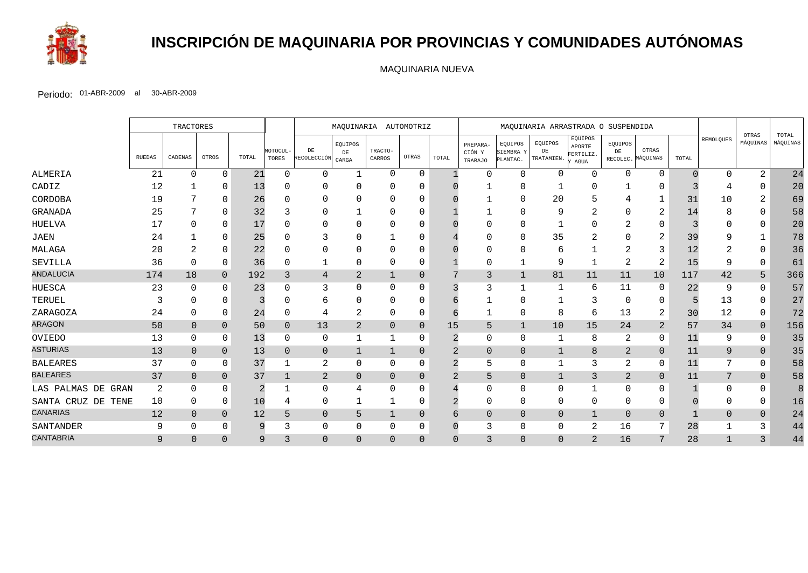

# **INSCRIPCIÓN DE MAQUINARIA POR PROVINCIAS Y COMUNIDADES AUTÓNOMAS**

MAQUINARIA NUEVA

|                    |               | <b>TRACTORES</b> |                |                | MAQUINARIA AUTOMOTRIZ<br>MAQUINARIA ARRASTRADA O SUSPENDIDA |                         |                      |                   |                |                |                               |                                  |                             |                                        |                |                            |       |           |                   |                   |
|--------------------|---------------|------------------|----------------|----------------|-------------------------------------------------------------|-------------------------|----------------------|-------------------|----------------|----------------|-------------------------------|----------------------------------|-----------------------------|----------------------------------------|----------------|----------------------------|-------|-----------|-------------------|-------------------|
|                    | <b>RUEDAS</b> | CADENAS          | OTROS          | TOTAL          | MOTOCUL-<br>TORES                                           | DE<br>RECOLECCIÓN CARGA | EQUIPOS<br>$\rm{DE}$ | TRACTO-<br>CARROS | OTRAS          | TOTAL          | PREPARA-<br>CIÓN Y<br>TRABAJO | EQUIPOS<br>SIEMBRA Y<br>PLANTAC. | EQUIPOS<br>DE<br>TRATAMIEN. | EQUIPOS<br>APORTE<br>FERTILIZ.<br>AGUA | EQUIPOS<br>DE  | OTRAS<br>RECOLEC. MÁQUINAS | TOTAL | REMOLQUES | OTRAS<br>MÁQUINAS | TOTAL<br>MÁQUINAS |
| ALMERIA            | 21            | 0                | $\Omega$       | 21             | 0                                                           | $\Omega$                | -1                   | $\Omega$          | $\Omega$       |                | ∩                             | $\Omega$                         | $\Omega$                    | $\mathbf 0$                            | $\Omega$       | 0                          |       | ∩         | 2                 | 24                |
| CADIZ              | 12            |                  | $\Omega$       | 13             |                                                             | 0                       |                      |                   |                |                |                               |                                  |                             | $\Omega$                               |                |                            |       |           |                   | 20                |
| CORDOBA            | 19            |                  | $\Omega$       | 26             |                                                             | ∩                       |                      | O                 |                |                |                               | $\cap$                           | 20                          | 5                                      |                |                            | 31    | 10        | 2                 | 69                |
| GRANADA            | 25            |                  | <sup>0</sup>   | 32             |                                                             | 0                       |                      |                   |                |                |                               |                                  | 9                           | 2                                      |                | $\overline{2}$             | 14    |           | 0                 | 58                |
| HUELVA             | 17            |                  | $\Omega$       |                |                                                             | $\Omega$                |                      |                   |                |                |                               |                                  |                             | $\Omega$                               |                | $\Omega$                   |       |           | 0                 | 20                |
| <b>JAEN</b>        | 24            |                  | $\Omega$       | 25             |                                                             |                         |                      |                   |                |                |                               | $\Omega$                         | 35                          | $\overline{2}$                         |                | $\overline{2}$             | 39    |           |                   | 78                |
| MALAGA             | 20            |                  | $\Omega$       | 22             |                                                             | 0                       |                      |                   |                |                |                               |                                  |                             |                                        |                | 3                          | 12    |           | 0                 | 36                |
| SEVILLA            | 36            | ∩                | 0              | 36             |                                                             | 1                       | $\Omega$             | 0                 | 0              |                | $\Omega$                      |                                  | 9                           | $\mathbf 1$                            |                | $\overline{2}$             | 15    | 9         | $\Omega$          | 61                |
| <b>ANDALUCIA</b>   | 174           | 18               | $\mathbf{0}$   | 192            | 3                                                           | 4                       | 2                    |                   | $\Omega$       |                | $\overline{3}$                | $\mathbf{1}$                     | 81                          | 11                                     | 11             | 10                         | 117   | 42        | 5                 | 366               |
| <b>HUESCA</b>      | 23            | $\Omega$         | $\Omega$       | 23             |                                                             | 3                       | 0                    | 0                 |                |                | 3                             |                                  |                             | 6                                      | 11             | $\Omega$                   | 22    | 9         | 0                 | 57                |
| TERUEL             |               |                  | $\Omega$       |                |                                                             | 6                       |                      | ∩                 |                |                |                               |                                  |                             | 3                                      | ∩              | $\Omega$                   |       | 13        | 0                 | 27                |
| ZARAGOZA           | 24            | U                | $\Omega$       | 24             |                                                             | 4                       | $\overline{2}$       | 0                 |                |                |                               | $\Omega$                         | 8                           | 6                                      | 13             | 2                          | 30    | 12        | $\Omega$          | 72                |
| <b>ARAGON</b>      | 50            | $\overline{0}$   | $\Omega$       | 50             | $\mathbf{0}$                                                | 13                      | $\overline{2}$       | $\Omega$          | $\Omega$       | 15             | 5                             | $\mathbf{1}$                     | 10                          | $15$                                   | 24             | $\overline{2}$             | 57    | 34        | $\overline{0}$    | 156               |
| OVIEDO             | 13            | 0                | $\Omega$       | 13             | $\Omega$                                                    | 0                       | -1                   |                   | 0              |                | 0                             | $\Omega$                         | 1                           | 8                                      | 2              | 0                          | 11    | 9         | $\mathbf 0$       | 35                |
| <b>ASTURIAS</b>    | 13            | $\overline{0}$   | $\Omega$       | 13             | $\Omega$                                                    | $\mathbf 0$             | $\mathbf{1}$         |                   | $\Omega$       | 2              | $\overline{0}$                | $\overline{0}$                   | $\mathbf{1}$                | 8                                      | $\overline{2}$ | $\mathbf{0}$               | 11    | 9         | $\overline{0}$    | 35                |
| <b>BALEARES</b>    | 37            |                  | 0              | 37             |                                                             | $\overline{c}$          | $\Omega$             | 0                 | 0              | $\overline{2}$ | 5                             | $\Omega$                         |                             | 3                                      | 2              | 0                          | 11    | 7         | $\mathbf 0$       | 58                |
| <b>BALEARES</b>    | 37            | $\overline{0}$   | $\mathbf{0}$   | 37             |                                                             | $\overline{a}$          | $\overline{0}$       | 0                 | $\overline{0}$ | 2              | 5                             | $\overline{0}$                   | $\mathbf{1}$                | 3                                      | 2              | $\mathbf{0}$               | 11    | 7         | $\overline{0}$    | 58                |
| LAS PALMAS DE GRAN | 2             | O                | $\Omega$       | $\overline{2}$ |                                                             | $\mathbf{0}$            |                      | 0                 |                |                | $\Omega$                      | $\Omega$                         | $\Omega$                    | $\mathbf{1}$                           | $\Omega$       | $\Omega$                   |       | ∩         | <sup>0</sup>      | 8                 |
| SANTA CRUZ DE TENE | 10            | 0                | $\Omega$       | 10             | 4                                                           | 0                       |                      |                   | 0              |                | 0                             | 0                                | $\Omega$                    | 0                                      | 0              | 0                          |       |           | 0                 | 16                |
| <b>CANARIAS</b>    | 12            | $\Omega$         | $\overline{0}$ | 12             | 5                                                           | $\overline{0}$          | 5                    |                   | $\Omega$       |                | $\overline{0}$                | $\overline{0}$                   | $\overline{0}$              | 1                                      | $\Omega$       | $\Omega$                   |       | $\Omega$  | $\mathbf{0}$      | 24                |
| SANTANDER          | 9             | 0                | $\Omega$       | 9              |                                                             | 0                       | 0                    | 0                 |                |                | 3                             | 0                                | 0                           | $\overline{2}$                         | 16             |                            | 28    |           |                   | 44                |
| <b>CANTABRIA</b>   | 9             | $\Omega$         | $\Omega$       | 9              | 3                                                           | $\mathbf 0$             | $\overline{0}$       | $\Omega$          | $\Omega$       | $\Omega$       | 3                             | $\overline{0}$                   | $\overline{0}$              | $\overline{2}$                         | 16             | 7                          | 28    |           |                   | 44                |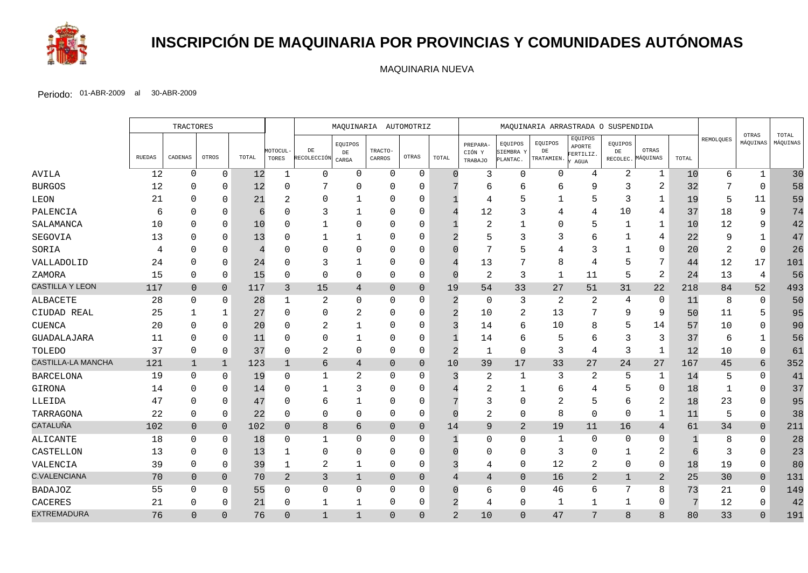

# **INSCRIPCIÓN DE MAQUINARIA POR PROVINCIAS Y COMUNIDADES AUTÓNOMAS**

MAQUINARIA NUEVA

|                        |        | TRACTORES      |                |       |                   | MAQUINARIA AUTOMOTRIZ    |                        |                   | MAQUINARIA ARRASTRADA O SUSPENDIDA |                |                               |                                  |                             |                                                         |               |                            |            |           |                   |                   |
|------------------------|--------|----------------|----------------|-------|-------------------|--------------------------|------------------------|-------------------|------------------------------------|----------------|-------------------------------|----------------------------------|-----------------------------|---------------------------------------------------------|---------------|----------------------------|------------|-----------|-------------------|-------------------|
|                        | RUEDAS | CADENAS        | OTROS          | TOTAL | MOTOCUL-<br>TORES | $\rm{DE}$<br>RECOLECCIÓN | EQUIPOS<br>DE<br>CARGA | TRACTO-<br>CARROS | OTRAS                              | TOTAL          | PREPARA-<br>CIÓN Y<br>TRABAJO | EQUIPOS<br>SIEMBRA Y<br>PLANTAC. | EQUIPOS<br>DE<br>TRATAMIEN. | EQUIPOS<br>APORTE<br>FERTILIZ.<br>$\operatorname{AGUA}$ | EQUIPOS<br>DE | OTRAS<br>RECOLEC. MÁQUINAS | TOTAL      | REMOLQUES | OTRAS<br>MÁQUINAS | TOTAL<br>MÁQUINAS |
| AVILA                  | 12     | $\mathbf 0$    | $\mathbf 0$    | 12    | -1                | $\mathbf 0$              | $\Omega$               | $\mathbf 0$       | $\mathbf 0$                        | $\cap$         | 3                             | $\mathbf 0$                      | 0                           | $\overline{4}$                                          | 2             | 1                          | 10         | 6         | $\mathbf 1$       | 30                |
| <b>BURGOS</b>          | 12     | $\Omega$       | 0              | 12    | ∩                 | 7                        | $\Omega$               | $\Omega$          | $\Omega$                           |                | 6                             | 6                                | $\mathsf{b}$                | 9                                                       | 3             | $\overline{2}$             | 32         |           | $\Omega$          | 58                |
| LEON                   | 21     | $\Omega$       | $\Omega$       | 21    |                   | 0                        | 1                      | $\Omega$          | $\Omega$                           |                | 4                             | 5                                |                             | 5                                                       | 3             | 1                          | 19         | 5         | 11                | 59                |
| PALENCIA               | 6      |                | $\Omega$       | 6     |                   | 3                        |                        | $\Omega$          | 0                                  |                | 12                            | 3                                |                             | 4                                                       | 10            | 4                          | 37         | 18        | 9                 | 74                |
| SALAMANCA              | 10     | $\Omega$       | $\Omega$       | 10    |                   | 1                        | $\Omega$               | $\Omega$          | $\Omega$                           |                | $\overline{2}$                |                                  | $\Omega$                    | 5                                                       |               | $\mathbf 1$                | 10         | 12        | 9                 | 42                |
| SEGOVIA                | 13     | $\Omega$       | $\Omega$       | 13    |                   | 1                        | -1                     | $\Omega$          | $\Omega$                           |                |                               | 3                                | 3                           | 6                                                       |               | 4                          | 22         |           | 1                 | 47                |
| SORIA                  | 4      | $\Omega$       | $\Omega$       | 4     |                   | $\Omega$                 | $\Omega$               | $\Omega$          | $\Omega$                           |                |                               | 5                                |                             | 3                                                       |               | $\Omega$                   | 20         | 2         | $\Omega$          | 26                |
| VALLADOLID             | 24     | $\Omega$       | $\Omega$       | 24    |                   | 3                        |                        | $\Omega$          | $\Omega$                           |                | 13                            |                                  | 8                           | 4                                                       | 5             | 7                          | 44         | 12        | 17                | 101               |
| ZAMORA                 | 15     | $\Omega$       | 0              | 15    | U                 | $\mathbf 0$              | $\Omega$               | $\Omega$          | $\mathbf 0$                        | $\cap$         | 2                             | $\overline{3}$                   | 1                           | 11                                                      | 5             | $\mathbf{2}$               | 24         | 13        | 4                 | 56                |
| <b>CASTILLA Y LEON</b> | 117    | $\overline{0}$ | $\Omega$       | 117   | $\mathbf{3}$      | $15$                     | 4                      | $\Omega$          | $\overline{0}$                     | 19             | 54                            | 33                               | 27                          | 51                                                      | 31            | 22                         | 218        | 84        | 52                | 493               |
| ALBACETE               | 28     | $\Omega$       | 0              | 28    |                   | 2                        | $\Omega$               | $\Omega$          | $\Omega$                           | 2              | 0                             | 3                                | 2                           | 2                                                       | 4             | 0                          | 11         | 8         | 0                 | 50                |
| CIUDAD REAL            | 25     |                | 1              | 27    | U                 | $\Omega$                 |                        | $\Omega$          | $\Omega$                           | $\overline{2}$ | 10                            | $\overline{2}$                   | 13                          | 7                                                       | 9             | 9                          | 50         | 11        | 5                 | 95                |
| <b>CUENCA</b>          | 20     | $\Omega$       | $\Omega$       | 20    |                   | $\overline{2}$           |                        | $\Omega$          | $\mathbf 0$                        | ্ব             | 14                            | 6                                | 10                          | 8                                                       |               | 14                         | 57         | 10        | $\mathbf 0$       | 90                |
| GUADALAJARA            | 11     | $\Omega$       | $\Omega$       | 11    |                   | 0                        |                        | $\Omega$          | $\Omega$                           |                | 14                            | 6                                | 5                           | 6                                                       | 3             | 3                          | 37         | 6         |                   | 56                |
| TOLEDO                 | 37     | $\Omega$       | $\Omega$       | 37    |                   | $\overline{2}$           | $\Omega$               | $\Omega$          | 0                                  | 2              | $\mathbf 1$                   | $\mathbf 0$                      | 3                           | 4                                                       | 3             | $\mathbf 1$                | 12         | 10        | $\mathbf 0$       | 61                |
| CASTILLA-LA MANCHA     | 121    | $\mathbf 1$    | $\mathbf 1$    | 123   | $\mathbf 1$       | $\sqrt{6}$               | 4                      | $\mathbf 0$       | $\mathbf{0}$                       | 10             | 39                            | 17                               | 33                          | 27                                                      | 24            | 27                         | 167        | 45        | 6                 | 352               |
| <b>BARCELONA</b>       | 19     | $\Omega$       | 0              | 19    | U                 | $\mathbf{1}$             | 2                      | $\Omega$          | $\Omega$                           | ζ              | 2                             | $\mathbf 1$                      | 3                           | 2                                                       | 5             | 1                          | 14         | 5         | $\mathbf 0$       | 41                |
| GIRONA                 | 14     | $\Omega$       | $\Omega$       | 14    |                   | 1                        | 3                      | $\Omega$          | $\Omega$                           |                | 2                             |                                  | 6                           | 4                                                       |               | $\mathbf 0$                | 18         |           | $\Omega$          | 37                |
| LLEIDA                 | 47     | $\Omega$       | $\Omega$       | 47    |                   | 6                        | 1                      | $\Omega$          | $\Omega$                           |                | 3                             | $\mathbf 0$                      |                             | 5                                                       | 6             | $\overline{2}$             | 18         | 23        | $\Omega$          | 95                |
| TARRAGONA              | 22     | $\Omega$       | $\mathbf 0$    | 22    | $\Omega$          | $\mathbf 0$              | 0                      | 0                 | 0                                  |                | 2                             | $\mathbf 0$                      | 8                           | $\mathbf 0$                                             | $\Omega$      | $\mathbf 1$                | 11         | 5         | $\mathbf 0$       | 38                |
| <b>CATALUÑA</b>        | 102    | $\overline{0}$ | $\overline{0}$ | 102   | $\overline{0}$    | $\,8\,$                  | 6                      | $\overline{0}$    | $\overline{0}$                     | 14             | 9                             | $\overline{2}$                   | 19                          | 11                                                      | 16            | 4                          | 61         | 34        | $\overline{0}$    | 211               |
| ALICANTE               | 18     | $\Omega$       | 0              | 18    | $\Omega$          | 1                        | $\Omega$               | $\Omega$          | 0                                  |                | 0                             | 0                                | -1                          | $\mathbf 0$                                             | $\Omega$      | $\Omega$                   |            | 8         | $\mathbf 0$       | 28                |
| CASTELLON              | 13     | $\Omega$       | $\Omega$       | 13    |                   | $\Omega$                 | $\Omega$               | $\Omega$          | 0                                  |                | $\Omega$                      | $\Omega$                         | 3                           | $\mathbf 0$                                             | 1             | 2                          | $\sqrt{6}$ | 3         | $\Omega$          | 23                |
| VALENCIA               | 39     | 0              | $\mathbf 0$    | 39    | 1                 | $\overline{a}$           |                        | 0                 | $\mathbf 0$                        |                | 4                             | $\mathbf 0$                      | 12                          | $\sqrt{2}$                                              | 0             | $\mathsf 0$                | 18         | 19        | $\mathbf 0$       | 80                |
| <b>C.VALENCIANA</b>    | 70     | $\mathbf 0$    | $\overline{0}$ | 70    | 2                 | 3                        | $\mathbf 1$            | $\overline{0}$    | $\overline{0}$                     |                | $\overline{4}$                | $\mathbf{0}$                     | 16                          | 2                                                       | 1             | 2                          | 25         | 30        | $\mathbf 0$       | 131               |
| <b>BADAJOZ</b>         | 55     | $\Omega$       | $\Omega$       | 55    | $\Omega$          | $\mathbf 0$              | $\Omega$               | $\Omega$          | $\mathbf 0$                        |                | 6                             | $\Omega$                         | 46                          | 6                                                       | 7             | 8                          | 73         | 21        | $\Omega$          | 149               |
| CACERES                | 21     | 0              | $\Omega$       | 21    | $\Omega$          | $\mathbf 1$              | 1                      | $\Omega$          | 0                                  |                | 4                             | $\mathbf 0$                      | 1                           | $\mathbf 1$                                             | 1             | 0                          | 7          | 12        | $\mathbf 0$       | 42                |
| <b>EXTREMADURA</b>     | 76     | $\Omega$       | $\Omega$       | 76    | $\Omega$          | $\mathbf{1}$             | $\mathbf{1}$           | $\Omega$          | $\Omega$                           | $\overline{2}$ | 10                            | $\Omega$                         | 47                          | 7                                                       | $\mathsf{B}$  | 8                          | 80         | 33        | $\Omega$          | 191               |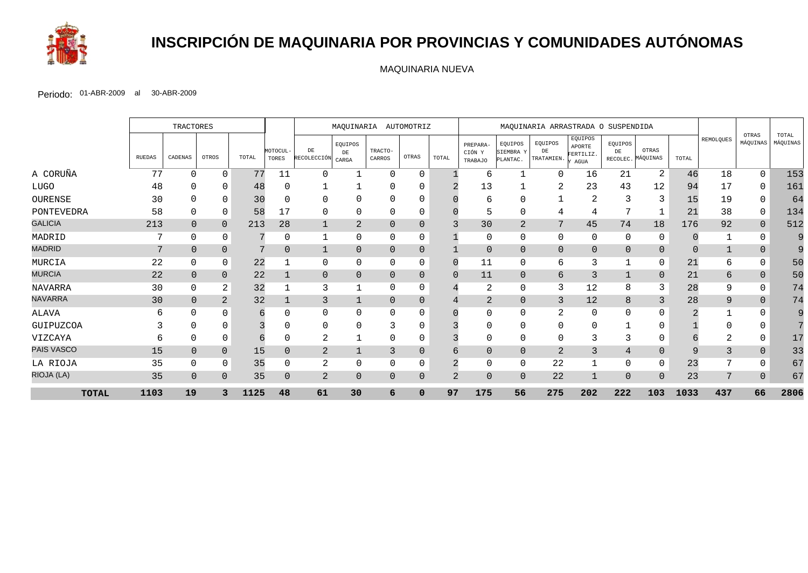

# **INSCRIPCIÓN DE MAQUINARIA POR PROVINCIAS Y COMUNIDADES AUTÓNOMAS**

MAQUINARIA NUEVA

|                |               | TRACTORES      |                |       | MAQUINARIA AUTOMOTRIZ<br>MAQUINARIA ARRASTRADA O SUSPENDIDA |                   |                               |                   |                |                |                                      |                                  |                             |                                        |                           |                   |          |           |                   |                   |
|----------------|---------------|----------------|----------------|-------|-------------------------------------------------------------|-------------------|-------------------------------|-------------------|----------------|----------------|--------------------------------------|----------------------------------|-----------------------------|----------------------------------------|---------------------------|-------------------|----------|-----------|-------------------|-------------------|
|                | <b>RUEDAS</b> | CADENAS        | OTROS          | TOTAL | MOTOCUL-<br>TORES                                           | DE<br>RECOLECCIÓN | EQUIPOS<br>$\rm{DE}$<br>CARGA | TRACTO-<br>CARROS | OTRAS          | TOTAL          | PREPARA-<br>CIÓN Y<br><b>TRABAJO</b> | EQUIPOS<br>SIEMBRA Y<br>PLANTAC. | EQUIPOS<br>DE<br>TRATAMIEN. | EQUIPOS<br>APORTE<br>FERTILIZ.<br>AGUA | EQUIPOS<br>DE<br>RECOLEC. | OTRAS<br>MÁQUINAS | TOTAL    | REMOLQUES | OTRAS<br>MÁQUINAS | TOTAL<br>MÁQUINAS |
| A CORUÑA       | 77            | U              | $\Omega$       | 77    | 11                                                          | 0                 | -1                            | $\Omega$          | $\Omega$       |                | 6                                    |                                  | 0                           | 16                                     | 21                        | 2                 | 46       | 18        | $\Omega$          | 153               |
| <b>LUGO</b>    | 48            |                | $\Omega$       | 48    |                                                             |                   |                               | 0                 |                |                | 13                                   |                                  |                             | 23                                     | 43                        | 12                | 94       | 17        | 0                 | 161               |
| OURENSE        | 30            |                |                | 30    |                                                             | $\Omega$          |                               | <sup>0</sup>      |                |                | 6                                    | $\Omega$                         |                             | 2                                      |                           | 3                 | 15       | 19        |                   | 64                |
| PONTEVEDRA     | 58            | 0              | $\Omega$       | 58    | 17                                                          | 0                 | 0                             | 0                 | 0              |                | 5                                    | 0                                | 4                           | 4                                      |                           |                   | 21       | 38        | $\mathbf 0$       | 134               |
| <b>GALICIA</b> | 213           | $\overline{0}$ | $\Omega$       | 213   | 28                                                          | 1                 | 2                             | $\Omega$          |                | 3              | 30                                   | $\overline{2}$                   | 7                           | 45                                     | 74                        | 18                | 176      | 92        | $\overline{0}$    | 512               |
| MADRID         | 7             | $\Omega$       | $\Omega$       |       |                                                             | $\mathbf{1}$      | 0                             | $\Omega$          | 0              |                | $\mathbf 0$                          | $\mathbf 0$                      | $\Omega$                    | $\mathbf 0$                            | $\Omega$                  | $\Omega$          |          |           |                   | 9                 |
| <b>MADRID</b>  | 7             | $\Omega$       | $\Omega$       | 7     | $\Omega$                                                    | $\mathbf{1}$      | $\Omega$                      | $\Omega$          | $\overline{0}$ |                | $\mathbf 0$                          | $\overline{0}$                   | $\mathbf 0$                 | $\mathbf 0$                            | $\mathbf{0}$              | $\Omega$          | $\Omega$ |           | $\Omega$          |                   |
| MURCIA         | 22            | 0              | 0              | 22    |                                                             | 0                 | O                             | 0                 | 0              |                | 11                                   | $\mathbf 0$                      | 6                           | 3                                      |                           | 0                 | 21       | 6         | 0                 | 50                |
| <b>MURCIA</b>  | 22            | $\Omega$       | $\Omega$       | 22    |                                                             | $\mathbf{0}$      | $\Omega$                      | $\Omega$          | $\Omega$       |                | 11                                   | $\overline{0}$                   | 6                           | 3                                      |                           | $\Omega$          | 21       | 6         | $\Omega$          | 50                |
| <b>NAVARRA</b> | 30            | 0              | 2              | 32    |                                                             | 3                 | -1                            | $\Omega$          | $\Omega$       |                | 2                                    | $\mathbf 0$                      | 3                           | 12                                     | 8                         | 3                 | 28       | 9         | $\Omega$          | 74                |
| <b>NAVARRA</b> | 30            | $\Omega$       | $\overline{2}$ | 32    |                                                             | 3                 |                               | $\Omega$          | $\overline{0}$ |                | $\overline{2}$                       | $\overline{0}$                   | 3                           | 12                                     | 8                         | 3                 | 28       | 9         | $\Omega$          | 74                |
| <b>ALAVA</b>   | 6             | 0              |                | 6     |                                                             | 0                 | U                             | <sup>0</sup>      |                |                | $\Omega$                             | $\Omega$                         | 2                           | $\mathbf 0$                            | $\Omega$                  |                   |          |           |                   | q                 |
| GUIPUZCOA      |               | 0              |                |       |                                                             | $\mathbf 0$       | O                             |                   | $\Omega$       |                | $\cap$                               | $\Omega$                         | $\Omega$                    | $\Omega$                               |                           | $\Omega$          |          |           |                   |                   |
| VIZCAYA        | 6             | 0              | $\Omega$       | 6     |                                                             | 2                 |                               | 0                 |                |                | $\Omega$                             | $\Omega$                         | 0                           | 3                                      |                           | 0                 |          |           |                   | 17                |
| PAIS VASCO     | 15            | $\mathbf{0}$   | $\Omega$       | 15    |                                                             | $\overline{2}$    |                               | 3                 | 0              |                | $\overline{0}$                       | $\overline{0}$                   | 2                           | 3                                      |                           | $\Omega$          | $\circ$  | 3         | $\Omega$          | 33                |
| LA RIOJA       | 35            | 0              | $\Omega$       | 35    |                                                             | 2                 | O                             | $\Omega$          | 0              |                | $\mathbf 0$                          | $\Omega$                         | 22                          | $\mathbf{1}$                           | $\Omega$                  | $\Omega$          | 23       |           |                   | 67                |
| RIOJA (LA)     | 35            | $\Omega$       | $\Omega$       | 35    | $\Omega$                                                    | $\overline{2}$    | $\Omega$                      | $\Omega$          | $\Omega$       | $\overline{2}$ | $\overline{0}$                       | $\Omega$                         | 22                          | 1                                      | $\Omega$                  | $\Omega$          | 23       | 7         | $\Omega$          | 67                |
| <b>TOTAL</b>   | 1103          | 19             |                | 1125  | 48                                                          | 61                | 30                            | 6                 | $\mathbf 0$    | 97             | 175                                  | 56                               | 275                         | 202                                    | 222                       | 103               | 1033     | 437       | 66                | 2806              |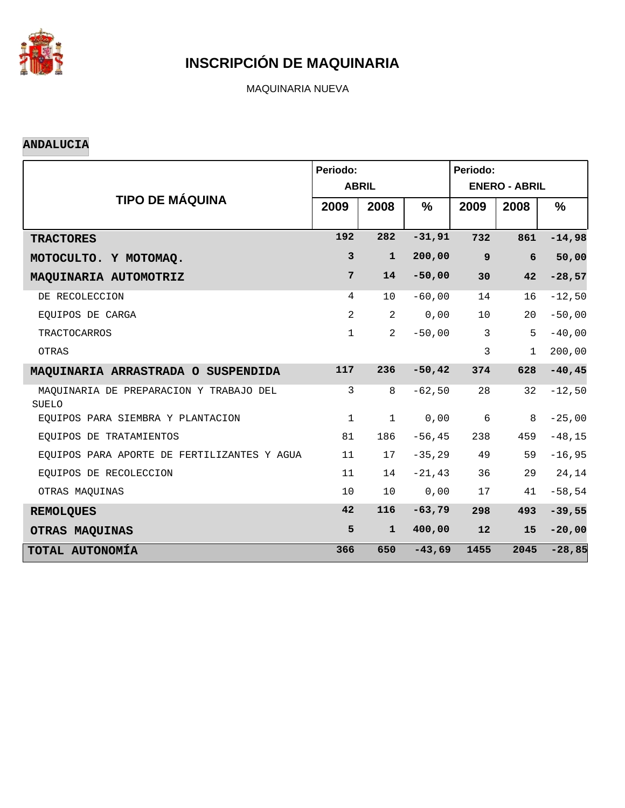

MAQUINARIA NUEVA

#### **ANDALUCIA**

|                                                         | Periodo:       |                |               | Periodo:         |                      |                |
|---------------------------------------------------------|----------------|----------------|---------------|------------------|----------------------|----------------|
|                                                         |                | <b>ABRIL</b>   |               |                  | <b>ENERO - ABRIL</b> |                |
| <b>TIPO DE MÁQUINA</b>                                  | 2009           | 2008           | $\frac{9}{6}$ | 2009             | 2008                 | %              |
|                                                         | 192            | 282            | $-31,91$      | 732              | 861                  | $-14,98$       |
| <b>TRACTORES</b>                                        |                |                |               |                  |                      |                |
| MOTOCULTO. Y MOTOMAQ.                                   | 3              | $\mathbf{1}$   | 200,00        | $\boldsymbol{9}$ | 6                    | 50,00          |
| MAQUINARIA AUTOMOTRIZ                                   | $7\phantom{.}$ | 14             | $-50,00$      | 30               | 42                   | $-28,57$       |
| DE RECOLECCION                                          | 4              | 10             | $-60,00$      | 14               | 16                   | $-12,50$       |
| EQUIPOS DE CARGA                                        | 2              | $\overline{2}$ | 0,00          | 10               | 20                   | $-50,00$       |
| <b>TRACTOCARROS</b>                                     | $\mathbf{1}$   | $\overline{2}$ | $-50,00$      | $\mathbf{3}$     | 5                    | $-40$ , $00\,$ |
| OTRAS                                                   |                |                |               | 3                | $\mathbf{1}$         | 200,00         |
| MAQUINARIA ARRASTRADA O SUSPENDIDA                      | 117            | 236            | $-50, 42$     | 374              | 628                  | $-40, 45$      |
| MAQUINARIA DE PREPARACION Y TRABAJO DEL<br><b>SUELO</b> | 3              | 8              | $-62,50$      | 28               | 32                   | $-12,50$       |
| EOUIPOS PARA SIEMBRA Y PLANTACION                       | $\mathbf 1$    | $\mathbf{1}$   | 0,00          | 6                | 8                    | $-25,00$       |
| EQUIPOS DE TRATAMIENTOS                                 | 81             | 186            | $-56, 45$     | 238              | 459                  | $-48, 15$      |
| EQUIPOS PARA APORTE DE FERTILIZANTES Y AGUA             | 11             | 17             | $-35,29$      | 49               | 59                   | $-16,95$       |
| EOUIPOS DE RECOLECCION                                  | 11             | 14             | $-21, 43$     | 36               | 29                   | $24\,, 14$     |
| OTRAS MAQUINAS                                          | 10             | 10             | 0,00          | 17               | 41                   | $-58,54$       |
| <b>REMOLQUES</b>                                        | 42             | 116            | $-63,79$      | 298              | 493                  | $-39,55$       |
| OTRAS MAQUINAS                                          | 5              | $\mathbf{1}$   | 400,00        | 12               | 15                   | $-20,00$       |
| TOTAL AUTONOMÍA                                         | 366            | 650            | $-43,69$      | 1455             | 2045                 | $-28,85$       |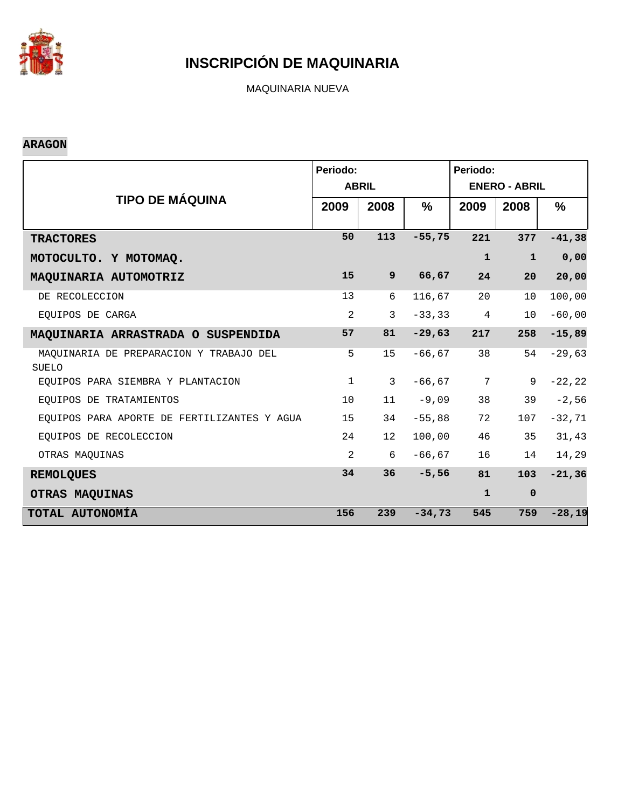

MAQUINARIA NUEVA

### **ARAGON**

|                                                         | Periodo:     | <b>ABRIL</b>    |               | Periodo:<br><b>ENERO - ABRIL</b> |              |           |  |  |
|---------------------------------------------------------|--------------|-----------------|---------------|----------------------------------|--------------|-----------|--|--|
| <b>TIPO DE MÁQUINA</b>                                  | 2009         | 2008            | $\frac{9}{6}$ | 2009                             | 2008         | %         |  |  |
| <b>TRACTORES</b>                                        | 50           | 113             | $-55,75$      | 221                              | 377          | $-41,38$  |  |  |
| MOTOCULTO. Y MOTOMAQ.                                   |              |                 |               | $\mathbf{1}$                     | $\mathbf{1}$ | 0,00      |  |  |
| MAQUINARIA AUTOMOTRIZ                                   | 15           | 9               | 66,67         | 24                               | 20           | 20,00     |  |  |
| DE RECOLECCION                                          | 13           | 6               | 116,67        | 20                               | 10           | 100,00    |  |  |
| EQUIPOS DE CARGA                                        | 2            | $\mathbf{3}$    | $-33, 33$     | $\overline{4}$                   | 10           | $-60,00$  |  |  |
| MAQUINARIA ARRASTRADA O SUSPENDIDA                      | 57           | 81              | $-29,63$      | 217                              | 258          | $-15,89$  |  |  |
| MAQUINARIA DE PREPARACION Y TRABAJO DEL<br><b>SUELO</b> | 5            | 15              | $-66, 67$     | 38                               | 54           | $-29,63$  |  |  |
| EQUIPOS PARA SIEMBRA Y PLANTACION                       | $\mathbf{1}$ | 3               | $-66, 67$     | $7\phantom{.}$                   | 9            | $-22, 22$ |  |  |
| EOUIPOS DE TRATAMIENTOS                                 | 10           | 11              | $-9,09$       | 38                               | 39           | $-2,56$   |  |  |
| EQUIPOS PARA APORTE DE FERTILIZANTES Y AGUA             | 15           | 34              | $-55,88$      | 72                               | 107          | $-32,71$  |  |  |
| EQUIPOS DE RECOLECCION                                  | 24           | 12 <sup>°</sup> | 100,00        | 46                               | 35           | 31,43     |  |  |
| OTRAS MAQUINAS                                          | 2            | 6               | $-66, 67$     | 16                               | 14           | 14,29     |  |  |
| <b>REMOLQUES</b>                                        | 34           | 36              | $-5,56$       | 81                               | 103          | $-21,36$  |  |  |
| OTRAS MAQUINAS                                          |              |                 |               | $\mathbf{1}$                     | $\mathbf 0$  |           |  |  |
| TOTAL AUTONOMÍA                                         | 156          | 239             | $-34,73$      | 545                              | 759          | $-28,19$  |  |  |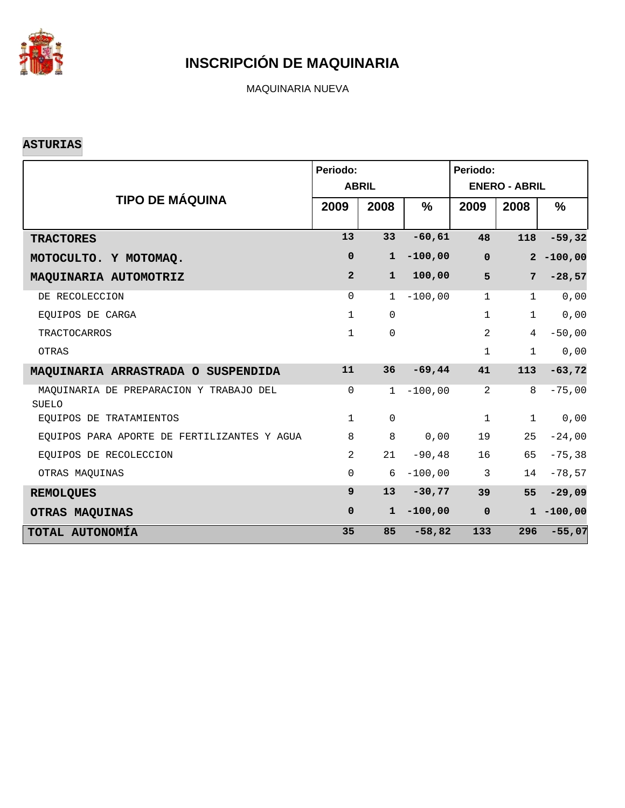

MAQUINARIA NUEVA

### **ASTURIAS**

|                                                  | Periodo:       | <b>ABRIL</b> |           | Periodo:<br><b>ENERO - ABRIL</b> |                |              |  |
|--------------------------------------------------|----------------|--------------|-----------|----------------------------------|----------------|--------------|--|
| <b>TIPO DE MÁQUINA</b>                           | 2009           | 2008         | $\%$      | 2009                             | 2008           | $\%$         |  |
| <b>TRACTORES</b>                                 | 13             | 33           | $-60,61$  | 48                               | 118            | $-59,32$     |  |
| MOTOCULTO. Y MOTOMAQ.                            | $\mathbf 0$    | $\mathbf{1}$ | $-100,00$ | $\mathbf 0$                      |                | $2 - 100,00$ |  |
| MAQUINARIA AUTOMOTRIZ                            | $\overline{2}$ | $\mathbf{1}$ | 100,00    | 5                                | 7              | $-28,57$     |  |
| DE RECOLECCION                                   | $\Omega$       | $\mathbf{1}$ | $-100,00$ | $\mathbf{1}$                     | $\mathbf{1}$   | 0,00         |  |
| EOUIPOS DE CARGA                                 | $\mathbf{1}$   | $\Omega$     |           | $\mathbf{1}$                     | $\mathbf{1}$   | 0,00         |  |
| <b>TRACTOCARROS</b>                              | $\mathbf{1}$   | $\mathbf 0$  |           | 2                                | $\overline{4}$ | $-50,00$     |  |
| OTRAS                                            |                |              |           | $\mathbf 1$                      | $\mathbf{1}$   | 0,00         |  |
| MAQUINARIA ARRASTRADA O SUSPENDIDA               | 11             | 36           | $-69,44$  | 41                               | 113            | $-63,72$     |  |
| MAQUINARIA DE PREPARACION Y TRABAJO DEL<br>SUELO | $\mathbf 0$    | $\mathbf{1}$ | $-100,00$ | 2                                | 8              | $-75,00$     |  |
| EOUIPOS DE TRATAMIENTOS                          | $\mathbf{1}$   | $\mathbf 0$  |           | $\mathbf 1$                      | $\mathbf{1}$   | 0,00         |  |
| EQUIPOS PARA APORTE DE FERTILIZANTES Y AGUA      | 8              | 8            | 0,00      | 19                               | 25             | $-24,00$     |  |
| EOUIPOS DE RECOLECCION                           | 2              | 21           | $-90, 48$ | 16                               | 65             | $-75, 38$    |  |
| OTRAS MAQUINAS                                   | $\mathbf 0$    | 6            | $-100,00$ | $\mathbf{3}$                     | 14             | $-78,57$     |  |
| <b>REMOLQUES</b>                                 | $\mathbf{9}$   | 13           | $-30,77$  | 39                               | 55             | $-29,09$     |  |
| OTRAS MAQUINAS                                   | $\mathbf 0$    | $\mathbf{1}$ | $-100,00$ | $\mathbf 0$                      |                | $1 - 100,00$ |  |
| TOTAL AUTONOMÍA                                  | 35             | 85           | $-58,82$  | 133                              | 296            | $-55,07$     |  |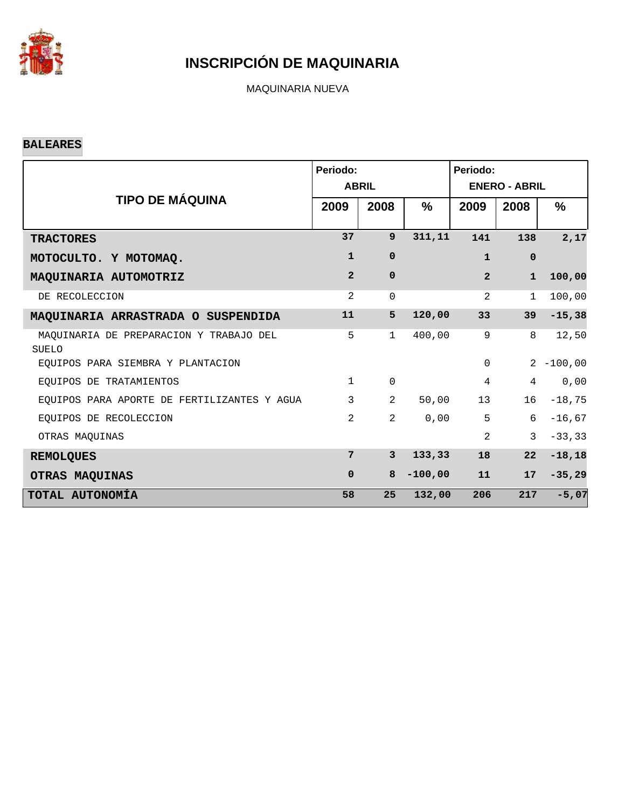

MAQUINARIA NUEVA

#### **BALEARES**

|                                                         | Periodo:       |                |           | Periodo:<br><b>ENERO - ABRIL</b> |                |               |  |
|---------------------------------------------------------|----------------|----------------|-----------|----------------------------------|----------------|---------------|--|
| <b>TIPO DE MÁQUINA</b>                                  |                | <b>ABRIL</b>   |           |                                  |                |               |  |
|                                                         | 2009           | 2008           | %         | 2009                             | 2008           | $\frac{9}{6}$ |  |
| <b>TRACTORES</b>                                        | 37             | 9              | 311, 11   | 141                              | 138            | 2,17          |  |
| MOTOCULTO. Y MOTOMAQ.                                   | $\mathbf{1}$   | 0              |           | $\mathbf{1}$                     | $\mathbf 0$    |               |  |
| MAQUINARIA AUTOMOTRIZ                                   | $\overline{2}$ | $\mathbf 0$    |           | $\overline{2}$                   | $\mathbf{1}$   | 100,00        |  |
| DE RECOLECCION                                          | $\overline{2}$ | $\mathbf 0$    |           | 2                                | $\mathbf{1}$   | 100,00        |  |
| MAQUINARIA ARRASTRADA O SUSPENDIDA                      | 11             | 5              | 120,00    | 33                               | 39             | $-15,38$      |  |
| MAOUINARIA DE PREPARACION Y TRABAJO DEL<br><b>SUELO</b> | 5              | $\mathbf{1}$   | 400,00    | 9                                | 8              | 12,50         |  |
| EOUIPOS PARA SIEMBRA Y PLANTACION                       |                |                |           | $\Omega$                         |                | $2 - 100,00$  |  |
| EQUIPOS DE TRATAMIENTOS                                 | $\mathbf{1}$   | $\mathbf 0$    |           | $\overline{4}$                   | $\overline{4}$ | 0,00          |  |
| EQUIPOS PARA APORTE DE FERTILIZANTES Y AGUA             | 3              | $\overline{2}$ | 50,00     | 13                               | 16             | $-18,75$      |  |
| EQUIPOS DE RECOLECCION                                  | $\overline{2}$ | $\overline{2}$ | 0,00      | 5                                | 6              | $-16,67$      |  |
| OTRAS MAQUINAS                                          |                |                |           | 2                                | 3              | $-33, 33$     |  |
| <b>REMOLQUES</b>                                        | 7              | $\mathbf{3}$   | 133,33    | 18                               | 22             | $-18, 18$     |  |
| OTRAS MAQUINAS                                          | $\mathbf 0$    | 8              | $-100,00$ | 11                               | 17             | $-35,29$      |  |
| TOTAL AUTONOMÍA                                         | 58             | 25             | 132,00    | 206                              | 217            | $-5,07$       |  |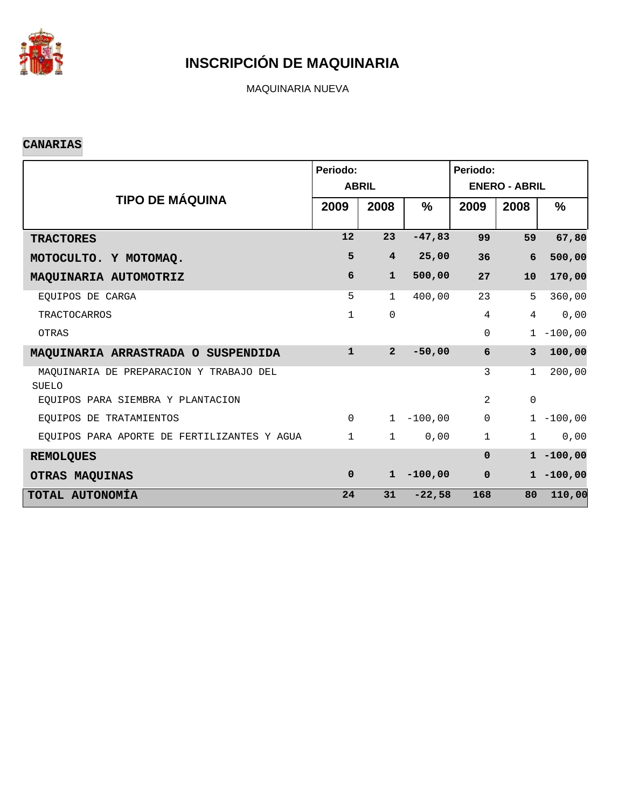

MAQUINARIA NUEVA

### **CANARIAS**

|                                                         | Periodo:     | <b>ABRIL</b>   |           | Periodo:<br><b>ENERO - ABRIL</b> |                     |               |  |
|---------------------------------------------------------|--------------|----------------|-----------|----------------------------------|---------------------|---------------|--|
| <b>TIPO DE MÁQUINA</b>                                  | 2009         | 2008           | $\%$      | 2009                             | 2008                | $\frac{9}{6}$ |  |
| <b>TRACTORES</b>                                        | 12           | 23             | $-47,83$  | 99                               | 59                  | 67,80         |  |
| MOTOCULTO. Y MOTOMAQ.                                   | 5            | $\overline{4}$ | 25,00     | 36                               | 6                   | 500,00        |  |
| MAQUINARIA AUTOMOTRIZ                                   | 6            | $\mathbf{1}$   | 500,00    | 27                               | 10                  | 170,00        |  |
| EOUIPOS DE CARGA                                        | 5            | $\mathbf{1}$   | 400,00    | 23                               | 5                   | 360,00        |  |
| <b>TRACTOCARROS</b>                                     | 1            | $\mathbf 0$    |           | $\overline{4}$                   | $\overline{4}$      | 0,00          |  |
| OTRAS                                                   |              |                |           | $\Omega$                         |                     | $1 - 100,00$  |  |
| MAQUINARIA ARRASTRADA O SUSPENDIDA                      | $\mathbf{1}$ | $\overline{2}$ | $-50,00$  | 6                                | $\overline{3}$      | 100,00        |  |
| MAOUINARIA DE PREPARACION Y TRABAJO DEL<br><b>SUELO</b> |              |                |           | 3                                | $\mathbf{1}$        | 200,00        |  |
| EOUIPOS PARA SIEMBRA Y PLANTACION                       |              |                |           | 2                                | $\mathsf{O}\xspace$ |               |  |
| EOUIPOS DE TRATAMIENTOS                                 | $\Omega$     | $\mathbf{1}$   | $-100,00$ | $\Omega$                         |                     | $1 - 100,00$  |  |
| EQUIPOS PARA APORTE DE FERTILIZANTES Y AGUA             | $\mathbf{1}$ | $\mathbf{1}$   | 0,00      | $\mathbf{1}$                     | $\mathbf{1}$        | 0,00          |  |
| <b>REMOLQUES</b>                                        |              |                |           | $\Omega$                         |                     | $1 - 100,00$  |  |
| OTRAS MAQUINAS                                          | $\mathbf{0}$ | $\mathbf{1}$   | $-100,00$ | $\mathbf 0$                      |                     | $1 - 100,00$  |  |
| TOTAL AUTONOMÍA                                         | 24           | 31             | $-22,58$  | 168                              | 80                  | 110,00        |  |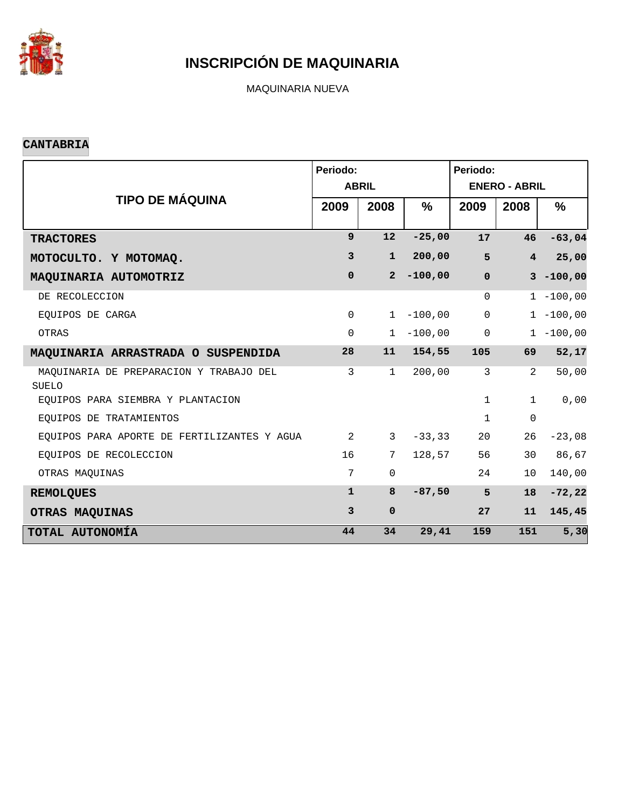

MAQUINARIA NUEVA

#### **CANTABRIA**

|                                                  | Periodo:       | <b>ABRIL</b>   |           | Periodo:<br><b>ENERO - ABRIL</b> |                |              |  |
|--------------------------------------------------|----------------|----------------|-----------|----------------------------------|----------------|--------------|--|
| <b>TIPO DE MÁQUINA</b>                           | 2009           | 2008           | $\%$      | 2009                             | 2008           | $\%$         |  |
| <b>TRACTORES</b>                                 | $\mathbf{9}$   | 12             | $-25,00$  | 17                               | 46             | $-63,04$     |  |
| MOTOCULTO. Y MOTOMAQ.                            | 3              | $\mathbf{1}$   | 200,00    | 5                                | $\overline{4}$ | 25,00        |  |
| MAQUINARIA AUTOMOTRIZ                            | $\mathbf 0$    | 2 <sup>1</sup> | $-100,00$ | $\mathbf 0$                      |                | $3 - 100,00$ |  |
| DE RECOLECCION                                   |                |                |           | $\Omega$                         |                | $1 - 100,00$ |  |
| EQUIPOS DE CARGA                                 | $\mathbf 0$    | $\mathbf{1}$   | $-100,00$ | $\mathbf 0$                      |                | $1 - 100,00$ |  |
| OTRAS                                            | $\Omega$       | $\mathbf{1}$   | $-100,00$ | $\mathsf{O}\xspace$              |                | $1 - 100,00$ |  |
| MAQUINARIA ARRASTRADA O SUSPENDIDA               | 28             | 11             | 154,55    | 105                              | 69             | 52,17        |  |
| MAQUINARIA DE PREPARACION Y TRABAJO DEL<br>SUELO | 3              | $\mathbf{1}$   | 200,00    | $\mathbf{3}$                     | 2              | 50,00        |  |
| EQUIPOS PARA SIEMBRA Y PLANTACION                |                |                |           | $\mathbf{1}$                     | $\mathbf{1}$   | 0,00         |  |
| EOUIPOS DE TRATAMIENTOS                          |                |                |           | $\mathbf 1$                      | $\mathbf 0$    |              |  |
| EQUIPOS PARA APORTE DE FERTILIZANTES Y AGUA      | 2              | $\mathbf{3}$   | $-33, 33$ | 20                               | 26             | $-23,08$     |  |
| EOUIPOS DE RECOLECCION                           | 16             | 7              | 128,57    | 56                               | 30             | 86,67        |  |
| OTRAS MAQUINAS                                   | 7              | $\mathbf 0$    |           | 24                               | 10             | 140,00       |  |
| <b>REMOLQUES</b>                                 | $\mathbf{1}$   | 8              | $-87,50$  | 5                                | 18             | $-72, 22$    |  |
| OTRAS MAQUINAS                                   | $\overline{3}$ | $\mathbf 0$    |           | 27                               | 11             | 145,45       |  |
| TOTAL AUTONOMÍA                                  | 44             | 34             | 29,41     | 159                              | 151            | 5,30         |  |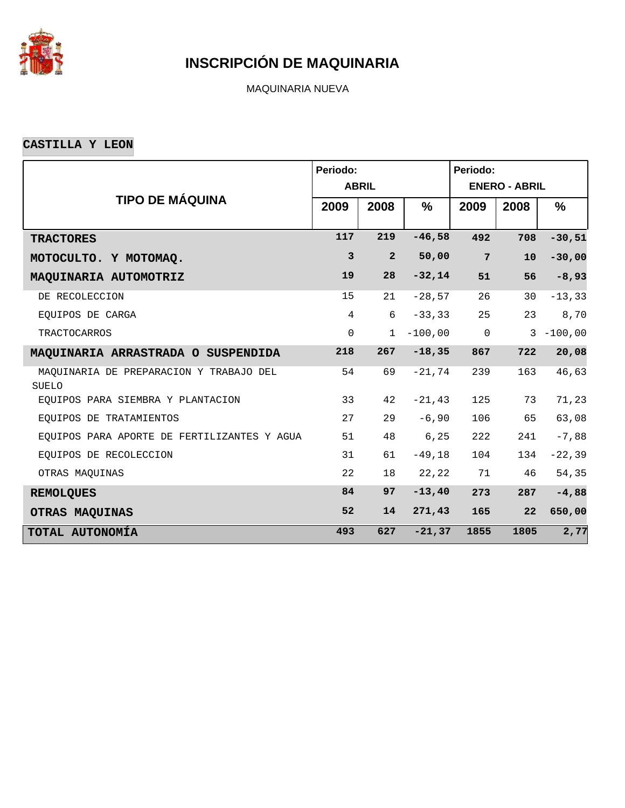

MAQUINARIA NUEVA

**CASTILLA Y LEON**

|                                                  | Periodo:       | <b>ABRIL</b>   |               | Periodo:<br><b>ENERO - ABRIL</b> |      |              |  |
|--------------------------------------------------|----------------|----------------|---------------|----------------------------------|------|--------------|--|
| <b>TIPO DE MÁQUINA</b>                           | 2009           | 2008           | $\frac{9}{6}$ | 2009                             | 2008 | %            |  |
| <b>TRACTORES</b>                                 | 117            | 219            | $-46,58$      | 492                              | 708  | $-30,51$     |  |
| MOTOCULTO. Y MOTOMAQ.                            | $\mathbf{3}$   | $\overline{2}$ | 50,00         | $7\phantom{.}$                   | 10   | $-30,00$     |  |
| MAQUINARIA AUTOMOTRIZ                            | 19             | 28             | $-32,14$      | 51                               | 56   | $-8,93$      |  |
| DE RECOLECCION                                   | 15             | 21             | $-28,57$      | 26                               | 30   | $-13, 33$    |  |
| EOUIPOS DE CARGA                                 | $\overline{4}$ | 6              | $-33, 33$     | 25                               | 23   | $8\,, 70$    |  |
| <b>TRACTOCARROS</b>                              | $\mathbf 0$    | $\mathbf{1}$   | $-100,00$     | $\mathbf 0$                      |      | $3 - 100,00$ |  |
| MAQUINARIA ARRASTRADA O SUSPENDIDA               | 218            | 267            | $-18, 35$     | 867                              | 722  | 20,08        |  |
| MAQUINARIA DE PREPARACION Y TRABAJO DEL<br>SUELO | 54             | 69             | $-21,74$      | 239                              | 163  | 46,63        |  |
| EOUIPOS PARA SIEMBRA Y PLANTACION                | 33             | 42             | $-21, 43$     | 125                              | 73   | 71,23        |  |
| EQUIPOS DE TRATAMIENTOS                          | 27             | 29             | $-6,90$       | 106                              | 65   | 63,08        |  |
| EQUIPOS PARA APORTE DE FERTILIZANTES Y AGUA      | 51             | 48             | 6, 25         | 222                              | 241  | $-7,88$      |  |
| EOUIPOS DE RECOLECCION                           | 31             | 61             | $-49,18$      | 104                              | 134  | $-22, 39$    |  |
| OTRAS MAQUINAS                                   | 22             | 18             | 22, 22        | 71                               | 46   | 54,35        |  |
| <b>REMOLQUES</b>                                 | 84             | 97             | $-13, 40$     | 273                              | 287  | $-4,88$      |  |
| OTRAS MAQUINAS                                   | 52             | 14             | 271,43        | 165                              | 22   | 650,00       |  |
| TOTAL AUTONOMÍA                                  | 493            | 627            | $-21, 37$     | 1855                             | 1805 | 2,77         |  |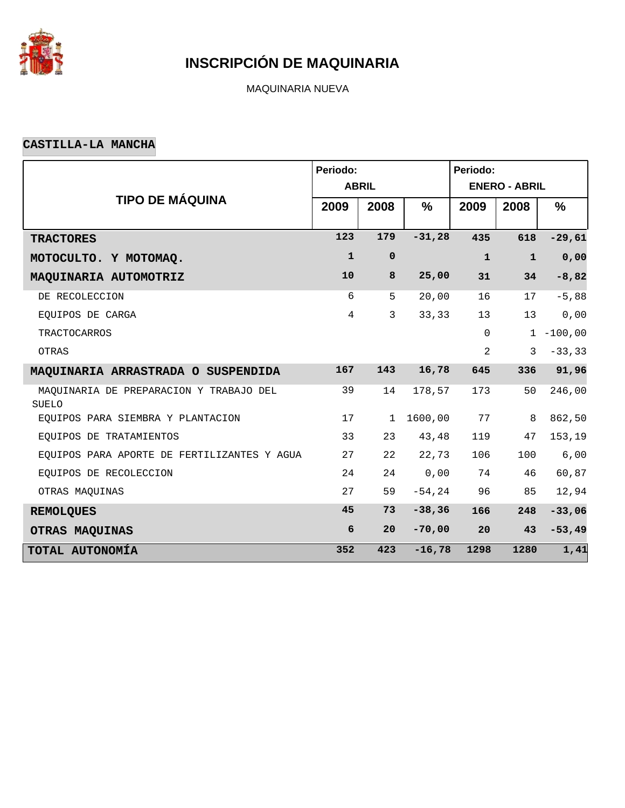

MAQUINARIA NUEVA

### **CASTILLA-LA MANCHA**

|                                                         | Periodo:       |              |               | Periodo:             |              |              |  |  |
|---------------------------------------------------------|----------------|--------------|---------------|----------------------|--------------|--------------|--|--|
|                                                         |                | <b>ABRIL</b> |               | <b>ENERO - ABRIL</b> |              |              |  |  |
| <b>TIPO DE MÁQUINA</b>                                  | 2009           | 2008         | $\frac{9}{6}$ | 2009                 | 2008         | $\%$         |  |  |
| <b>TRACTORES</b>                                        | 123            | 179          | $-31,28$      | 435                  | 618          | $-29,61$     |  |  |
| MOTOCULTO. Y MOTOMAQ.                                   | $\mathbf{1}$   | $\mathbf 0$  |               | $\mathbf{1}$         | $\mathbf{1}$ | 0,00         |  |  |
| MAQUINARIA AUTOMOTRIZ                                   | 10             | 8            | 25,00         | 31                   | 34           | $-8,82$      |  |  |
| DE RECOLECCION                                          | 6              | 5            | 20,00         | 16                   | 17           | $-5,88$      |  |  |
| EQUIPOS DE CARGA                                        | $\overline{4}$ | 3            | 33,33         | 13                   | 13           | 0,00         |  |  |
| <b>TRACTOCARROS</b>                                     |                |              |               | $\mathsf{O}$         |              | $1 - 100,00$ |  |  |
| OTRAS                                                   |                |              |               | $\overline{2}$       | 3            | $-33, 33$    |  |  |
| MAQUINARIA ARRASTRADA O SUSPENDIDA                      | 167            | 143          | 16,78         | 645                  | 336          | 91,96        |  |  |
| MAQUINARIA DE PREPARACION Y TRABAJO DEL<br><b>SUELO</b> | 39             | 14           | 178,57        | 173                  | 50           | 246,00       |  |  |
| EOUIPOS PARA SIEMBRA Y PLANTACION                       | 17             | $\mathbf{1}$ | 1600,00       | 77                   | 8            | 862,50       |  |  |
| EQUIPOS DE TRATAMIENTOS                                 | 33             | 23           | 43,48         | 119                  | 47           | 153,19       |  |  |
| EQUIPOS PARA APORTE DE FERTILIZANTES Y AGUA             | 27             | 22           | 22,73         | 106                  | 100          | 6,00         |  |  |
| EQUIPOS DE RECOLECCION                                  | 24             | 24           | 0,00          | 74                   | 46           | 60,87        |  |  |
| OTRAS MAQUINAS                                          | 27             | 59           | $-54, 24$     | 96                   | 85           | 12,94        |  |  |
| <b>REMOLQUES</b>                                        | 45             | 73           | $-38, 36$     | 166                  | 248          | $-33,06$     |  |  |
| OTRAS MAQUINAS                                          | 6              | 20           | $-70,00$      | 20                   | 43           | $-53,49$     |  |  |
| TOTAL AUTONOMÍA                                         | 352            | 423          | $-16,78$      | 1298                 | 1280         | 1,41         |  |  |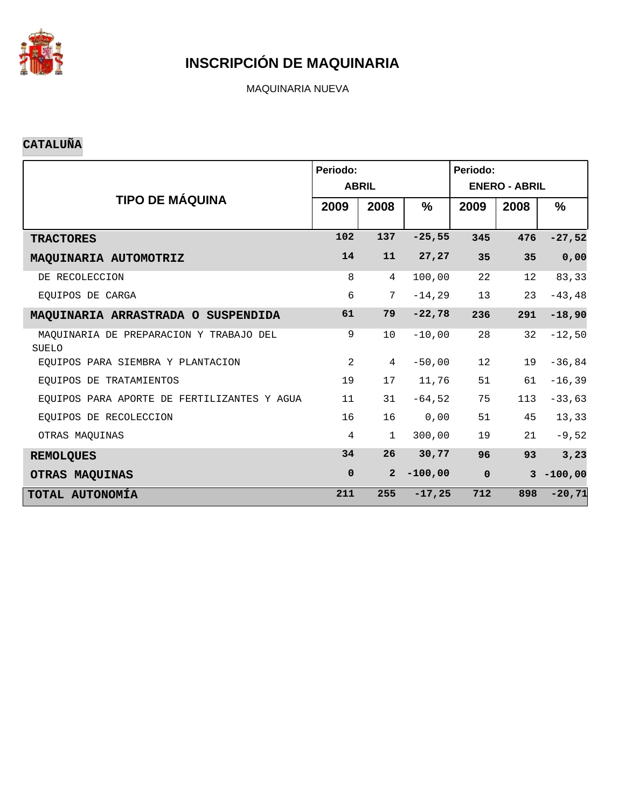

MAQUINARIA NUEVA

### **CATALUÑA**

|                                             | Periodo:       |                |           | Periodo:             |      |              |  |  |  |
|---------------------------------------------|----------------|----------------|-----------|----------------------|------|--------------|--|--|--|
|                                             |                | <b>ABRIL</b>   |           | <b>ENERO - ABRIL</b> |      |              |  |  |  |
| <b>TIPO DE MÁQUINA</b>                      | 2009           | 2008           | %         | 2009                 | 2008 | %            |  |  |  |
|                                             | 102            | 137            | $-25,55$  | 345                  | 476  | $-27,52$     |  |  |  |
| <b>TRACTORES</b>                            |                |                |           |                      |      |              |  |  |  |
| MAQUINARIA AUTOMOTRIZ                       | 14             | 11             | 27, 27    | 35                   | 35   | 0,00         |  |  |  |
| DE RECOLECCION                              | 8              | $\overline{4}$ | 100,00    | 22                   | 12   | 83,33        |  |  |  |
| EOUIPOS DE CARGA                            | 6              | 7              | $-14,29$  | 13                   | 23   | $-43, 48$    |  |  |  |
| MAQUINARIA ARRASTRADA O SUSPENDIDA          | 61             | 79             | $-22,78$  | 236                  | 291  | $-18,90$     |  |  |  |
| MAOUINARIA DE PREPARACION Y TRABAJO DEL     | 9              | 10             | $-10,00$  | 28                   | 32   | $-12,50$     |  |  |  |
| SUELO                                       |                |                |           |                      |      |              |  |  |  |
| EOUIPOS PARA SIEMBRA Y PLANTACION           | $\overline{a}$ | 4              | $-50,00$  | 12                   | 19   | $-36,84$     |  |  |  |
| EOUIPOS DE TRATAMIENTOS                     | 19             | 17             | 11,76     | 51                   | 61   | $-16, 39$    |  |  |  |
| EQUIPOS PARA APORTE DE FERTILIZANTES Y AGUA | 11             | 31             | $-64,52$  | 75                   | 113  | $-33,63$     |  |  |  |
| EOUIPOS DE RECOLECCION                      | 16             | 16             | 0,00      | 51                   | 45   | 13,33        |  |  |  |
| OTRAS MAOUINAS                              | $\overline{4}$ | 1              | 300,00    | 19                   | 21   | $-9,52$      |  |  |  |
| <b>REMOLQUES</b>                            | 34             | 26             | 30,77     | 96                   | 93   | 3,23         |  |  |  |
| OTRAS MAQUINAS                              | $\mathbf 0$    | $\overline{2}$ | $-100,00$ | $\mathbf 0$          |      | $3 - 100,00$ |  |  |  |
| TOTAL AUTONOMÍA                             | 211            | 255            | $-17,25$  | 712                  | 898  | $-20, 71$    |  |  |  |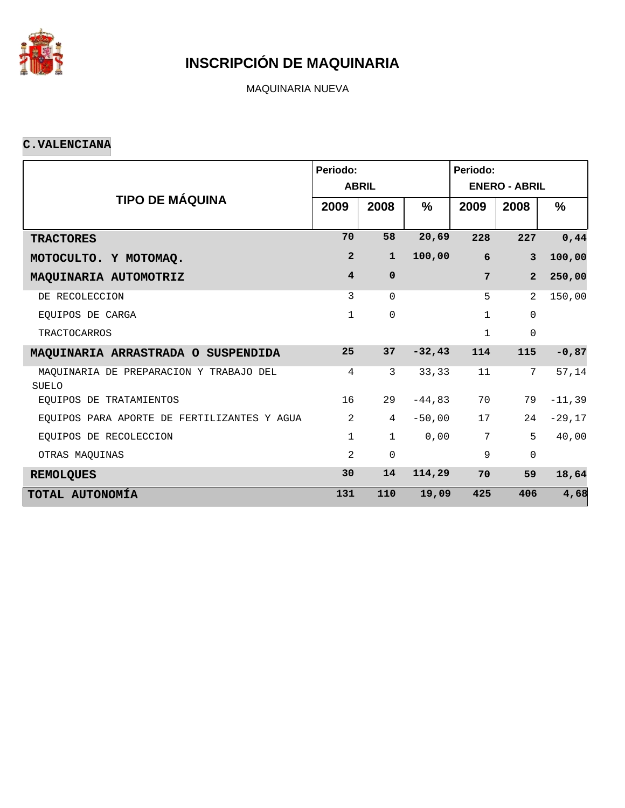

MAQUINARIA NUEVA

#### **C.VALENCIANA**

|                                                         | Periodo:                |                |           | Periodo:             |                 |          |  |  |  |
|---------------------------------------------------------|-------------------------|----------------|-----------|----------------------|-----------------|----------|--|--|--|
|                                                         |                         | <b>ABRIL</b>   |           | <b>ENERO - ABRIL</b> |                 |          |  |  |  |
| <b>TIPO DE MÁQUINA</b>                                  | 2009                    | 2008           | %         | 2009                 | 2008            | $\%$     |  |  |  |
| <b>TRACTORES</b>                                        | 70                      | 58             | 20,69     | 228                  | 227             | 0,44     |  |  |  |
| MOTOCULTO. Y MOTOMAQ.                                   | $\overline{2}$          | $\mathbf{1}$   | 100,00    | 6                    | $\overline{3}$  | 100,00   |  |  |  |
| MAQUINARIA AUTOMOTRIZ                                   | $\overline{\mathbf{4}}$ | $\mathbf 0$    |           | 7                    | $\overline{2}$  | 250,00   |  |  |  |
| DE RECOLECCION                                          | 3                       | $\Omega$       |           | 5                    | $\mathfrak{D}$  | 150,00   |  |  |  |
| EOUIPOS DE CARGA                                        | 1                       | 0              |           | $\mathbf{1}$         | $\mathbf 0$     |          |  |  |  |
| <b>TRACTOCARROS</b>                                     |                         |                |           | $\mathbf{1}$         | $\mathbf 0$     |          |  |  |  |
| MAQUINARIA ARRASTRADA O SUSPENDIDA                      | 25                      | 37             | $-32, 43$ | 114                  | 115             | $-0,87$  |  |  |  |
| MAQUINARIA DE PREPARACION Y TRABAJO DEL<br><b>SUELO</b> | 4                       | 3              | 33,33     | 11                   | $7\phantom{.0}$ | 57,14    |  |  |  |
| EOUIPOS DE TRATAMIENTOS                                 | 16                      | 29             | $-44,83$  | 70                   | 79              | $-11,39$ |  |  |  |
| EOUIPOS PARA APORTE DE FERTILIZANTES Y AGUA             | $\overline{2}$          | $\overline{4}$ | $-50,00$  | 17                   | 24              | $-29,17$ |  |  |  |
| EOUIPOS DE RECOLECCION                                  | 1                       | $\mathbf{1}$   | 0,00      | 7                    | 5               | 40,00    |  |  |  |
| OTRAS MAOUINAS                                          | $\overline{2}$          | 0              |           | 9                    | $\mathsf 0$     |          |  |  |  |
| <b>REMOLQUES</b>                                        | 30                      | 14             | 114,29    | 70                   | 59              | 18,64    |  |  |  |
| TOTAL AUTONOMÍA                                         | 131                     | 110            | 19,09     | 425                  | 406             | 4,68     |  |  |  |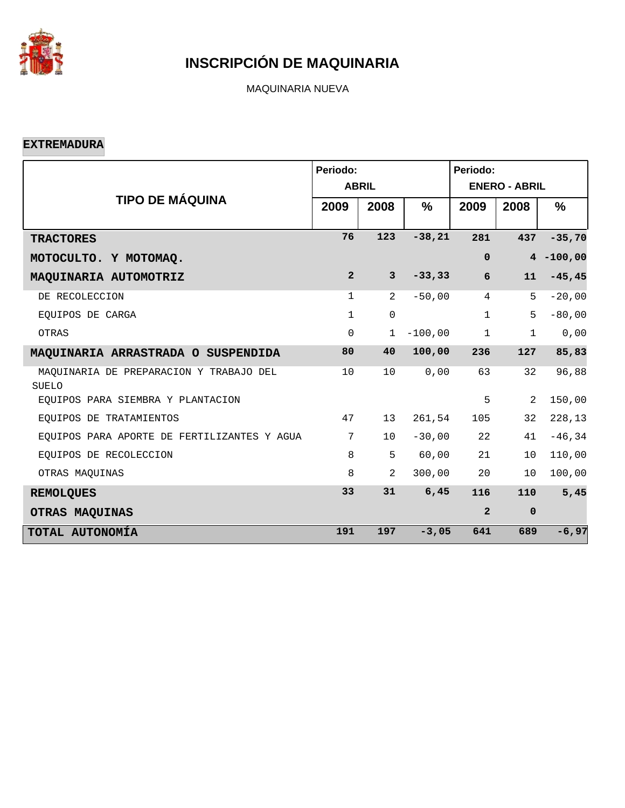

MAQUINARIA NUEVA

#### **EXTREMADURA**

|                                                         | Periodo:       | <b>ABRIL</b>   |           | Periodo:<br><b>ENERO - ABRIL</b> |              |              |  |  |
|---------------------------------------------------------|----------------|----------------|-----------|----------------------------------|--------------|--------------|--|--|
| <b>TIPO DE MÁQUINA</b>                                  | 2009           | 2008           | %         | 2009                             | 2008         | %            |  |  |
| <b>TRACTORES</b>                                        | 76             | 123            | $-38,21$  | 281                              | 437          | $-35,70$     |  |  |
| MOTOCULTO. Y MOTOMAQ.                                   |                |                |           | $\mathbf 0$                      |              | $4 - 100,00$ |  |  |
| MAQUINARIA AUTOMOTRIZ                                   | $\overline{2}$ | $\overline{3}$ | $-33, 33$ | $6\phantom{1}$                   | 11           | $-45, 45$    |  |  |
| DE RECOLECCION                                          | $\mathbf{1}$   | 2              | $-50,00$  | $\overline{4}$                   | 5            | $-20,00$     |  |  |
| EOUIPOS DE CARGA                                        | $\mathbf{1}$   | $\mathbf 0$    |           | $\mathbf{1}$                     | 5            | $-80,00$     |  |  |
| OTRAS                                                   | 0              | $\mathbf 1$    | $-100,00$ | $\mathbf{1}$                     | $\mathbf{1}$ | 0,00         |  |  |
| MAQUINARIA ARRASTRADA O SUSPENDIDA                      | 80             | 40             | 100,00    | 236                              | 127          | 85,83        |  |  |
| MAOUINARIA DE PREPARACION Y TRABAJO DEL<br><b>SUELO</b> | 10             | 10             | 0,00      | 63                               | 32           | 96,88        |  |  |
| EQUIPOS PARA SIEMBRA Y PLANTACION                       |                |                |           | 5                                | 2            | 150,00       |  |  |
| EQUIPOS DE TRATAMIENTOS                                 | 47             | 13             | 261,54    | 105                              | 32           | 228,13       |  |  |
| EQUIPOS PARA APORTE DE FERTILIZANTES Y AGUA             | 7              | 10             | $-30,00$  | 22                               | 41           | $-46, 34$    |  |  |
| EQUIPOS DE RECOLECCION                                  | 8              | 5              | 60,00     | 21                               | 10           | 110,00       |  |  |
| OTRAS MAQUINAS                                          | 8              | $\overline{2}$ | 300,00    | 20                               | 10           | 100,00       |  |  |
| <b>REMOLQUES</b>                                        | 33             | 31             | 6,45      | 116                              | 110          | 5,45         |  |  |
| OTRAS MAQUINAS                                          |                |                |           | $\overline{a}$                   | $\mathbf 0$  |              |  |  |
| TOTAL AUTONOMÍA                                         | 191            | 197            | $-3,05$   | 641                              | 689          | $-6,97$      |  |  |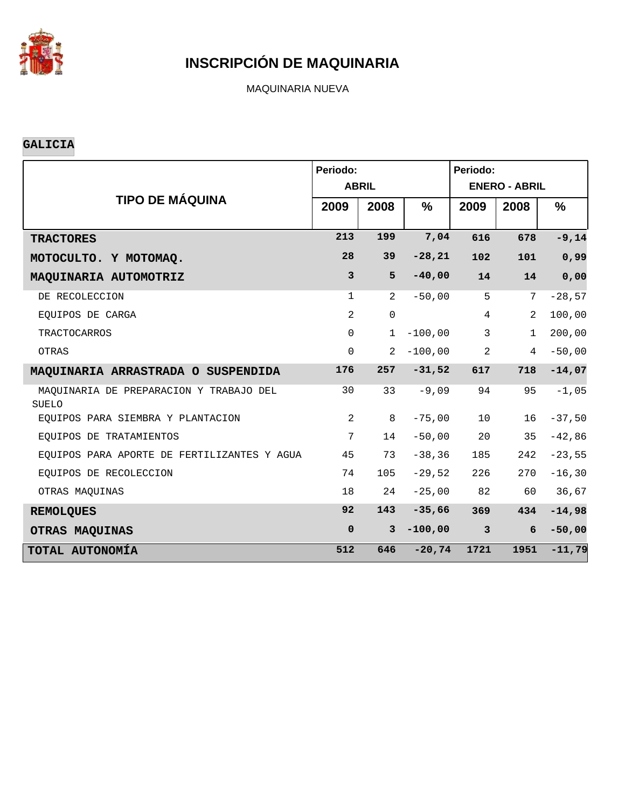

MAQUINARIA NUEVA

### **GALICIA**

|                                                         | Periodo:       | <b>ABRIL</b>   |           | Periodo:<br><b>ENERO - ABRIL</b> |                |           |  |  |
|---------------------------------------------------------|----------------|----------------|-----------|----------------------------------|----------------|-----------|--|--|
| <b>TIPO DE MÁQUINA</b>                                  | 2009           | 2008           | %         | 2009                             | 2008           | %         |  |  |
| <b>TRACTORES</b>                                        | 213            | 199            | 7,04      | 616                              | 678            | $-9,14$   |  |  |
| MOTOCULTO. Y MOTOMAQ.                                   | 28             | 39             | $-28, 21$ | 102                              | 101            | 0,99      |  |  |
| MAQUINARIA AUTOMOTRIZ                                   | $\mathbf{3}$   | 5              | $-40,00$  | 14                               | 14             | 0,00      |  |  |
| DE RECOLECCION                                          | $\mathbf{1}$   | 2              | $-50,00$  | 5                                | 7              | $-28,57$  |  |  |
| EQUIPOS DE CARGA                                        | $\overline{2}$ | $\mathbf 0$    |           | $\overline{4}$                   | 2              | 100,00    |  |  |
| <b>TRACTOCARROS</b>                                     | $\Omega$       | $\mathbf 1$    | $-100,00$ | 3                                | $\mathbf{1}$   | 200,00    |  |  |
| OTRAS                                                   | $\mathbf 0$    | $\overline{2}$ | $-100,00$ | 2                                | $\overline{4}$ | $-50,00$  |  |  |
| MAQUINARIA ARRASTRADA O SUSPENDIDA                      | 176            | 257            | $-31,52$  | 617                              | 718            | $-14,07$  |  |  |
| MAQUINARIA DE PREPARACION Y TRABAJO DEL<br><b>SUELO</b> | 30             | 33             | $-9,09$   | 94                               | 95             | $-1,05$   |  |  |
| EOUIPOS PARA SIEMBRA Y PLANTACION                       | 2              | 8              | $-75,00$  | 10                               | 16             | $-37,50$  |  |  |
| EQUIPOS DE TRATAMIENTOS                                 | 7              | 14             | $-50,00$  | 20                               | 35             | $-42,86$  |  |  |
| EOUIPOS PARA APORTE DE FERTILIZANTES Y AGUA             | 45             | 73             | $-38, 36$ | 185                              | 242            | $-23,55$  |  |  |
| EQUIPOS DE RECOLECCION                                  | 74             | 105            | $-29,52$  | 226                              | 270            | $-16, 30$ |  |  |
| OTRAS MAQUINAS                                          | 18             | 24             | $-25,00$  | 82                               | 60             | 36,67     |  |  |
| <b>REMOLQUES</b>                                        | 92             | 143            | $-35,66$  | 369                              | 434            | $-14,98$  |  |  |
| OTRAS MAQUINAS                                          | $\mathbf 0$    | $\overline{3}$ | $-100,00$ | $\overline{\mathbf{3}}$          | 6              | $-50,00$  |  |  |
| TOTAL AUTONOMÍA                                         | 512            | 646            | $-20,74$  | 1721                             | 1951           | $-11,79$  |  |  |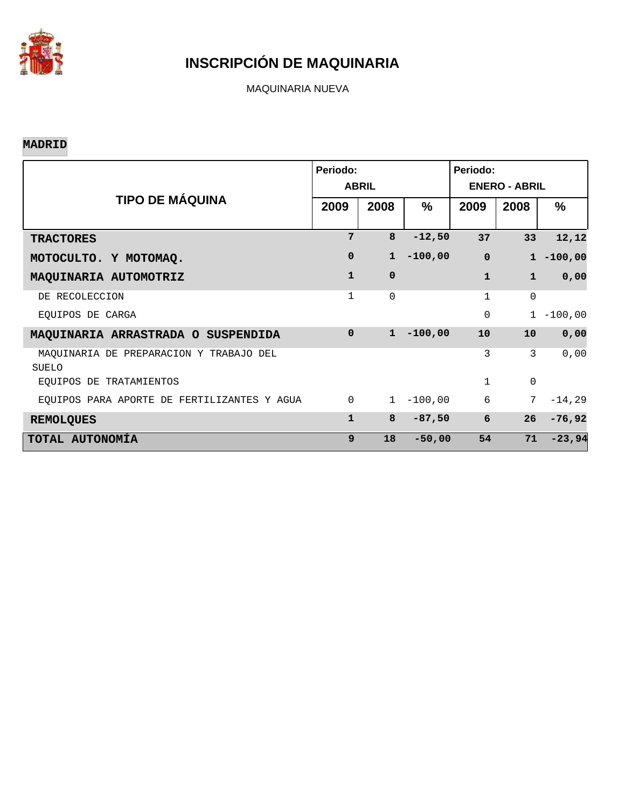

MAQUINARIA NUEVA

### **MADRID**

|                                                  | Periodo:     | <b>ABRIL</b> |               | Periodo:<br><b>ENERO - ABRIL</b> |              |               |  |  |  |
|--------------------------------------------------|--------------|--------------|---------------|----------------------------------|--------------|---------------|--|--|--|
| <b>TIPO DE MÁQUINA</b>                           | 2009         | 2008         | $\frac{9}{6}$ | 2009                             | 2008         | $\frac{9}{6}$ |  |  |  |
| <b>TRACTORES</b>                                 | 7            | 8            | $-12,50$      | 37                               | 33           | 12,12         |  |  |  |
| MOTOCULTO. Y MOTOMAQ.                            | $\mathbf 0$  | $\mathbf{1}$ | $-100,00$     | $\mathbf 0$                      |              | $1 - 100,00$  |  |  |  |
| MAQUINARIA AUTOMOTRIZ                            | $\mathbf{1}$ | $\Omega$     |               | $\mathbf{1}$                     | $\mathbf{1}$ | 0,00          |  |  |  |
| DE RECOLECCION                                   | 1            | $\Omega$     |               | $\mathbf 1$                      | $\mathbf 0$  |               |  |  |  |
| EQUIPOS DE CARGA                                 |              |              |               | $\Omega$                         | 1            | $-100,00$     |  |  |  |
| MAQUINARIA ARRASTRADA O SUSPENDIDA               | $\Omega$     | $\mathbf{1}$ | $-100,00$     | 10                               | 10           | 0,00          |  |  |  |
| MAQUINARIA DE PREPARACION Y TRABAJO DEL<br>SUELO |              |              |               | 3                                | 3            | 0,00          |  |  |  |
| EQUIPOS DE TRATAMIENTOS                          |              |              |               | $\mathbf{1}$                     | $\mathbf{0}$ |               |  |  |  |
| EQUIPOS PARA APORTE DE FERTILIZANTES Y AGUA      | $\Omega$     | $\mathbf{1}$ | $-100,00$     | 6                                | 7            | $-14, 29$     |  |  |  |
| <b>REMOLQUES</b>                                 | $\mathbf{1}$ | 8            | $-87,50$      | 6                                | 26           | $-76,92$      |  |  |  |
| TOTAL AUTONOMÍA                                  | 9            | 18           | $-50,00$      | 54                               | 71           | $-23,94$      |  |  |  |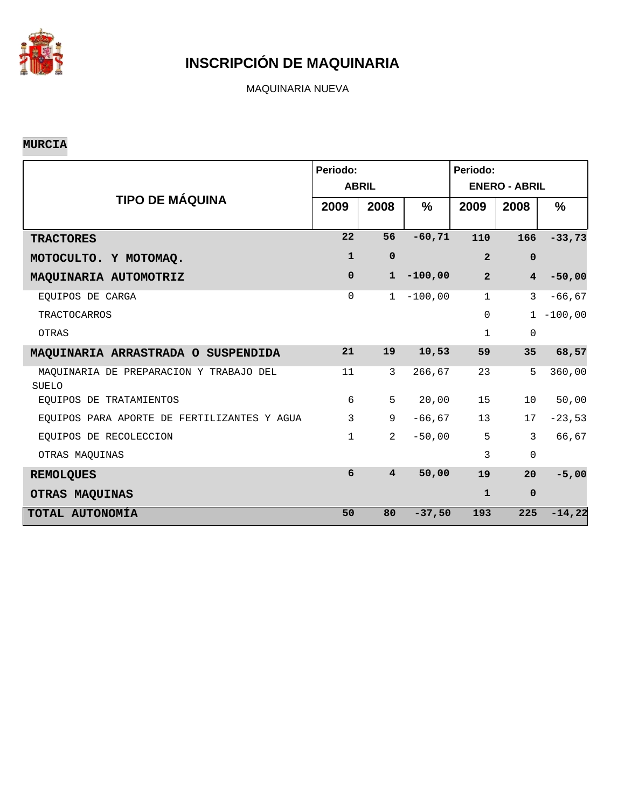

MAQUINARIA NUEVA

### **MURCIA**

|                                                         | Periodo:     | <b>ABRIL</b>   |           | Periodo:<br><b>ENERO - ABRIL</b> |                         |           |  |  |
|---------------------------------------------------------|--------------|----------------|-----------|----------------------------------|-------------------------|-----------|--|--|
| <b>TIPO DE MÁQUINA</b>                                  | 2009         | 2008           | $\%$      | 2009                             | 2008                    | %         |  |  |
| <b>TRACTORES</b>                                        | 22           | 56             | $-60, 71$ | 110                              | 166                     | $-33,73$  |  |  |
| MOTOCULTO. Y MOTOMAQ.                                   | $\mathbf{1}$ | $\mathbf 0$    |           | $\overline{2}$                   | $\mathbf 0$             |           |  |  |
| MAQUINARIA AUTOMOTRIZ                                   | $\mathbf 0$  | $\mathbf{1}$   | $-100,00$ | $\overline{2}$                   | $\overline{\mathbf{4}}$ | $-50,00$  |  |  |
| EOUIPOS DE CARGA                                        | 0            | $\mathbf{1}$   | $-100,00$ | $\mathbf{1}$                     | 3                       | $-66, 67$ |  |  |
| <b>TRACTOCARROS</b>                                     |              |                |           | $\mathsf{O}$                     | $\mathbf{1}$            | $-100,00$ |  |  |
| <b>OTRAS</b>                                            |              |                |           | $\mathbf{1}$                     | $\mathbf 0$             |           |  |  |
| MAQUINARIA ARRASTRADA O SUSPENDIDA                      | 21           | 19             | 10,53     | 59                               | 35                      | 68,57     |  |  |
| MAQUINARIA DE PREPARACION Y TRABAJO DEL<br><b>SUELO</b> | 11           | $\mathbf{3}$   | 266,67    | 23                               | 5                       | 360,00    |  |  |
| EOUIPOS DE TRATAMIENTOS                                 | 6            | 5              | 20,00     | 15                               | 10                      | 50,00     |  |  |
| EQUIPOS PARA APORTE DE FERTILIZANTES Y AGUA             | 3            | 9              | $-66, 67$ | 13                               | 17                      | $-23,53$  |  |  |
| EQUIPOS DE RECOLECCION                                  | $\mathbf{1}$ | $\overline{2}$ | $-50,00$  | 5                                | $\mathbf{3}$            | 66,67     |  |  |
| OTRAS MAQUINAS                                          |              |                |           | 3                                | $\mathbf{0}$            |           |  |  |
| <b>REMOLQUES</b>                                        | 6            | $\overline{4}$ | 50,00     | 19                               | 20                      | $-5,00$   |  |  |
| OTRAS MAQUINAS                                          |              |                |           | $\mathbf{1}$                     | $\mathbf 0$             |           |  |  |
| TOTAL AUTONOMÍA                                         | 50           | 80             | $-37,50$  | 193                              | 225                     | $-14,22$  |  |  |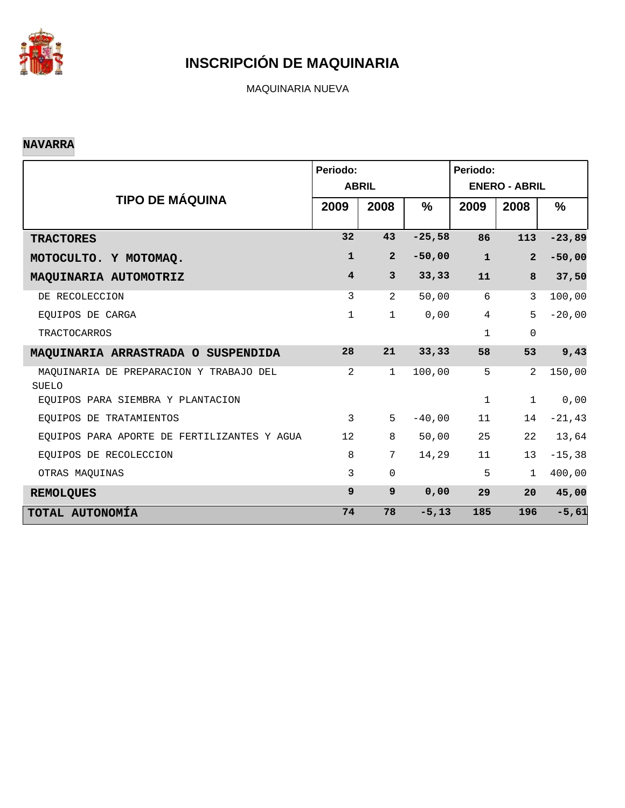

MAQUINARIA NUEVA

### **NAVARRA**

|                                                         | Periodo:        | <b>ABRIL</b>   |               | Periodo:<br><b>ENERO - ABRIL</b> |                |           |  |  |
|---------------------------------------------------------|-----------------|----------------|---------------|----------------------------------|----------------|-----------|--|--|
| <b>TIPO DE MÁQUINA</b>                                  | 2009            | 2008           | $\frac{9}{6}$ | 2009                             | 2008           | $\%$      |  |  |
| <b>TRACTORES</b>                                        | 32              | 43             | $-25,58$      | 86                               | 113            | $-23,89$  |  |  |
| MOTOCULTO. Y MOTOMAQ.                                   | $\mathbf{1}$    | $\overline{2}$ | $-50,00$      | $\mathbf{1}$                     | $\overline{a}$ | $-50,00$  |  |  |
| MAQUINARIA AUTOMOTRIZ                                   | $\overline{4}$  | $\mathbf{3}$   | 33, 33        | 11                               | 8              | 37,50     |  |  |
| DE RECOLECCION                                          | 3               | 2              | 50,00         | 6                                | 3              | 100,00    |  |  |
| EOUIPOS DE CARGA                                        | $\mathbf{1}$    | $\mathbf{1}$   | 0,00          | $\overline{4}$                   | 5              | $-20,00$  |  |  |
| <b>TRACTOCARROS</b>                                     |                 |                |               | $\mathbf{1}$                     | 0              |           |  |  |
| MAQUINARIA ARRASTRADA O SUSPENDIDA                      | 28              | 21             | 33, 33        | 58                               | 53             | 9,43      |  |  |
| MAQUINARIA DE PREPARACION Y TRABAJO DEL<br><b>SUELO</b> | $\overline{2}$  | $\mathbf 1$    | 100,00        | 5                                | 2              | 150,00    |  |  |
| EQUIPOS PARA SIEMBRA Y PLANTACION                       |                 |                |               | $\mathbf{1}$                     | $\mathbf 1$    | 0,00      |  |  |
| EQUIPOS DE TRATAMIENTOS                                 | 3               | 5              | $-40,00$      | 11                               | 14             | $-21, 43$ |  |  |
| EQUIPOS PARA APORTE DE FERTILIZANTES Y AGUA             | 12 <sup>°</sup> | 8              | 50,00         | 25                               | 22             | 13,64     |  |  |
| EOUIPOS DE RECOLECCION                                  | 8               | 7              | 14,29         | 11                               | 13             | $-15, 38$ |  |  |
| OTRAS MAQUINAS                                          | 3               | $\mathbf 0$    |               | 5                                | $\mathbf{1}$   | 400,00    |  |  |
| <b>REMOLQUES</b>                                        | 9               | $\overline{9}$ | 0,00          | 29                               | 20             | 45,00     |  |  |
| TOTAL AUTONOMÍA                                         | 74              | 78             | $-5, 13$      | 185                              | 196            | $-5,61$   |  |  |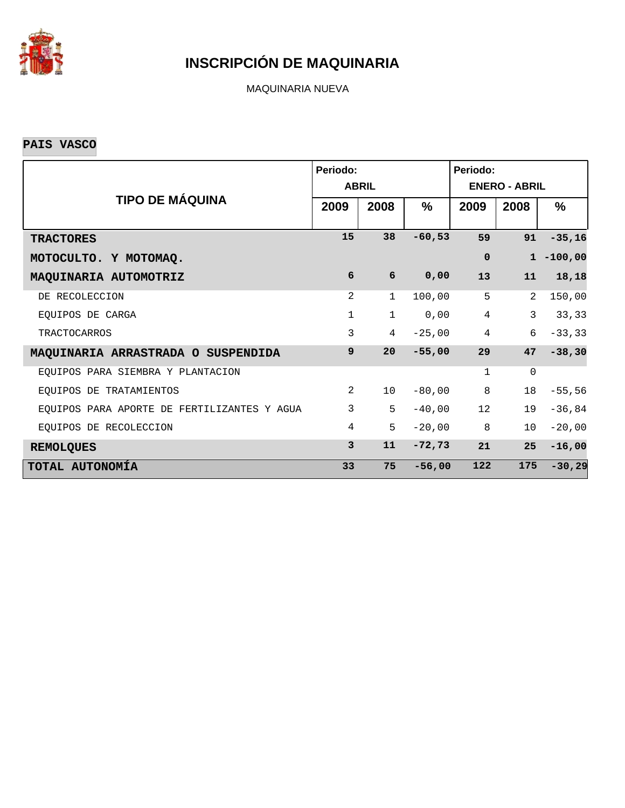

MAQUINARIA NUEVA

### **PAIS VASCO**

|                                             | Periodo:       | <b>ABRIL</b>    |               | Periodo:<br><b>ENERO - ABRIL</b> |             |              |  |  |
|---------------------------------------------|----------------|-----------------|---------------|----------------------------------|-------------|--------------|--|--|
| <b>TIPO DE MÁQUINA</b>                      | 2009           | 2008            | $\frac{9}{6}$ | 2009                             | 2008        | $\%$         |  |  |
| <b>TRACTORES</b>                            | 15             | 38              | $-60,53$      | 59                               | 91          | $-35,16$     |  |  |
| MOTOCULTO. Y MOTOMAQ.                       |                |                 |               | $\Omega$                         |             | $1 - 100,00$ |  |  |
| MAQUINARIA AUTOMOTRIZ                       | 6              | 6               | 0,00          | 13                               | 11          | 18,18        |  |  |
| DE RECOLECCION                              | 2              | $\mathbf 1$     | 100,00        | 5                                | 2           | 150,00       |  |  |
| EQUIPOS DE CARGA                            | 1              | $\mathbf{1}$    | 0,00          | $\overline{4}$                   | 3           | 33,33        |  |  |
| TRACTOCARROS                                | 3              | 4               | $-25,00$      | $\overline{4}$                   | 6           | $-33, 33$    |  |  |
| MAQUINARIA ARRASTRADA O SUSPENDIDA          | 9              | 20              | $-55,00$      | 29                               | 47          | $-38, 30$    |  |  |
| EQUIPOS PARA SIEMBRA Y PLANTACION           |                |                 |               | $\mathbf 1$                      | $\mathbf 0$ |              |  |  |
| EQUIPOS DE TRATAMIENTOS                     | 2              | 10 <sup>°</sup> | $-80,00$      | 8                                | 18          | $-55,56$     |  |  |
| EQUIPOS PARA APORTE DE FERTILIZANTES Y AGUA | 3              | 5               | $-40,00$      | 12                               | 19          | $-36,84$     |  |  |
| EQUIPOS DE RECOLECCION                      | $\overline{4}$ | 5               | $-20,00$      | 8                                | 10          | $-20,00$     |  |  |
| <b>REMOLQUES</b>                            | 3              | 11              | $-72,73$      | 21                               | 25          | $-16,00$     |  |  |
| TOTAL AUTONOMÍA                             | 33             | 75              | $-56,00$      | 122                              | 175         | $-30,29$     |  |  |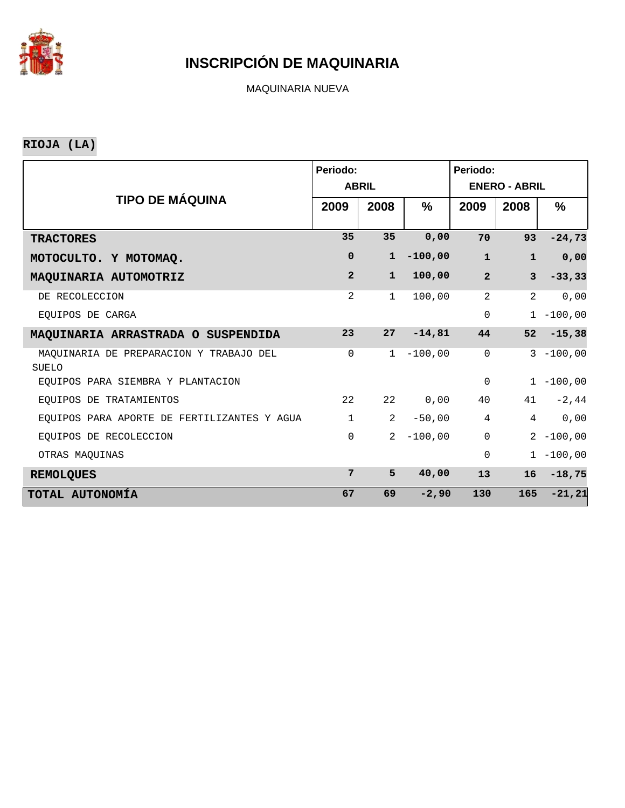

MAQUINARIA NUEVA

**RIOJA (LA)**

|                                                  | Periodo:       | <b>ABRIL</b>   |               | Periodo:<br><b>ENERO - ABRIL</b> |                |              |  |  |
|--------------------------------------------------|----------------|----------------|---------------|----------------------------------|----------------|--------------|--|--|
| <b>TIPO DE MÁQUINA</b>                           | 2009           | 2008           | $\frac{9}{6}$ | 2009                             | 2008           | $\%$         |  |  |
| <b>TRACTORES</b>                                 | 35             | 35             | 0,00          | 70                               | 93             | $-24,73$     |  |  |
| MOTOCULTO. Y MOTOMAQ.                            | $\mathbf 0$    | $\mathbf{1}$   | $-100,00$     | $\mathbf{1}$                     | $\mathbf{1}$   | 0,00         |  |  |
| MAQUINARIA AUTOMOTRIZ                            | $\overline{2}$ | $\mathbf{1}$   | 100,00        | $\overline{a}$                   | 3              | $-33, 33$    |  |  |
| DE RECOLECCION                                   | 2              | $\mathbf{1}$   | 100,00        | $\overline{2}$                   | $\overline{2}$ | 0,00         |  |  |
| EOUIPOS DE CARGA                                 |                |                |               | $\Omega$                         |                | $1 - 100,00$ |  |  |
| MAQUINARIA ARRASTRADA O SUSPENDIDA               | 23             | 27             | $-14,81$      | 44                               | 52             | $-15,38$     |  |  |
| MAQUINARIA DE PREPARACION Y TRABAJO DEL<br>SUELO | $\mathbf 0$    | $\mathbf{1}$   | $-100,00$     | $\mathbf 0$                      |                | $3 - 100,00$ |  |  |
| EOUIPOS PARA SIEMBRA Y PLANTACION                |                |                |               | $\Omega$                         |                | $1 - 100,00$ |  |  |
| EOUIPOS DE TRATAMIENTOS                          | 22             | 22             | 0,00          | 40                               | 41             | $-2, 44$     |  |  |
| EQUIPOS PARA APORTE DE FERTILIZANTES Y AGUA      | $\mathbf{1}$   | $\overline{2}$ | $-50,00$      | $\overline{4}$                   | $\overline{4}$ | $0,00$       |  |  |
| EOUIPOS DE RECOLECCION                           | $\mathbf 0$    | $\overline{a}$ | $-100,00$     | $\mathbf 0$                      |                | $2 - 100,00$ |  |  |
| OTRAS MAQUINAS                                   |                |                |               | $\Omega$                         |                | $1 - 100,00$ |  |  |
| <b>REMOLQUES</b>                                 | 7              | 5              | 40,00         | 13                               | 16             | $-18,75$     |  |  |
| TOTAL AUTONOMÍA                                  | 67             | 69             | $-2,90$       | 130                              | 165            | $-21, 21$    |  |  |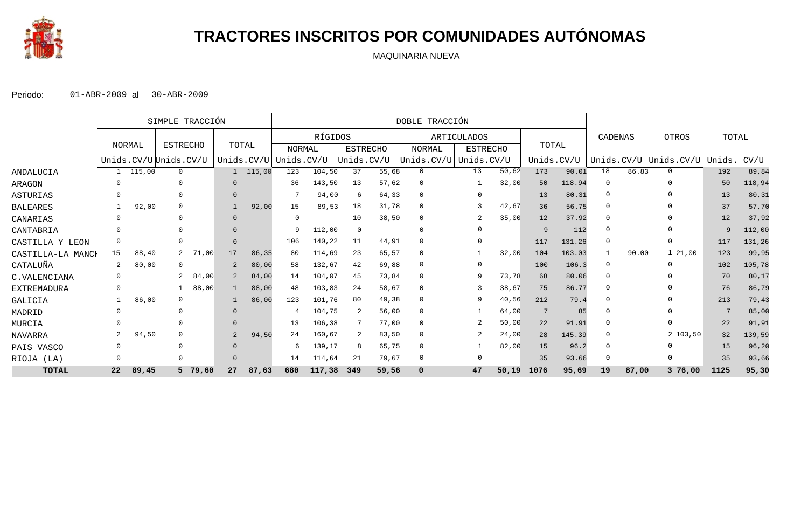

# **TRACTORES INSCRITOS POR COMUNIDADES AUTÓNOMAS**

MAQUINARIA NUEVA

|                    |              |        | SIMPLE TRACCIÓN       |         |                |        | DOBLE TRACCIÓN        |         |            |                 |               |  |                 |        |            |        |                |       |                       |        |        |
|--------------------|--------------|--------|-----------------------|---------|----------------|--------|-----------------------|---------|------------|-----------------|---------------|--|-----------------|--------|------------|--------|----------------|-------|-----------------------|--------|--------|
|                    |              |        |                       |         |                |        |                       | RÍGIDOS |            |                 |               |  | ARTICULADOS     |        |            |        | CADENAS        |       | OTROS                 | TOTAL  |        |
|                    | NORMAL       |        | <b>ESTRECHO</b>       |         | TOTAL          |        | <b>NORMAL</b>         |         |            | <b>ESTRECHO</b> | <b>NORMAL</b> |  | <b>ESTRECHO</b> |        | TOTAL      |        |                |       |                       |        |        |
|                    |              |        | Unids.CV/UUUnids.CV/U |         |                |        | Unids.CV/U Unids.CV/U |         | Unids.CV/U |                 | Unids.CV/U    |  | Unids.CV/U      |        | Unids.CV/U |        |                |       | Unids.CV/U Unids.CV/U | Unids. | CV/U   |
| ANDALUCIA          | 1            | 115,00 | $\mathbf{0}$          |         |                | 115,00 | 123                   | 104,50  | 37         | 55,68           | $\mathbf{0}$  |  | 13              | 50,62  | 173        | 90.01  | 18             | 86.83 | $\Omega$              | 192    | 89,84  |
| ARAGON             | 0            |        | $\Omega$              |         |                |        | 36                    | 143,50  | 13         | 57,62           | 0             |  |                 | 32,00  | 50         | 118.94 | $\Omega$       |       | $\cap$                | 50     | 118,94 |
| ASTURIAS           |              |        | $\Omega$              |         |                |        |                       | 94,00   | 6          | 64,33           | $\Omega$      |  | $\Omega$        |        | 13         | 80.31  | $\Omega$       |       |                       | 13     | 80, 31 |
| <b>BALEARES</b>    |              | 92,00  | $\Omega$              |         |                | 92,00  | 15                    | 89,53   | 18         | 31,78           | $\mathbf 0$   |  |                 | 42,67  | 36         | 56.75  | $\Omega$       |       |                       | 37     | 57,70  |
| CANARIAS           | 0            |        | $\Omega$              |         |                |        | $\Omega$              |         | 10         | 38,50           | 0             |  |                 | 35,00  | 12         | 37.92  | $\Omega$       |       |                       | 12     | 37,92  |
| CANTABRIA          | 0            |        |                       |         |                |        | 9                     | 112,00  | 0          |                 | $\Omega$      |  | $\Omega$        |        | 9          | 112    | $\Omega$       |       |                       | 9      | 112,00 |
| CASTILLA Y LEON    | 0            |        | $\Omega$              |         | $\Omega$       |        | 106                   | 140,22  | 11         | 44,91           | $\Omega$      |  | $\Omega$        |        | 117        | 131.26 | $\overline{0}$ |       | $\Omega$              | 117    | 131,26 |
| CASTILLA-LA MANCH  | 15           | 88,40  |                       | 71,00   | 17             | 86,35  | 80                    | 114,69  | 23         | 65,57           | $\Omega$      |  |                 | 32,00  | 104        | 103.03 |                | 90.00 | 1, 21, 00             | 123    | 99,95  |
| CATALUÑA           | 2            | 80,00  | $\Omega$              |         |                | 80,00  | 58                    | 132,67  | 42         | 69,88           | $\Omega$      |  | $\Omega$        |        | 100        | 106.3  | $\overline{0}$ |       | $\Omega$              | 102    | 105,78 |
| C.VALENCIANA       | $\Omega$     |        | 2                     | 84,00   |                | 84,00  | 14                    | 104,07  | 45         | 73,84           | $\Omega$      |  | 9               | 73,78  | 68         | 80.06  | $\Omega$       |       |                       | 70     | 80,17  |
| <b>EXTREMADURA</b> | 0            |        |                       | 88,00   |                | 88,00  | 48                    | 103,83  | 24         | 58,67           | 0             |  |                 | 38,67  | 75         | 86.77  | $\Omega$       |       |                       | 76     | 86,79  |
| GALICIA            |              | 86,00  | $\Omega$              |         |                | 86,00  | 123                   | 101,76  | 80         | 49,38           | $\Omega$      |  |                 | 40,56  | 212        | 79.4   | $\Omega$       |       |                       | 213    | 79,43  |
| MADRID             | $\Omega$     |        | $\Omega$              |         |                |        |                       | 104,75  | -2         | 56,00           | $\Omega$      |  |                 | 64,00  | 7          | 85     | $\Omega$       |       |                       | 7      | 85,00  |
| MURCIA             | <sup>0</sup> |        | $\Omega$              |         |                |        | 13                    | 106,38  |            | 77,00           | $\Omega$      |  |                 | 50,00  | 22         | 91.91  | $\Omega$       |       |                       | 22     | 91,91  |
| NAVARRA            | 2            | 94,50  | $\Omega$              |         | $\overline{2}$ | 94,50  | 24                    | 160,67  | 2          | 83,50           | 0             |  | 2               | 24,00  | 28         | 145.39 | $\Omega$       |       | 2 103,50              | 32     | 139,59 |
| PAIS VASCO         | $\mathbf 0$  |        | $\Omega$              |         |                |        |                       | 139,17  | 8          | 65,75           | 0             |  |                 | 82,00  | 15         | 96.2   | $\Omega$       |       |                       | 15     | 96,20  |
| RIOJA (LA)         | $\mathbf 0$  |        | $\Omega$              |         |                |        | 14                    | 114,64  | 21         | 79,67           | 0             |  | $\Omega$        |        | 35         | 93.66  | $\Omega$       |       |                       | 35     | 93,66  |
| <b>TOTAL</b>       | 22           | 89,45  |                       | 5 79,60 | 27             | 87,63  | 680                   | 117,38  | 349        | 59,56           | $\mathbf 0$   |  | 47              | 50, 19 | 1076       | 95,69  | 19             | 87,00 | 376,00                | 1125   | 95,30  |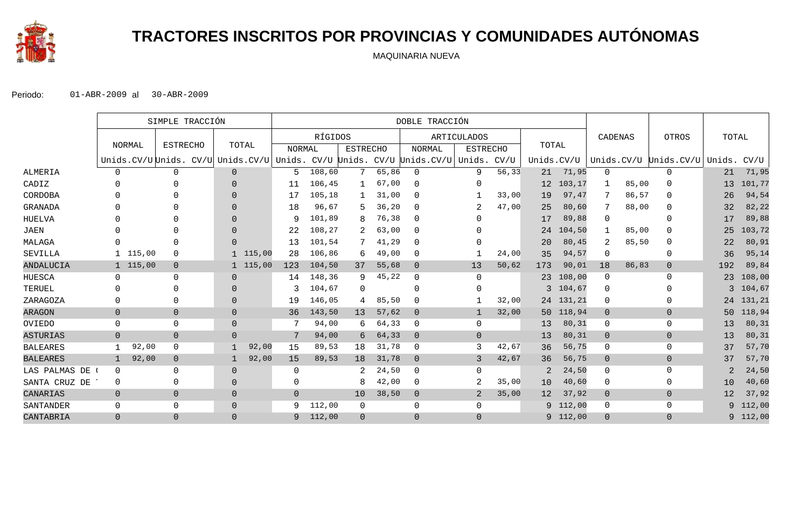

# **TRACTORES INSCRITOS POR PROVINCIAS Y COMUNIDADES AUTÓNOMAS**

MAQUINARIA NUEVA

|                 |                |          | SIMPLE TRACCIÓN                                                                  |          |          |                | DOBLE TRACCIÓN |                 |       |                |                    |       |            |            |                |       |                       |                |          |
|-----------------|----------------|----------|----------------------------------------------------------------------------------|----------|----------|----------------|----------------|-----------------|-------|----------------|--------------------|-------|------------|------------|----------------|-------|-----------------------|----------------|----------|
|                 |                |          |                                                                                  |          |          |                | RÍGIDOS        |                 |       |                | <b>ARTICULADOS</b> |       | TOTAL      |            | CADENAS        |       | OTROS                 | TOTAL          |          |
|                 |                | NORMAL   | <b>ESTRECHO</b>                                                                  |          | TOTAL    | <b>NORMAL</b>  |                | <b>ESTRECHO</b> |       | <b>NORMAL</b>  | <b>ESTRECHO</b>    |       |            |            |                |       |                       |                |          |
|                 |                |          | Unids.CV/U Unids. CV/U Unids.CV/U Unids. CV/U Unids. CV/U Unids.CV/U Unids. CV/U |          |          |                |                |                 |       |                |                    |       | Unids.CV/U |            |                |       | Unids.CV/U Unids.CV/U | Unids.         | CV/U     |
| <b>ALMERIA</b>  | 0              |          | 0                                                                                | $\Omega$ |          | 5              | 108,60         |                 | 65,86 | $\Omega$       | 9                  | 56,33 | 21         | 71,95      | 0              |       | 0                     | 21             | 71,95    |
| CADIZ           | 0              |          |                                                                                  | $\Omega$ |          | 11             | 106,45         |                 | 67,00 | $\Omega$       | 0                  |       | 12         | 103,17     | 1              | 85,00 | $\Omega$              | 13             | 101,77   |
| CORDOBA         | 0              |          |                                                                                  | $\Omega$ |          | 17             | 105,18         |                 | 31,00 | $\Omega$       |                    | 33,00 | 19         | 97,47      | 7              | 86,57 | $\Omega$              | 26             | 94,54    |
| <b>GRANADA</b>  | $\Omega$       |          |                                                                                  | $\Omega$ |          | 18             | 96,67          | 5.              | 36,20 | $\Omega$       | $\overline{2}$     | 47,00 | 25         | 80,60      | 7              | 88,00 | $\Omega$              | 32             | 82,22    |
| HUELVA          | U              |          |                                                                                  | $\Omega$ |          | 9              | 101,89         |                 | 76,38 | $\Omega$       | U                  |       | 17         | 89,88      | 0              |       | $\Omega$              | 17             | 89,88    |
| <b>JAEN</b>     | 0              |          |                                                                                  | $\Omega$ |          | 22             | 108,27         | 2               | 63,00 | $\Omega$       | $\Omega$           |       | 24         | 104,50     | 1              | 85,00 | ∩                     | 25             | 103,72   |
| MALAGA          | $\Omega$       |          |                                                                                  | $\Omega$ |          | 13             | 101,54         |                 | 41,29 | 0              | O                  |       | 20         | 80,45      | 2              | 85,50 | $\Omega$              | 22             | 80,91    |
| SEVILLA         |                | 1 115,00 | $\Omega$                                                                         |          | 1 115,00 | 28             | 106,86         | 6               | 49,00 | 0              |                    | 24,00 | 35         | 94,57      | 0              |       | 0                     | 36             | 95,14    |
| ANDALUCIA       |                | 1 115,00 | $\overline{0}$                                                                   |          | 1 115,00 | 123            | 104,50         | 37              | 55,68 | $\overline{0}$ | 13                 | 50,62 | 173        | 90,01      | 18             | 86,83 | $\overline{0}$        | 192            | 89,84    |
| HUESCA          | 0              |          | $\Omega$                                                                         | $\Omega$ |          | 14             | 148,36         | 9               | 45,22 | $\mathbf 0$    | $\Omega$           |       | 23         | 108,00     | 0              |       | $\Omega$              | 23             | 108,00   |
| TERUEL          | $\Omega$       |          |                                                                                  | $\Omega$ |          | 3              | 104,67         | $\Omega$        |       | $\Omega$       | $\Omega$           |       | 3          | 104,67     | $\Omega$       |       |                       | 3              | 104,67   |
| ZARAGOZA        | $\Omega$       |          | 0                                                                                | $\Omega$ |          | 19             | 146,05         | 4               | 85,50 | $\Omega$       |                    | 32,00 |            | 24 131, 21 | 0              |       | $\Omega$              | 24             | 131,21   |
| <b>ARAGON</b>   | $\overline{0}$ |          | $\mathbf{0}$                                                                     | $\Omega$ |          | 36             | 143,50         | 13              | 57,62 | $\overline{0}$ | $\overline{1}$     | 32,00 |            | 50 118,94  | $\mathbf{0}$   |       | $\mathbf 0$           | 50             | 118,94   |
| OVIEDO          | 0              |          | 0                                                                                | $\Omega$ |          | 7              | 94,00          | 6               | 64,33 | $\mathbf 0$    | 0                  |       | 13         | 80,31      | 0              |       | $\mathbf{0}$          | 13             | 80,31    |
| <b>ASTURIAS</b> | $\overline{0}$ |          | $\overline{0}$                                                                   | $\Omega$ |          | 7              | 94,00          | б.              | 64,33 | $\Omega$       | $\overline{0}$     |       | 13         | 80,31      | $\overline{0}$ |       | $\overline{0}$        | 13             | 80,31    |
| <b>BALEARES</b> |                | 92,00    | $\Omega$                                                                         |          | 92,00    | 15             | 89,53          | 18              | 31,78 | $\Omega$       | 3                  | 42,67 | 36         | 56,75      | 0              |       | $\mathbf{0}$          | 37             | 57,70    |
| <b>BALEARES</b> | $\mathbf{1}$   | 92,00    | $\overline{0}$                                                                   |          | 92,00    | 15             | 89,53          | 18              | 31,78 | $\overline{0}$ | 3                  | 42,67 | 36         | 56,75      | $\mathbf 0$    |       | $\overline{0}$        | 37             | 57,70    |
| LAS PALMAS DE   | $\mathbf 0$    |          | 0                                                                                | $\Omega$ |          | $\Omega$       |                |                 | 24,50 | $\mathbf 0$    | 0                  |       | 2          | 24,50      | 0              |       | 0                     | $\overline{2}$ | 24,50    |
| SANTA CRUZ DE   | 0              |          | 0                                                                                | $\Omega$ |          | $\Omega$       |                | 8               | 42,00 | $\mathbf 0$    | 2                  | 35,00 | 10         | 40,60      | 0              |       | 0                     | 10             | 40,60    |
| CANARIAS        | $\overline{0}$ |          | $\mathbf{0}$                                                                     | $\Omega$ |          | $\overline{0}$ |                | 10              | 38,50 | $\overline{0}$ | 2                  | 35,00 | 12         | 37,92      | $\overline{0}$ |       | $\overline{0}$        | 12             | 37,92    |
| SANTANDER       | $\mathbf 0$    |          | 0                                                                                | $\Omega$ |          | 9              | 112,00         | 0               |       | $\Omega$       | 0                  |       | 9.         | 112,00     | 0              |       | $\mathbf{0}$          |                | 9 112,00 |
| CANTABRIA       | $\overline{0}$ |          | $\overline{0}$                                                                   | $\Omega$ |          | 9              | 112,00         | $\overline{0}$  |       | $\Omega$       | $\Omega$           |       | 9          | 112,00     | $\Omega$       |       | $\overline{0}$        |                | 9 112,00 |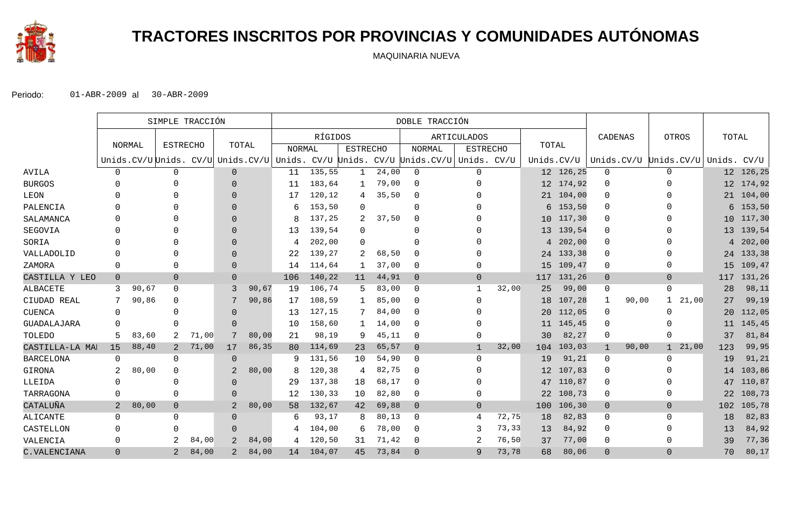

# **TRACTORES INSCRITOS POR PROVINCIAS Y COMUNIDADES AUTÓNOMAS**

MAQUINARIA NUEVA

|                  | SIMPLE TRACCIÓN |               |                 |       |               | DOBLE TRACCIÓN |               |         |                 |       |                                                                                  |                    |       |                 |           |              |                                   |                 |            |
|------------------|-----------------|---------------|-----------------|-------|---------------|----------------|---------------|---------|-----------------|-------|----------------------------------------------------------------------------------|--------------------|-------|-----------------|-----------|--------------|-----------------------------------|-----------------|------------|
|                  |                 |               |                 |       |               |                |               | RÍGIDOS |                 |       |                                                                                  | <b>ARTICULADOS</b> |       |                 |           | CADENAS      | OTROS                             | TOTAL           |            |
|                  |                 | <b>NORMAL</b> | <b>ESTRECHO</b> |       | TOTAL         |                | <b>NORMAL</b> |         | <b>ESTRECHO</b> |       | <b>NORMAL</b>                                                                    | <b>ESTRECHO</b>    |       | TOTAL           |           |              |                                   |                 |            |
|                  |                 |               |                 |       |               |                |               |         |                 |       | Unids.CV/U Unids. CV/U Unids.CV/U Unids. CV/U Unids. CV/U Unids.CV/U Unids. CV/U |                    |       | Unids.CV/U      |           |              | Unids.CV/U Unids.CV/U Unids. CV/U |                 |            |
| <b>AVILA</b>     | $\mathbf{0}$    |               | $\mathbf 0$     |       | $\Omega$      |                | 11            | 135,55  |                 | 24,00 | $\mathbf 0$                                                                      | 0                  |       |                 | 12 126,25 | $\mathbf 0$  | $\Omega$                          |                 | 12 126,25  |
| <b>BURGOS</b>    |                 |               | U               |       | $\Omega$      |                | 11            | 183,64  |                 | 79,00 | $\Omega$                                                                         | 0                  |       |                 | 12 174,92 | $\Omega$     | <sup>0</sup>                      |                 | 12 174,92  |
| LEON             |                 |               |                 |       | $\Omega$      |                | 17            | 120,12  | 4               | 35,50 | $\Omega$                                                                         |                    |       |                 | 21 104,00 | 0            |                                   |                 | 21 104,00  |
| PALENCIA         |                 |               |                 |       | $\Omega$      |                | 6             | 153,50  | $\Omega$        |       | $\mathbf 0$                                                                      |                    |       | 6               | 153,50    | $\Omega$     |                                   |                 | $6$ 153,50 |
| SALAMANCA        |                 |               |                 |       | $\Omega$      |                | 8             | 137,25  |                 | 37,50 | $\mathbf 0$                                                                      |                    |       |                 | 10 117,30 | 0            |                                   | 10 <sup>°</sup> | 117,30     |
| SEGOVIA          |                 |               |                 |       | $\Omega$      |                | 13            | 139,54  | ∩               |       | $\Omega$                                                                         |                    |       |                 | 13 139,54 | $\Omega$     |                                   |                 | 13 139,54  |
| SORIA            |                 |               |                 |       | $\Omega$      |                | 4             | 202,00  | $\Omega$        |       | $\Omega$                                                                         |                    |       |                 | 4 202,00  | 0            |                                   |                 | 4 202,00   |
| VALLADOLID       | $\Omega$        |               |                 |       | $\Omega$      |                | 22            | 139,27  | 2               | 68,50 | $\mathbf 0$                                                                      |                    |       |                 | 24 133,38 | $\Omega$     |                                   |                 | 24 133,38  |
| ZAMORA           | 0               |               | 0               |       | $\Omega$      |                | 14            | 114,64  |                 | 37,00 | $\mathbf 0$                                                                      | 0                  |       |                 | 15 109,47 | 0            | $\Omega$                          | 15              | 109,47     |
| CASTILLA Y LEO   | $\mathbf 0$     |               | $\overline{0}$  |       | $\Omega$      |                | 106           | 140,22  | 11              | 44,91 | $\overline{0}$                                                                   | $\mathbf{0}$       |       | 117             | 131,26    | $\mathbf{0}$ | $\overline{0}$                    | 117             | 131,26     |
| ALBACETE         | 3               | 90,67         | $\Omega$        |       | 3             | 90,67          | 19            | 106,74  |                 | 83,00 | $\mathbf 0$                                                                      | 1                  | 32,00 | 25              | 99,00     | 0            | 0                                 | 28              | 98,11      |
| CIUDAD REAL      | 7               | 90,86         | $\Omega$        |       |               | 90,86          | 17            | 108,59  |                 | 85,00 | $\mathbf 0$                                                                      | $\Omega$           |       | 18              | 107,28    | $\mathbf{1}$ | 21,00<br>90,00<br>$\mathbf{1}$    | 27              | 99,19      |
| <b>CUENCA</b>    | 0               |               | C               |       | $\Omega$      |                | 13            | 127,15  |                 | 84,00 | $\Omega$                                                                         |                    |       | 20 <sub>o</sub> | 112,05    | 0            | O                                 | 20              | 112,05     |
| GUADALAJARA      |                 |               | O               |       | $\Omega$      |                | 10            | 158,60  |                 | 14,00 | $\Omega$                                                                         |                    |       |                 | 11 145,45 | $\Omega$     |                                   | 11              | 145,45     |
| TOLEDO           | 5               | 83,60         | 2               | 71,00 | 7             | 80,00          | 21            | 98,19   | 9               | 45,11 | $\mathbf 0$                                                                      | 0                  |       | 30              | 82,27     | 0            | $\Omega$                          | 37              | 81,84      |
| CASTILLA-LA MAI  | 15              | 88,40         | 2               | 71,00 | 17            | 86,35          | 80            | 114,69  | 23              | 65,57 | $\overline{0}$                                                                   | $\overline{1}$     | 32,00 | 104             | 103,03    | $\mathbf{1}$ | 21,00<br>90,00<br>$\mathbf{1}$    | 123             | 99,95      |
| <b>BARCELONA</b> | 0               |               | $\Omega$        |       | $\Omega$      |                | 9             | 131,56  | 10              | 54,90 | $\Omega$                                                                         | 0                  |       | 19              | 91,21     | 0            | $\Omega$                          | 19              | 91,21      |
| GIRONA           | 2               | 80,00         | $\Omega$        |       | $\mathcal{D}$ | 80,00          | 8             | 120,38  | 4               | 82,75 | $\Omega$                                                                         |                    |       | $12 \,$         | 107,83    | 0            | <sup>0</sup>                      | 14              | 103,86     |
| LLEIDA           | $\Omega$        |               | C               |       | $\Omega$      |                | 29            | 137,38  | 18              | 68,17 | $\Omega$                                                                         |                    |       |                 | 47 110,87 | 0            |                                   | 47              | 110,87     |
| TARRAGONA        | $\Omega$        |               | $\Omega$        |       | $\Omega$      |                | 12            | 130,33  | 10              | 82,80 | $\mathbf 0$                                                                      | 0                  |       | 22              | 108,73    | 0            | <sup>0</sup>                      | 22              | 108,73     |
| CATALUÑA         | $\overline{2}$  | 80,00         | $\mathbf 0$     |       | 2             | 80,00          | 58            | 132,67  | 42              | 69,88 | $\overline{0}$                                                                   | $\mathbf{0}$       |       | 100             | 106,30    | $\mathbf{0}$ | $\overline{0}$                    | 102             | 105,78     |
| ALICANTE         | $\mathbf 0$     |               | $\Omega$        |       | $\Omega$      |                | 6             | 93,17   |                 | 80,13 | $\Omega$                                                                         | 4                  | 72,75 | 18              | 82,83     | 0            | $\Omega$                          | 18              | 82,83      |
| CASTELLON        | $\Omega$        |               | U               |       | $\Omega$      |                | 4             | 104,00  | 6               | 78,00 | $\Omega$                                                                         | 3                  | 73,33 | 13              | 84,92     | $\Omega$     | <sup>0</sup>                      | 13              | 84,92      |
| VALENCIA         | $\mathbf 0$     |               | 2               | 84,00 | 2             | 84,00          | 4             | 120,50  | 31              | 71,42 | 0                                                                                | 2                  | 76,50 | 37              | 77,00     | 0            | O                                 | 39              | 77,36      |
| C.VALENCIANA     | $\Omega$        |               | $\overline{2}$  | 84,00 | 2             | 84,00          | 14            | 104,07  | 45              | 73,84 | $\Omega$                                                                         | 9                  | 73,78 | 68              | 80,06     | $\Omega$     | $\overline{0}$                    | 70              | 80,17      |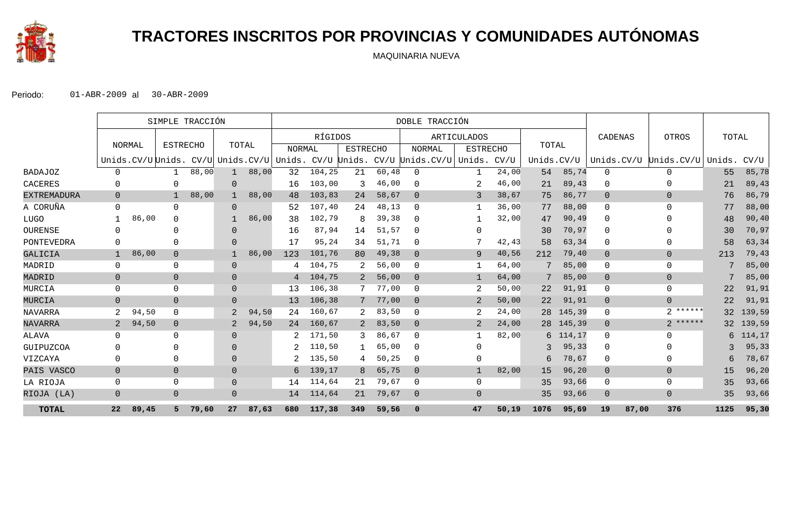

# **TRACTORES INSCRITOS POR PROVINCIAS Y COMUNIDADES AUTÓNOMAS**

MAQUINARIA NUEVA

|                    |              | SIMPLE TRACCIÓN |                 |       |                |                                          | DOBLE TRACCIÓN |         |                 |       |                                         |                 |        |            |           |                |                         |        |        |
|--------------------|--------------|-----------------|-----------------|-------|----------------|------------------------------------------|----------------|---------|-----------------|-------|-----------------------------------------|-----------------|--------|------------|-----------|----------------|-------------------------|--------|--------|
|                    |              |                 |                 |       |                |                                          |                | RÍGIDOS |                 |       |                                         | ARTICULADOS     |        |            |           | CADENAS        | OTROS                   | TOTAL  |        |
|                    |              | NORMAL          | <b>ESTRECHO</b> |       | TOTAL          |                                          | <b>NORMAL</b>  |         | <b>ESTRECHO</b> |       | NORMAL                                  | <b>ESTRECHO</b> |        | TOTAL      |           |                |                         |        |        |
|                    |              |                 |                 |       |                | Unids.CV/U Unids. CV/U Unids.CV/U Unids. |                |         |                 |       | CV/U Unids. CV/U Unids.CV/U Unids. CV/U |                 |        | Unids.CV/U |           | Unids.CV/U     | Unids.CV/U              | Unids. | CV/U   |
| <b>BADAJOZ</b>     | $\Omega$     |                 |                 | 88,00 | $\mathbf{1}$   | 88,00                                    | 32             | 104,25  | 21              | 60,48 | 0                                       | -1              | 24,00  | 54         | 85,74     | $\mathbf 0$    | $\Omega$                | 55     | 85,78  |
| CACERES            | $\Omega$     |                 |                 |       | $\overline{0}$ |                                          | 16             | 103,00  | 3               | 46,00 | 0                                       |                 | 46,00  | 21         | 89,43     | $\Omega$       | $\Omega$                | 21     | 89,43  |
| <b>EXTREMADURA</b> | $\Omega$     |                 |                 | 88,00 |                | 88,00                                    | 48             | 103,83  | 24              | 58,67 | $\Omega$                                | 3               | 38,67  | 75         | 86,77     | $\overline{0}$ | $\overline{0}$          | 76     | 86,79  |
| A CORUÑA           | $\Omega$     |                 | $\Omega$        |       | $\Omega$       |                                          | 52             | 107,40  | 24              | 48,13 | $\Omega$                                |                 | 36,00  | 77         | 88,00     | $\mathbf{0}$   | $\Omega$                | 77     | 88,00  |
| <b>LUGO</b>        |              | 86,00           | $\Omega$        |       |                | 86,00                                    | 38             | 102,79  | 8               | 39,38 | 0                                       |                 | 32,00  | 47         | 90,49     | $\Omega$       | <sup>n</sup>            | 48     | 90,40  |
| OURENSE            | $\Omega$     |                 |                 |       | $\Omega$       |                                          | 16             | 87,94   | 14              | 51,57 | $\Omega$                                | $\Omega$        |        | 30         | 70,97     | $\Omega$       | $\Omega$                | 30     | 70,97  |
| PONTEVEDRA         | $\Omega$     |                 | $\Omega$        |       | $\Omega$       |                                          | 17             | 95,24   | 34              | 51,71 | $\Omega$                                |                 | 42,43  | 58         | 63,34     | $\mathbf{0}$   | $\Omega$                | 58     | 63,34  |
| GALICIA            | $\mathbf{1}$ | 86,00           | $\mathbf 0$     |       |                | 86,00                                    | 123            | 101,76  | 80              | 49,38 | $\overline{0}$                          | 9               | 40,56  | 212        | 79,40     | $\mathbf 0$    | $\overline{0}$          | 213    | 79,43  |
| MADRID             | $\Omega$     |                 | $\Omega$        |       | $\mathbf{0}$   |                                          | 4              | 104,75  |                 | 56,00 | $\Omega$                                |                 | 64,00  |            | 85,00     | $\mathbf 0$    | $\Omega$                |        | 85,00  |
| MADRID             | $\Omega$     |                 | $\mathbf 0$     |       | $\mathbf 0$    |                                          | 4              | 104,75  |                 | 56,00 | $\overline{0}$                          | -1              | 64,00  |            | 85,00     | $\mathbf 0$    | $\overline{0}$          | 7      | 85,00  |
| MURCIA             | $\Omega$     |                 | $\mathbf 0$     |       | $\mathbf{0}$   |                                          | 13             | 106,38  |                 | 77,00 | 0                                       | 2               | 50,00  | 22         | 91,91     | $\mathbf 0$    | $\mathbf 0$             | 22     | 91,91  |
| MURCIA             | $\Omega$     |                 | $\overline{0}$  |       | $\overline{0}$ |                                          | 13             | 106,38  |                 | 77,00 | $\overline{0}$                          | 2               | 50,00  | 22         | 91,91     | $\overline{0}$ | $\Omega$                | 22     | 91,91  |
| NAVARRA            | 2            | 94,50           | $\Omega$        |       | 2              | 94,50                                    | 24             | 160,67  |                 | 83,50 | $\Omega$                                |                 | 24,00  | 28         | 145,39    | 0              | ******<br>$\mathcal{L}$ | 32     | 139,59 |
| <b>NAVARRA</b>     | 2            | 94,50           | $\overline{0}$  |       | 2              | 94,50                                    | 24             | 160,67  | 2               | 83,50 | $\overline{0}$                          | $\overline{2}$  | 24,00  |            | 28 145,39 | $\overline{0}$ | $2******$               | 32     | 139,59 |
| ALAVA              | $\Omega$     |                 | $\Omega$        |       | $\Omega$       |                                          |                | 171,50  | 3               | 86,67 | $\Omega$                                |                 | 82,00  | 6          | 114,17    | $\Omega$       | $\Omega$                | 6      | 114,17 |
| GUIPUZCOA          | $\Omega$     |                 |                 |       | $\Omega$       |                                          |                | 110,50  |                 | 65,00 | $\Omega$                                | $\Omega$        |        | 3          | 95,33     | $\mathbf{0}$   | $\Omega$                | 3      | 95,33  |
| VIZCAYA            | $\Omega$     |                 | $\Omega$        |       | $\Omega$       |                                          |                | 135,50  | 4               | 50,25 | $\Omega$                                | $\Omega$        |        | 6          | 78,67     | $\mathbf{0}$   | $\Omega$                | 6      | 78,67  |
| PAIS VASCO         | $\Omega$     |                 | $\mathbf 0$     |       | $\overline{0}$ |                                          | 6              | 139,17  | 8               | 65,75 | $\overline{0}$                          |                 | 82,00  | 15         | 96,20     | $\mathbf 0$    | $\mathbf{0}$            | 15     | 96, 20 |
| LA RIOJA           | $\Omega$     |                 | $\Omega$        |       | $\mathbf{0}$   |                                          | 14             | 114,64  | 21              | 79,67 | 0                                       | $\Omega$        |        | 35         | 93,66     | $\mathbf{0}$   | $\Omega$                | 35     | 93,66  |
| RIOJA (LA)         | $\Omega$     |                 | $\mathbf 0$     |       | $\overline{0}$ |                                          | 14             | 114,64  | 21              | 79,67 | $\mathbf 0$                             | $\Omega$        |        | 35         | 93,66     | $\mathbf 0$    | $\Omega$                | 35     | 93,66  |
| <b>TOTAL</b>       | 22           | 89,45           | 5.              | 79,60 | 27             | 87,63                                    | 680            | 117,38  | 349             | 59,56 | $\mathbf 0$                             | 47              | 50, 19 | 1076       | 95,69     | 19             | 87,00<br>376            | 1125   | 95,30  |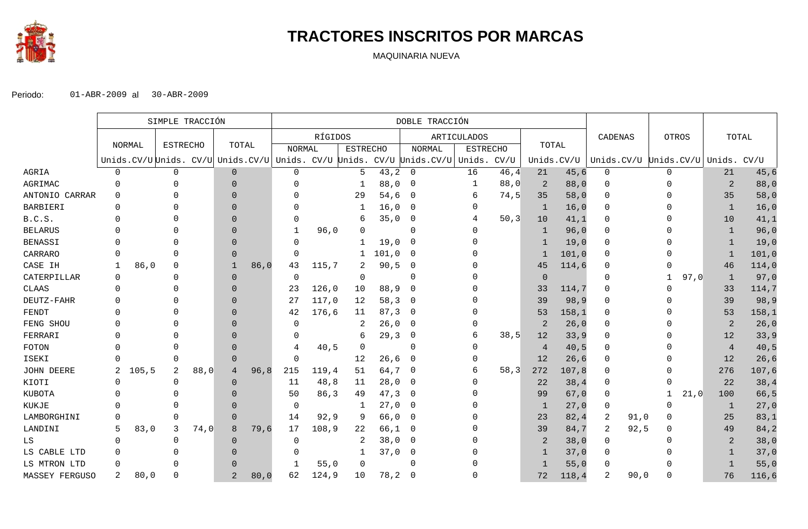

# **TRACTORES INSCRITOS POR MARCAS**

MAQUINARIA NUEVA

|                | SIMPLE TRACCIÓN |        |                 |      |                | DOBLE TRACCIÓN |               |         |                 |       |                                                                                     |                 |       |                |            |              |                       |                |       |
|----------------|-----------------|--------|-----------------|------|----------------|----------------|---------------|---------|-----------------|-------|-------------------------------------------------------------------------------------|-----------------|-------|----------------|------------|--------------|-----------------------|----------------|-------|
|                |                 |        |                 |      |                |                |               | RÍGIDOS |                 |       |                                                                                     | ARTICULADOS     |       |                |            | CADENAS      | <b>OTROS</b>          | TOTAL          |       |
|                |                 | NORMAL | <b>ESTRECHO</b> |      | TOTAL          |                | <b>NORMAL</b> |         | <b>ESTRECHO</b> |       | <b>NORMAL</b>                                                                       | <b>ESTRECHO</b> |       | TOTAL          |            |              |                       |                |       |
|                |                 |        |                 |      |                |                |               |         |                 |       | Unids. $CV/U$ Unids. $CV/U$ Unids. $CV/U$ Unids. $CV/U$ Unids. $CV/U$ Unids. $CV/U$ | Unids. CV/U     |       |                | Unids.CV/U |              | Unids.CV/U Unids.CV/U | Unids. CV/U    |       |
| AGRIA          | $\mathbf 0$     |        | $\mathbf 0$     |      | $\overline{0}$ |                | $\mathbf 0$   |         | 5               | 43, 2 | $\overline{0}$                                                                      | 16              | 46,4  | 21             | 45,6       | 0            | $\mathbf 0$           | 21             | 45,6  |
| AGRIMAC        | $\Omega$        |        |                 |      | $\Omega$       |                | O             |         | -1              | 88,0  | 0                                                                                   |                 | 88,0  | 2              | 88,0       | $\Omega$     | <sup>0</sup>          | $\overline{a}$ | 88,0  |
| ANTONIO CARRAR | $\Omega$        |        |                 |      | $\Omega$       |                |               |         | 29              | 54,6  | - 0                                                                                 | 6               | 74,5  | 35             | 58,0       | $\Omega$     | <sup>0</sup>          | 35             | 58,0  |
| BARBIERI       |                 |        |                 |      |                |                |               |         |                 | 16,0  | 0                                                                                   |                 |       | -1             | 16,0       | $\Omega$     |                       | 1              | 16,0  |
| B.C.S.         |                 |        |                 |      |                |                | O             |         | 6               | 35,0  | 0                                                                                   |                 | 50, 3 | 10             | 41,1       |              |                       | 10             | 41,1  |
| <b>BELARUS</b> |                 |        |                 |      |                |                | -1            | 96,0    |                 |       | $\Omega$                                                                            |                 |       | 1              | 96,0       |              |                       | $\mathbf{1}$   | 96,0  |
| <b>BENASSI</b> |                 |        |                 |      |                |                | O             |         |                 | 19,0  | -0                                                                                  |                 |       |                | 19,0       | $\Omega$     |                       | -1             | 19,0  |
| CARRARO        |                 |        |                 |      |                |                | $\Omega$      |         |                 | 101,0 | -0                                                                                  |                 |       | -1             | 101,0      | $\Omega$     |                       | 1              | 101,0 |
| CASE IH        | -1              | 86,0   | $\Omega$        |      |                | 86,0           | 43            | 115,7   | 2               | 90,5  | - 0                                                                                 |                 |       | 45             | 114,6      |              |                       | 46             | 114,0 |
| CATERPILLAR    | $\Omega$        |        |                 |      | $\Omega$       |                | $\Omega$      |         | $\Omega$        |       | $\Omega$                                                                            |                 |       | $\Omega$       |            | $\Omega$     | 97,0<br>$\mathbf{1}$  | 1              | 97,0  |
| <b>CLAAS</b>   |                 |        |                 |      | $\Omega$       |                | 23            | 126,0   | 10              | 88,9  | - 0                                                                                 |                 |       | 33             | 114,7      | $\Omega$     | O                     | 33             | 114,7 |
| DEUTZ-FAHR     |                 |        |                 |      |                |                | 27            | 117,0   | 12              | 58, 3 | - 0                                                                                 |                 |       | 39             | 98,9       | $\Omega$     |                       | 39             | 98,9  |
| FENDT          |                 |        |                 |      | $\Omega$       |                | 42            | 176,6   | 11              | 87, 3 | $\overline{0}$                                                                      |                 |       | 53             | 158,1      | $\Omega$     |                       | 53             | 158,1 |
| FENG SHOU      |                 |        |                 |      |                |                | $\Omega$      |         | 2               | 26,0  | - 0                                                                                 |                 |       | 2              | 26,0       | $\Omega$     |                       | $\overline{2}$ | 26,0  |
| FERRARI        |                 |        |                 |      |                |                | 0             |         | 6               | 29, 3 | 0                                                                                   |                 | 38,5  | 12             | 33,9       | $\Omega$     |                       | 12             | 33,9  |
| FOTON          |                 |        |                 |      |                |                | 4             | 40,5    | $\Omega$        |       | $\Omega$                                                                            |                 |       | $\overline{4}$ | 40,5       |              |                       | $\overline{4}$ | 40,5  |
| ISEKI          |                 |        |                 |      | $\Omega$       |                | 0             |         | 12              | 26, 6 | - 0                                                                                 |                 |       | 12             | 26, 6      |              |                       | 12             | 26,6  |
| JOHN DEERE     | 2               | 105, 5 | 2               | 88,0 | 4              | 96, 8          | 215           | 119,4   | 51              | 64,7  | 0                                                                                   |                 | 58, 3 | 272            | 107,8      | $\Omega$     | <sup>n</sup>          | 276            | 107,6 |
| KIOTI          |                 |        | $\cap$          |      | $\Omega$       |                | -11           | 48,8    | 11              | 28,0  | $\overline{0}$                                                                      |                 |       | 22             | 38,4       | $\Omega$     |                       | 22             | 38,4  |
| KUBOTA         |                 |        |                 |      |                |                | 50            | 86,3    | 49              | 47,3  | - 0                                                                                 |                 |       | 99             | 67,0       | $\Omega$     | 21,0                  | 100            | 66,5  |
| KUKJE          |                 |        |                 |      | $\Omega$       |                | $\mathbf 0$   |         | -1              | 27,0  | - 0                                                                                 |                 |       | -1             | 27,0       | $\Omega$     | <sup>0</sup>          | $\mathbf{1}$   | 27,0  |
| LAMBORGHINI    |                 |        |                 |      | $\Omega$       |                | 14            | 92, 9   | 9               | 66,0  | $\overline{\phantom{0}}$                                                            |                 |       | 23             | 82, 4      | 2<br>91,0    | 0                     | 25             | 83,1  |
| LANDINI        | .5              | 83,0   | 3               | 74,0 | 8              | 79,6           | 17            | 108,9   | 22              | 66,1  | - 0                                                                                 |                 |       | 39             | 84,7       | 92,5<br>2    | $\mathbf 0$           | 49             | 84,2  |
| LS             | <sup>0</sup>    |        | $\Omega$        |      | $\Omega$       |                | $\Omega$      |         |                 | 38,0  | - 0                                                                                 |                 |       |                | 38,0       | $\Omega$     | <sup>0</sup>          | 2              | 38,0  |
| LS CABLE LTD   | $\Omega$        |        |                 |      |                |                | O             |         |                 | 37,0  | - 0                                                                                 |                 |       |                | 37,0       |              |                       | $\mathbf{1}$   | 37,0  |
| LS MTRON LTD   | $\Omega$        |        |                 |      |                |                | -1            | 55,0    | 0               |       | $\cap$                                                                              |                 |       |                | 55,0       | <sup>0</sup> |                       | -1             | 55,0  |
| MASSEY FERGUSO | 2               | 80,0   |                 |      | 2              | 80,0           | 62            | 124,9   | 10              | 78,2  | - 0                                                                                 |                 |       | 72             | 118, 4     | 2<br>90,0    | O                     | 76             | 116,6 |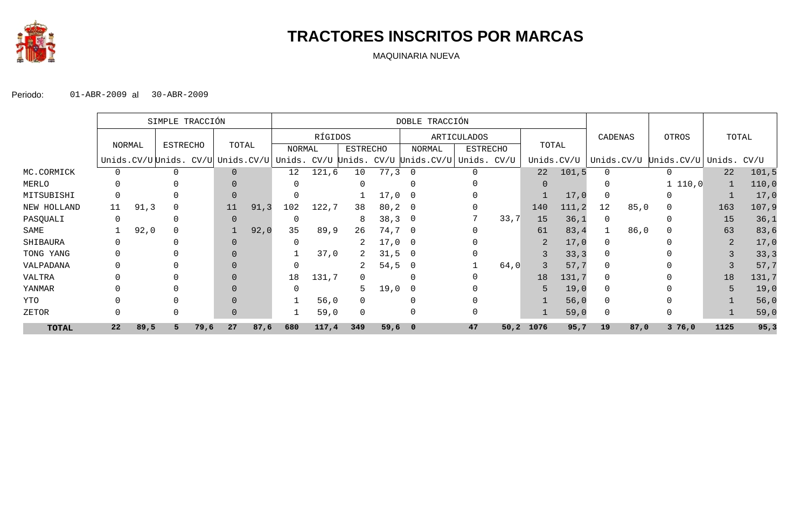

# **TRACTORES INSCRITOS POR MARCAS**

MAQUINARIA NUEVA

|              |                           |       | SIMPLE TRACCIÓN |       |    |        |     |                 |     |        | DOBLE TRACCIÓN                                                                   |                    |       |          |            |            |      |            |                |       |
|--------------|---------------------------|-------|-----------------|-------|----|--------|-----|-----------------|-----|--------|----------------------------------------------------------------------------------|--------------------|-------|----------|------------|------------|------|------------|----------------|-------|
|              |                           |       |                 |       |    |        |     | RÍGIDOS         |     |        |                                                                                  | <b>ARTICULADOS</b> |       |          |            | CADENAS    |      | OTROS      | TOTAL          |       |
|              | <b>ESTRECHO</b><br>NORMAL |       |                 | TOTAL |    | NORMAL |     | <b>ESTRECHO</b> |     | NORMAL | <b>ESTRECHO</b>                                                                  |                    | TOTAL |          |            |            |      |            |                |       |
|              |                           |       |                 |       |    |        |     |                 |     |        | Unids.CV/U Unids. CV/U Unids.CV/U Unids. CV/U Unids. CV/U Unids.CV/U Unids. CV/U |                    |       |          | Unids.CV/U | Unids.CV/U |      | Unids.CV/U | Unids.         | CV/U  |
| MC.CORMICK   | 0                         |       | 0               |       |    |        | 12  | 121,6           | 10  | 77,3   |                                                                                  | $\Omega$           |       | 22       | 101, 5     | $\Omega$   |      | 0          | 22             | 101,5 |
| MERLO        | 0                         |       |                 |       |    |        |     |                 |     |        |                                                                                  |                    |       | $\Omega$ |            |            |      | 1 110,0    |                | 110,0 |
| MITSUBISHI   | 0                         |       |                 |       |    |        |     |                 |     | 17,0   |                                                                                  |                    |       |          | 17,0       |            |      |            |                | 17,0  |
| NEW HOLLAND  | 11                        | 91, 3 |                 |       | 11 | 91, 3  | 102 | 122,7           | 38  | 80, 2  |                                                                                  |                    |       | 140      | 111, 2     | 12         | 85,0 | 0          | 163            | 107,9 |
| PASQUALI     | 0                         |       |                 |       |    |        |     |                 | 8   | 38, 3  | - 0                                                                              |                    | 33,7  | 15       | 36,1       | 0          |      |            | 15             | 36,1  |
| SAME         |                           | 92,0  |                 |       |    | 92,0   | 35  | 89,9            | 26  | 74,7   | - 0                                                                              |                    |       | 61       | 83,4       |            | 86,0 | 0          | 63             | 83,6  |
| SHIBAURA     | U                         |       |                 |       |    |        |     |                 |     | 17,0   | - 0                                                                              |                    |       |          | 17,0       | 0          |      |            | $\overline{2}$ | 17,0  |
| TONG YANG    |                           |       |                 |       |    |        |     | 37,0            |     | 31,5   |                                                                                  |                    |       |          | 33, 3      | $\Omega$   |      |            |                | 33, 3 |
| VALPADANA    |                           |       |                 |       |    |        |     |                 | 2   | 54,5   |                                                                                  |                    | 64,0  |          | 57,7       | $\Omega$   |      |            |                | 57,7  |
| VALTRA       |                           |       |                 |       |    |        | 18  | 131,7           |     |        |                                                                                  |                    |       | 18       | 131,7      | $\Omega$   |      |            | 18             | 131,7 |
| YANMAR       |                           |       |                 |       |    |        |     |                 | 5   | 19,0   |                                                                                  |                    |       |          | 19,0       | $\Omega$   |      |            |                | 19,0  |
| YTO          |                           |       | 0               |       |    |        |     | 56,0            |     |        |                                                                                  |                    |       |          | 56,0       | $\Omega$   |      |            |                | 56,0  |
| ZETOR        | 0                         |       | $\Omega$        |       |    |        |     | 59,0            |     |        |                                                                                  |                    |       |          | 59,0       | 0          |      |            |                | 59,0  |
| <b>TOTAL</b> | 22                        | 89,5  | 5               | 79,6  | 27 | 87,6   | 680 | 117,4           | 349 | 59,60  |                                                                                  | 47                 | 50,2  | 1076     | 95,7       | 19         | 87,0 | 376,0      | 1125           | 95,3  |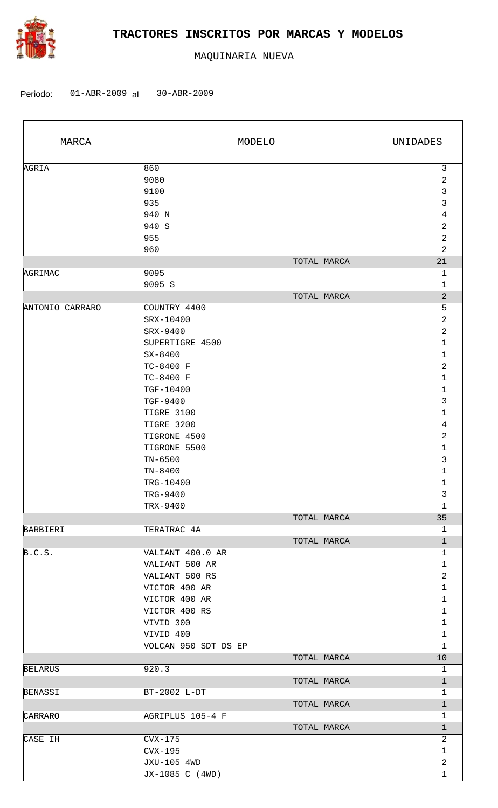

| MARCA           |                        | MODELO      | UNIDADES                     |  |
|-----------------|------------------------|-------------|------------------------------|--|
| AGRIA           | 860<br>9080            |             | $\mathfrak{Z}$<br>2          |  |
|                 | 9100                   |             | 3                            |  |
|                 | 935                    |             | 3                            |  |
|                 | 940 N                  |             | 4                            |  |
|                 | 940 S                  |             | $\overline{a}$               |  |
|                 | 955                    |             | $\overline{c}$               |  |
|                 | 960                    |             | $\overline{2}$               |  |
|                 |                        | TOTAL MARCA | 21                           |  |
| AGRIMAC         | 9095                   |             | $\mathbf{1}$                 |  |
|                 | 9095 S                 |             | $\mathbf{1}$                 |  |
|                 |                        | TOTAL MARCA | $\overline{c}$               |  |
| ANTONIO CARRARO | COUNTRY 4400           |             | 5                            |  |
|                 | SRX-10400              |             | $\overline{c}$               |  |
|                 | SRX-9400               |             | $\overline{a}$               |  |
|                 | SUPERTIGRE 4500        |             | $\mathbf 1$                  |  |
|                 | $SX - 8400$            |             | $\mathbf{1}$                 |  |
|                 | TC-8400 F              |             | 2<br>$\mathbf{1}$            |  |
|                 | TC-8400 F<br>TGF-10400 |             | $\mathbf 1$                  |  |
|                 | TGF-9400               |             | 3                            |  |
|                 | TIGRE 3100             |             | $\mathbf 1$                  |  |
|                 | TIGRE 3200             |             | 4                            |  |
|                 | TIGRONE 4500           |             | $\overline{a}$               |  |
|                 | TIGRONE 5500           |             | 1                            |  |
|                 | $TN-6500$              |             | 3                            |  |
|                 | $TN - 8400$            |             | $\mathbf{1}$                 |  |
|                 | TRG-10400              |             | 1                            |  |
|                 | TRG-9400               |             | 3                            |  |
|                 | TRX-9400               |             | $\mathbf 1$                  |  |
|                 |                        | TOTAL MARCA | 35                           |  |
| BARBIERI        | TERATRAC 4A            |             | $\mathbf{1}$                 |  |
|                 |                        | TOTAL MARCA | $\mathbf{1}$                 |  |
| B.C.S.          | VALIANT 400.0 AR       |             | $\mathbf{1}$                 |  |
|                 | VALIANT 500 AR         |             | $\mathbf{1}$                 |  |
|                 | VALIANT 500 RS         |             | $\overline{a}$               |  |
|                 | VICTOR 400 AR          |             | $\mathbf{1}$                 |  |
|                 | VICTOR 400 AR          |             | $\mathbf{1}$                 |  |
|                 | VICTOR 400 RS          |             | $\mathbf{1}$                 |  |
|                 | VIVID 300              |             | $\mathbf{1}$                 |  |
|                 | VIVID 400              |             | $\mathbf{1}$<br>$\mathbf{1}$ |  |
|                 | VOLCAN 950 SDT DS EP   | TOTAL MARCA | 10                           |  |
| <b>BELARUS</b>  | 920.3                  |             | $\mathbf{1}$                 |  |
|                 |                        | TOTAL MARCA | $\mathbf{1}$                 |  |
| <b>BENASSI</b>  | BT-2002 L-DT           |             | $\mathbf 1$                  |  |
|                 |                        | TOTAL MARCA | $\mathbf{1}$                 |  |
| CARRARO         | AGRIPLUS 105-4 F       |             | $\mathbf{1}$                 |  |
|                 |                        | TOTAL MARCA | $\mathbf{1}$                 |  |
| CASE IH         | $Cvx-175$              |             | 2                            |  |
|                 | $Cvx-195$              |             | $\mathbf{1}$                 |  |
|                 | JXU-105 4WD            |             | $\overline{a}$               |  |
|                 | JX-1085 C (4WD)        |             | 1                            |  |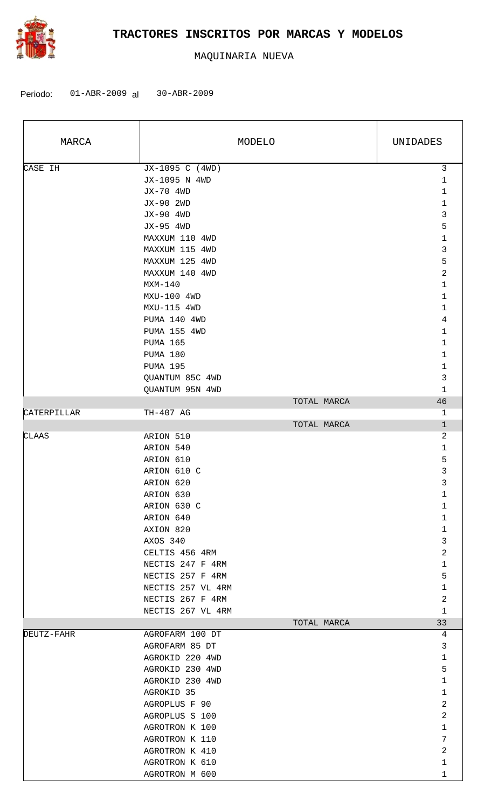

| MARCA       |                   | MODELO      | UNIDADES       |
|-------------|-------------------|-------------|----------------|
| CASE IH     | JX-1095 C (4WD)   |             | $\mathsf{3}$   |
|             | JX-1095 N 4WD     |             | $\mathbf{1}$   |
|             | JX-70 4WD         |             | 1              |
|             | JX-90 2WD         |             | 1              |
|             | JX-90 4WD         |             | 3              |
|             | JX-95 4WD         |             | 5              |
|             | MAXXUM 110 4WD    |             | $\mathbf 1$    |
|             | MAXXUM 115 4WD    |             | 3              |
|             |                   |             |                |
|             | MAXXUM 125 4WD    |             | 5              |
|             | MAXXUM 140 4WD    |             | $\overline{a}$ |
|             | $MXM-140$         |             | 1              |
|             | MXU-100 4WD       |             | $\mathbf 1$    |
|             | MXU-115 4WD       |             | 1              |
|             | PUMA 140 4WD      |             | 4              |
|             | PUMA 155 4WD      |             | $\mathbf 1$    |
|             | <b>PUMA 165</b>   |             | $\mathbf 1$    |
|             | PUMA 180          |             | 1              |
|             | <b>PUMA 195</b>   |             | 1              |
|             | QUANTUM 85C 4WD   |             | $\mathsf{3}$   |
|             | QUANTUM 95N 4WD   |             | $\mathbf{1}$   |
|             |                   | TOTAL MARCA | 46             |
| CATERPILLAR | TH-407 AG         |             | $\mathbf{1}$   |
|             |                   | TOTAL MARCA | $\mathbf{1}$   |
| CLAAS       | ARION 510         |             | $\overline{a}$ |
|             | ARION 540         |             | $\mathbf{1}$   |
|             |                   |             |                |
|             | ARION 610         |             | 5              |
|             | ARION 610 C       |             | 3              |
|             | ARION 620         |             | 3              |
|             | ARION 630         |             | 1              |
|             | ARION 630 C       |             | $\mathbf 1$    |
|             | ARION 640         |             | $\mathbf 1$    |
|             | AXION 820         |             | $\mathbf 1$    |
|             | AXOS 340          |             | 3              |
|             | CELTIS 456 4RM    |             | 2              |
|             | NECTIS 247 F 4RM  |             | $\mathbf{1}$   |
|             | NECTIS 257 F 4RM  |             | 5              |
|             | NECTIS 257 VL 4RM |             | $\mathbf 1$    |
|             | NECTIS 267 F 4RM  |             | 2              |
|             | NECTIS 267 VL 4RM |             | $\mathbf{1}$   |
|             |                   | TOTAL MARCA | 33             |
| DEUTZ-FAHR  | AGROFARM 100 DT   |             | 4              |
|             | AGROFARM 85 DT    |             | 3              |
|             |                   |             |                |
|             | AGROKID 220 4WD   |             | $\mathbf{1}$   |
|             | AGROKID 230 4WD   |             | 5              |
|             | AGROKID 230 4WD   |             | 1              |
|             | AGROKID 35        |             | $\mathbf{1}$   |
|             | AGROPLUS F 90     |             | 2              |
|             | AGROPLUS S 100    |             | 2              |
|             | AGROTRON K 100    |             | 1              |
|             | AGROTRON K 110    |             | 7              |
|             | AGROTRON K 410    |             | $\overline{a}$ |
|             | AGROTRON K 610    |             | 1              |
|             | AGROTRON M 600    |             | $\mathbf{1}$   |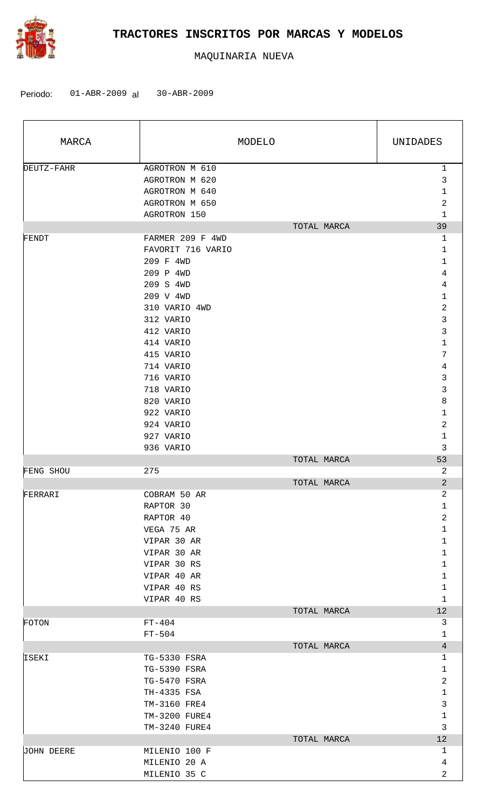

| MARCA      | MODELO                                                               |             | UNIDADES                              |
|------------|----------------------------------------------------------------------|-------------|---------------------------------------|
| DEUTZ-FAHR | AGROTRON M 610<br>AGROTRON M 620<br>AGROTRON M 640<br>AGROTRON M 650 |             | $\mathbf{1}$<br>3<br>$\mathbf 1$<br>2 |
|            | AGROTRON 150                                                         | TOTAL MARCA | $\mathbf{1}$<br>39                    |
| FENDT      | FARMER 209 F 4WD                                                     |             | 1                                     |
|            | FAVORIT 716 VARIO                                                    |             | $\mathbf 1$                           |
|            | 209 F 4WD                                                            |             | 1                                     |
|            | 209 P 4WD                                                            |             | 4<br>4                                |
|            | 209 S 4WD<br>209 V 4WD                                               |             | 1                                     |
|            | 310 VARIO 4WD                                                        |             | $\mathbf 2$                           |
|            | 312 VARIO                                                            |             | 3                                     |
|            | 412 VARIO                                                            |             | 3                                     |
|            | 414 VARIO                                                            |             | 1                                     |
|            | 415 VARIO                                                            |             | 7                                     |
|            | 714 VARIO                                                            |             | $\,4$                                 |
|            | 716 VARIO                                                            |             | 3                                     |
|            | 718 VARIO                                                            |             | 3                                     |
|            | 820 VARIO                                                            |             | 8                                     |
|            | 922 VARIO                                                            |             | 1                                     |
|            | 924 VARIO                                                            |             | 2                                     |
|            | 927 VARIO<br>936 VARIO                                               |             | $\mathbf 1$<br>3                      |
|            |                                                                      | TOTAL MARCA | 53                                    |
| FENG SHOU  | 275                                                                  |             | 2                                     |
|            |                                                                      | TOTAL MARCA | $\overline{2}$                        |
| FERRARI    | COBRAM 50 AR                                                         |             | 2                                     |
|            | RAPTOR 30                                                            |             | $\mathbf 1$                           |
|            | RAPTOR 40                                                            |             | $\overline{c}$                        |
|            | VEGA 75 AR                                                           |             | $\mathbf{1}$                          |
|            | VIPAR 30 AR                                                          |             | $\mathbf 1$                           |
|            | VIPAR 30 AR                                                          |             | $\mathbf 1$                           |
|            | VIPAR 30 RS                                                          |             | $\mathbf 1$                           |
|            | VIPAR 40 AR<br>VIPAR 40 RS                                           |             | 1<br>$\mathbf 1$                      |
|            | VIPAR 40 RS                                                          |             | $\mathbf{1}$                          |
|            |                                                                      | TOTAL MARCA | 12                                    |
| FOTON      | $FT-404$                                                             |             | 3                                     |
|            | $FT-504$                                                             |             | 1                                     |
|            |                                                                      | TOTAL MARCA | $\overline{4}$                        |
| ISEKI      | TG-5330 FSRA                                                         |             | 1                                     |
|            | TG-5390 FSRA                                                         |             | 1                                     |
|            | TG-5470 FSRA                                                         |             | 2                                     |
|            | TH-4335 FSA                                                          |             | $\mathbf 1$                           |
|            | TM-3160 FRE4                                                         |             | 3                                     |
|            | TM-3200 FURE4<br>TM-3240 FURE4                                       |             | $\mathbf 1$<br>3                      |
|            |                                                                      | TOTAL MARCA | 12                                    |
| JOHN DEERE | MILENIO 100 F                                                        |             | 1                                     |
|            | MILENIO 20 A                                                         |             | 4                                     |
|            | MILENIO 35 C                                                         |             | $\overline{2}$                        |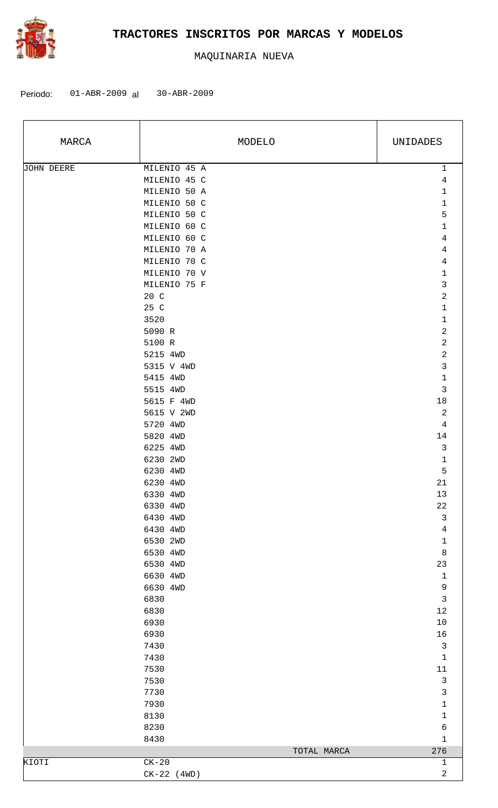

| MARCA      | MODELO               | UNIDADES                   |
|------------|----------------------|----------------------------|
| JOHN DEERE | MILENIO 45 A         | $\mathbf{1}$               |
|            | MILENIO 45 C         | $\overline{4}$             |
|            | MILENIO 50 A         | $1\,$                      |
|            | MILENIO 50 C         | $\mathbf{1}$               |
|            | MILENIO 50 C         | 5                          |
|            | MILENIO 60 C         | $\mathbf 1$                |
|            | MILENIO 60 C         | $\sqrt{4}$                 |
|            | MILENIO 70 A         | 4                          |
|            | MILENIO 70 C         | $\sqrt{4}$                 |
|            | MILENIO 70 V         | $1\,$                      |
|            | MILENIO 75 F         | $\mathfrak{Z}$             |
|            | 20 C                 | $\sqrt{2}$                 |
|            | 25 C                 | $\mathbf{1}$               |
|            | 3520                 | $\mathbf 1$                |
|            | 5090 R               | $\sqrt{2}$                 |
|            | 5100 R               | $\sqrt{2}$                 |
|            | 5215 4WD             | $\sqrt{2}$                 |
|            | 5315 V 4WD           | $\mathbf{3}$               |
|            | 5415 4WD             | $1\,$                      |
|            | 5515 4WD             | $\mathsf{3}$               |
|            | 5615 F 4WD           | $18\,$                     |
|            | 5615 V 2WD           | 2                          |
|            | 5720 4WD             | $\overline{4}$             |
|            | 5820 4WD             | 14                         |
|            | 6225 4WD             | $\mathbf{3}$               |
|            | 6230 2WD             | $1\,$                      |
|            | 6230 4WD             | $\mathsf S$                |
|            | 6230 4WD             | 21                         |
|            | 6330 4WD             | 13                         |
|            | 6330 4WD             | 22                         |
|            | 6430 4WD<br>6430 4WD | $\mathbf{3}$               |
|            | 6530 2WD             | $\sqrt{4}$                 |
|            |                      | $\mathbf 1$<br>$\,8\,$     |
|            | 6530 4WD<br>6530 4WD | 23                         |
|            | 6630 4WD             |                            |
|            | 6630 4WD             | $\mathbf 1$<br>$\mathsf 9$ |
|            | 6830                 | $\mathfrak{Z}$             |
|            | 6830                 | $1\,2$                     |
|            | 6930                 | $10$                       |
|            | 6930                 | 16                         |
|            | 7430                 | $\mathfrak{Z}$             |
|            | 7430                 | $\mathbf 1$                |
|            | 7530                 | $11\,$                     |
|            | 7530                 | $\mathfrak{Z}$             |
|            | 7730                 | $\mathbf{3}$               |
|            | 7930                 | $\mathbf 1$                |
|            | 8130                 | $\mathbf 1$                |
|            | 8230                 | $\epsilon$                 |
|            | 8430                 | $\mathbf 1$                |
|            | TOTAL MARCA          | 276                        |
| KIOTI      | $CK-20$              | $\mathbf{1}$               |
|            | $CK-22$ (4WD)        | 2                          |
|            |                      |                            |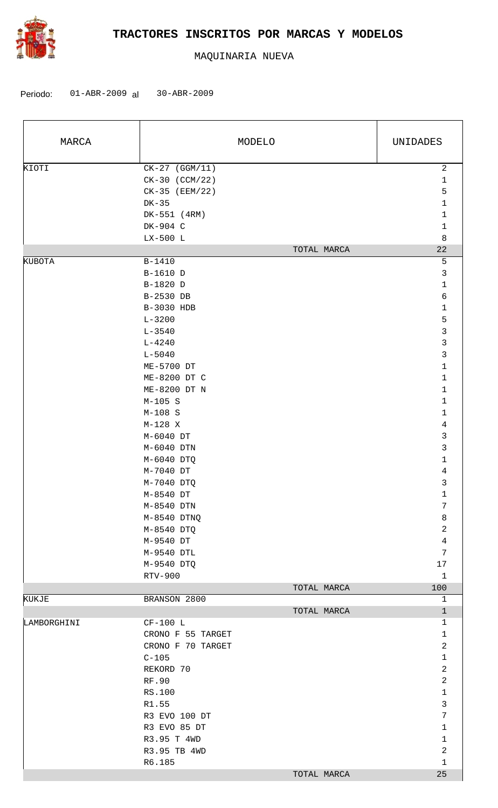

| MARCA       |                   | MODELO      | UNIDADES         |
|-------------|-------------------|-------------|------------------|
| KIOTI       | $CK-27$ (GGM/11)  |             | $\overline{a}$   |
|             | CK-30 (CCM/22)    |             | $1\,$            |
|             | CK-35 (EEM/22)    |             | 5                |
|             | DK-35             |             | $\mathbf{1}$     |
|             | DK-551 (4RM)      |             | $\mathbf{1}$     |
|             | DK-904 C          |             | $\mathbf 1$      |
|             | LX-500 L          |             | 8                |
|             |                   | TOTAL MARCA | 22               |
| KUBOTA      | B-1410            |             | 5                |
|             | B-1610 D          |             | 3                |
|             | B-1820 D          |             | $1\,$            |
|             | B-2530 DB         |             | 6                |
|             | B-3030 HDB        |             | $\mathbf{1}$     |
|             | $L - 3200$        |             | 5                |
|             | $L - 3540$        |             | $\mathbf{3}$     |
|             | $L - 4240$        |             | $\mathbf{3}$     |
|             | $L - 5040$        |             | 3                |
|             | ME-5700 DT        |             | $1\,$            |
|             | ME-8200 DT C      |             | $1\,$            |
|             | ME-8200 DT N      |             | $\mathbf{1}$     |
|             | $M-105$ S         |             | $\mathbf{1}$     |
|             | $M-108$ S         |             | $1\,$            |
|             | $M-128$ X         |             | $\overline{4}$   |
|             | M-6040 DT         |             | $\mathfrak{Z}$   |
|             | M-6040 DTN        |             | 3                |
|             | M-6040 DTQ        |             | $1\,$            |
|             | M-7040 DT         |             | $\overline{4}$   |
|             | M-7040 DTQ        |             | 3                |
|             | M-8540 DT         |             | 1                |
|             | M-8540 DTN        |             | $\boldsymbol{7}$ |
|             | M-8540 DTNQ       |             | $\,8\,$          |
|             | M-8540 DTQ        |             | $\overline{c}$   |
|             | M-9540 DT         |             | 4                |
|             | M-9540 DTL        |             | $7\phantom{.}$   |
|             | M-9540 DTQ        |             | 17               |
|             | RTV-900           |             | $\mathbf{1}$     |
|             |                   | TOTAL MARCA | 100              |
| KUKJE       | BRANSON 2800      |             | $\mathbf{1}$     |
|             |                   | TOTAL MARCA | $\mathbf{1}$     |
| LAMBORGHINI | $CF-100 L$        |             | 1                |
|             | CRONO F 55 TARGET |             | $\mathbf{1}$     |
|             | CRONO F 70 TARGET |             | $\overline{2}$   |
|             | $C-105$           |             | $\mathbf 1$      |
|             | REKORD 70         |             | $\overline{2}$   |
|             | RF.90             |             | $\overline{c}$   |
|             | RS.100            |             | $1\,$            |
|             | R1.55             |             | 3                |
|             | R3 EVO 100 DT     |             | 7                |
|             | R3 EVO 85 DT      |             | $\mathbf{1}$     |
|             | R3.95 T 4WD       |             | $\mathbf 1$      |
|             | R3.95 TB 4WD      |             | $\overline{2}$   |
|             | R6.185            |             | $\mathbf{1}$     |
|             |                   | TOTAL MARCA | 25               |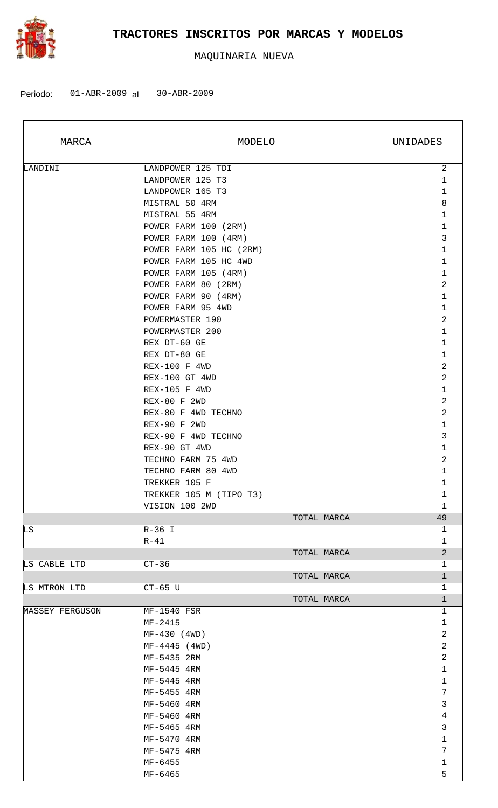

| MARCA           | MODELO                  | UNIDADES        |
|-----------------|-------------------------|-----------------|
| LANDINI         | LANDPOWER 125 TDI       | $\overline{a}$  |
|                 | LANDPOWER 125 T3        | 1               |
|                 | LANDPOWER 165 T3        | $\mathbf 1$     |
|                 | MISTRAL 50 4RM          | 8               |
|                 | MISTRAL 55 4RM          | $\mathbf 1$     |
|                 | POWER FARM 100 (2RM)    | $\mathbf 1$     |
|                 | POWER FARM 100 (4RM)    | 3               |
|                 | POWER FARM 105 HC (2RM) | $\mathbf 1$     |
|                 | POWER FARM 105 HC 4WD   | $\mathbf{1}$    |
|                 | POWER FARM 105 (4RM)    | $\mathbf 1$     |
|                 |                         | 2               |
|                 | POWER FARM 80 (2RM)     |                 |
|                 | POWER FARM 90 (4RM)     | $\mathbf 1$     |
|                 | POWER FARM 95 4WD       | $\mathbf 1$     |
|                 | POWERMASTER 190         | 2               |
|                 | POWERMASTER 200         | $\mathbf{1}$    |
|                 | REX DT-60 GE            | $\mathbf 1$     |
|                 | REX DT-80 GE            | $\mathbf 1$     |
|                 | <b>REX-100 F 4WD</b>    | 2               |
|                 | REX-100 GT 4WD          | 2               |
|                 | REX-105 F 4WD           | $\mathbf 1$     |
|                 | REX-80 F 2WD            | 2               |
|                 | REX-80 F 4WD TECHNO     | 2               |
|                 | REX-90 F 2WD            | $\mathbf 1$     |
|                 | REX-90 F 4WD TECHNO     | 3               |
|                 | REX-90 GT 4WD           | $\mathbf 1$     |
|                 | TECHNO FARM 75 4WD      | 2               |
|                 | TECHNO FARM 80 4WD      | $\mathbf 1$     |
|                 | TREKKER 105 F           | $\mathbf 1$     |
|                 |                         | 1               |
|                 | TREKKER 105 M (TIPO T3) |                 |
|                 | VISION 100 2WD          | 1<br>49         |
|                 | TOTAL MARCA             |                 |
| LS              | $R-36$ I                | 1               |
|                 | $R-41$                  | $\mathbf{1}$    |
|                 | TOTAL MARCA             | $\overline{a}$  |
| LS CABLE LTD    | $CT-36$                 | $\mathbf{1}$    |
|                 | TOTAL MARCA             | $\mathbf{1}$    |
| LS MTRON LTD    | $CT-65$ U               | $\mathbf{1}$    |
|                 | TOTAL MARCA             | $\mathbf{1}$    |
| MASSEY FERGUSON | MF-1540 FSR             | $\mathbf{1}$    |
|                 | $MF-2415$               | $\mathbf 1$     |
|                 | $MF-430$ (4WD)          | 2               |
|                 | $MF-4445$ (4WD)         | 2               |
|                 | MF-5435 2RM             | 2               |
|                 | MF-5445 4RM             | $\mathbf{1}$    |
|                 | MF-5445 4RM             | $\mathbf 1$     |
|                 | MF-5455 4RM             | $7\phantom{.0}$ |
|                 | MF-5460 4RM             | 3               |
|                 | MF-5460 4RM             | 4               |
|                 | MF-5465 4RM             | 3               |
|                 | MF-5470 4RM             | $\mathbf{1}$    |
|                 | MF-5475 4RM             | $\overline{7}$  |
|                 | MF-6455                 | $\mathbf{1}$    |
|                 |                         | 5               |
|                 | MF-6465                 |                 |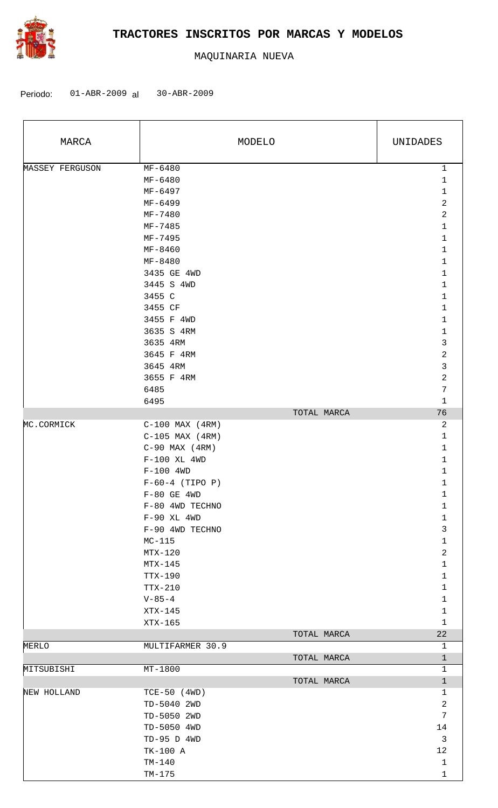

| MARCA           |                                                     | MODELO      | UNIDADES                                                                        |
|-----------------|-----------------------------------------------------|-------------|---------------------------------------------------------------------------------|
| MASSEY FERGUSON | MF-6480<br>MF-6480<br>MF-6497<br>MF-6499<br>MF-7480 |             | $\mathbf{1}$<br>$\mathbf{1}$<br>$\mathbf 1$<br>$\overline{a}$<br>$\overline{a}$ |
|                 | MF-7485<br>MF-7495<br>MF-8460                       |             | 1<br>$\mathbf{1}$<br>1                                                          |
|                 | MF-8480<br>3435 GE 4WD                              |             | 1<br>1                                                                          |
|                 | 3445 S 4WD<br>3455 C<br>3455 CF                     |             | 1<br>1<br>1                                                                     |
|                 | 3455 F 4WD<br>3635 S 4RM<br>3635 4RM                |             | 1<br>$\mathbf 1$<br>3                                                           |
|                 | 3645 F 4RM<br>3645 4RM                              |             | $\overline{2}$<br>3                                                             |
|                 | 3655 F 4RM<br>6485<br>6495                          |             | $\mathbf 2$<br>$\overline{7}$<br>1                                              |
|                 |                                                     | TOTAL MARCA | 76                                                                              |
| MC.CORMICK      | $C-100$ MAX $(4RM)$<br>$C-105$ MAX (4RM)            |             | 2<br>$\mathbf{1}$                                                               |
|                 | $C-90$ MAX $(4RM)$<br>$F-100$ XL 4WD                |             | 1<br>1                                                                          |
|                 | $F-100$ 4WD                                         |             | 1                                                                               |
|                 | $F-60-4$ (TIPO P)<br>$F-80$ GE $4WD$                |             | 1<br>1                                                                          |
|                 | F-80 4WD TECHNO<br>$F-90$ XL 4WD                    |             | $\mathbf 1$<br>$\mathbf 1$                                                      |
|                 | F-90 4WD TECHNO<br>$MC-115$                         |             | 3<br>$\mathbf{1}$                                                               |
|                 | $MTX-120$                                           |             | $\overline{c}$                                                                  |
|                 | $MTX-145$<br>TTX-190                                |             | $\mathbf{1}$<br>$\mathbf{1}$                                                    |
|                 | TTX-210<br>$V - 85 - 4$                             |             | $\mathbf 1$<br>$\mathbf{1}$                                                     |
|                 | $XTX-145$                                           |             | $\mathbf{1}$                                                                    |
|                 | XTX-165                                             |             | $\mathbf{1}$<br>22                                                              |
| MERLO           | MULTIFARMER 30.9                                    | TOTAL MARCA | 1                                                                               |
|                 |                                                     | TOTAL MARCA | $\mathbf{1}$                                                                    |
| MITSUBISHI      | $MT-1800$                                           |             | 1                                                                               |
|                 |                                                     | TOTAL MARCA | $\mathbf{1}$                                                                    |
| NEW HOLLAND     | TCE-50 (4WD)                                        |             | $\mathbf 1$                                                                     |
|                 | TD-5040 2WD                                         |             | $\sqrt{2}$<br>7                                                                 |
|                 | TD-5050 2WD<br>TD-5050 4WD                          |             | 14                                                                              |
|                 | TD-95 D 4WD                                         |             | $\mathbf{3}$                                                                    |
|                 | TK-100 A                                            |             | 12                                                                              |
|                 | $TM-140$                                            |             | $\mathbf{1}$                                                                    |
|                 | $TM-175$                                            |             | 1                                                                               |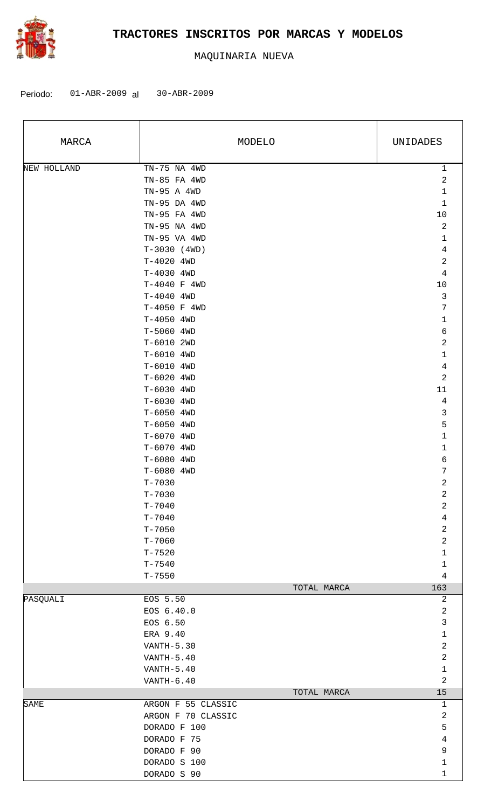

| MARCA       |                    | MODELO      | UNIDADES         |
|-------------|--------------------|-------------|------------------|
| NEW HOLLAND | TN-75 NA 4WD       |             | $\mathbf{1}$     |
|             | TN-85 FA 4WD       |             | $\sqrt{2}$       |
|             | TN-95 A 4WD        |             | $1\,$            |
|             | TN-95 DA 4WD       |             | $\mathbf 1$      |
|             | TN-95 FA 4WD       |             | 10               |
|             | TN-95 NA 4WD       |             | $\sqrt{2}$       |
|             | TN-95 VA 4WD       |             | $\mathbf 1$      |
|             | $T-3030$ (4WD)     |             | $\ensuremath{4}$ |
|             | T-4020 4WD         |             | $\mathbf 2$      |
|             | $T-4030$ 4WD       |             | $\,4$            |
|             | T-4040 F 4WD       |             | 10               |
|             | T-4040 4WD         |             | $\mathbf{3}$     |
|             | T-4050 F 4WD       |             | $\overline{7}$   |
|             | T-4050 4WD         |             | $\mathbf 1$      |
|             | T-5060 4WD         |             | $\epsilon$       |
|             | T-6010 2WD         |             | $\sqrt{2}$       |
|             | T-6010 4WD         |             | $\mathbf 1$      |
|             | T-6010 4WD         |             | 4                |
|             | T-6020 4WD         |             | $\overline{a}$   |
|             | T-6030 4WD         |             | $11\,$           |
|             | T-6030 4WD         |             | $\overline{4}$   |
|             | T-6050 4WD         |             | $\mathsf 3$      |
|             | T-6050 4WD         |             | 5                |
|             | T-6070 4WD         |             | $\mathbf 1$      |
|             | T-6070 4WD         |             | 1                |
|             | T-6080 4WD         |             | 6                |
|             | T-6080 4WD         |             | $\sqrt{ }$       |
|             | $T - 7030$         |             | $\sqrt{2}$       |
|             | $T - 7030$         |             | 2                |
|             | $T - 7040$         |             | 2                |
|             | $T - 7040$         |             | 4                |
|             | $T - 7050$         |             | $\overline{c}$   |
|             | $T - 7060$         |             | $\overline{a}$   |
|             | $T - 7520$         |             | 1                |
|             | $T - 7540$         |             | $\mathbf{1}$     |
|             | $T - 7550$         |             | 4                |
|             |                    | TOTAL MARCA | 163              |
| PASQUALI    | EOS 5.50           |             | 2                |
|             | EOS 6.40.0         |             | $\overline{c}$   |
|             | EOS 6.50           |             | 3                |
|             | ERA 9.40           |             | $\mathbf{1}$     |
|             | VANTH-5.30         |             | $\overline{c}$   |
|             | VANTH-5.40         |             | 2                |
|             | VANTH-5.40         |             | $\mathbf{1}$     |
|             | $VANTH-6.40$       |             | 2                |
|             |                    | TOTAL MARCA | 15               |
| SAME        | ARGON F 55 CLASSIC |             | 1                |
|             | ARGON F 70 CLASSIC |             | $\overline{c}$   |
|             | DORADO F 100       |             | 5                |
|             | DORADO F 75        |             | 4                |
|             | DORADO F 90        |             | $\mathsf 9$      |
|             | DORADO S 100       |             | $\mathbf 1$      |
|             | DORADO S 90        |             | 1                |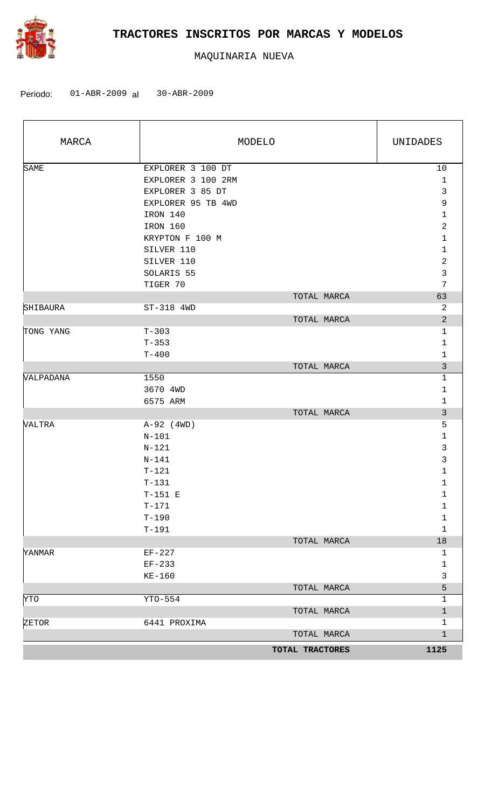

| MARCA       |                          | MODELO          | UNIDADES                       |
|-------------|--------------------------|-----------------|--------------------------------|
| <b>SAME</b> | EXPLORER 3 100 DT        |                 | 10                             |
|             | EXPLORER 3 100 2RM       |                 | $\mathbf{1}$                   |
|             | EXPLORER 3 85 DT         |                 | $\mathfrak{Z}$                 |
|             | EXPLORER 95 TB 4WD       |                 | 9                              |
|             | IRON 140                 |                 | $\mathbf 1$                    |
|             | IRON 160                 |                 | $\overline{a}$                 |
|             | KRYPTON F 100 M          |                 | $\mathbf 1$                    |
|             | SILVER 110<br>SILVER 110 |                 | $\mathbf{1}$<br>$\overline{c}$ |
|             | SOLARIS 55               |                 | 3                              |
|             | TIGER 70                 |                 | $\sqrt{ }$                     |
|             |                          | TOTAL MARCA     | 63                             |
| SHIBAURA    | ST-318 4WD               |                 | 2                              |
|             |                          | TOTAL MARCA     | $\overline{a}$                 |
| TONG YANG   | $T-303$                  |                 | $\mathbf{1}$                   |
|             | $T - 353$                |                 | $\mathbf{1}$                   |
|             | $T - 400$                |                 | $\mathbf{1}$                   |
|             |                          | TOTAL MARCA     | $\mathfrak{Z}$                 |
| VALPADANA   | 1550                     |                 | $\mathbf{1}$                   |
|             | 3670 4WD                 |                 | $\mathbf{1}$                   |
|             | 6575 ARM                 |                 | $\mathbf{1}$                   |
|             |                          | TOTAL MARCA     | $\mathfrak{Z}$                 |
| VALTRA      | $A-92$ (4WD)             |                 | $\overline{5}$                 |
|             | $N - 101$                |                 | $\mathbf 1$                    |
|             | $N-121$                  |                 | $\mathbf{3}$                   |
|             | $N - 141$                |                 | $\mathsf 3$                    |
|             | $T-121$                  |                 | $\mathbf 1$                    |
|             | $T-131$                  |                 | $\mathbf{1}$                   |
|             | $T-151$ E                |                 | 1                              |
|             | $T - 171$                |                 | 1                              |
|             | $T - 190$                |                 | $\mathbf 1$                    |
|             | $T-191$                  |                 | $\mathbf 1$                    |
|             |                          | TOTAL MARCA     | $18\,$                         |
| YANMAR      | $EF-227$                 |                 | $\mathbf{1}$                   |
|             | $EF-233$                 |                 | $\mathbf 1$<br>$\mathbf{3}$    |
|             | $KE-160$                 | TOTAL MARCA     | 5                              |
| YTO         | YTO-554                  |                 | $\mathbf{1}$                   |
|             |                          | TOTAL MARCA     | $\mathbf 1$                    |
| ZETOR       | 6441 PROXIMA             |                 | 1                              |
|             |                          | TOTAL MARCA     | $\mathbf 1$                    |
|             |                          |                 |                                |
|             |                          | TOTAL TRACTORES | 1125                           |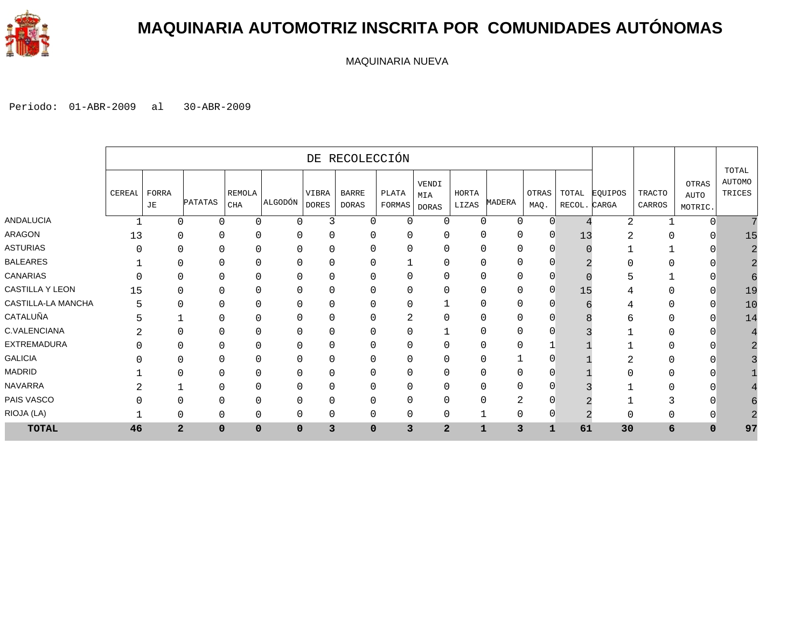

### **MAQUINARIA AUTOMOTRIZ INSCRITA POR COMUNIDADES AUTÓNOMAS**

MAQUINARIA NUEVA

|                    |        |             |                               |                             |             |                       | DE RECOLECCIÓN               |                 |                       |                |        |               |                       |         |                         |                                 |                                  |
|--------------------|--------|-------------|-------------------------------|-----------------------------|-------------|-----------------------|------------------------------|-----------------|-----------------------|----------------|--------|---------------|-----------------------|---------|-------------------------|---------------------------------|----------------------------------|
|                    | CEREAI | FORRA<br>JE | <b>PATATAS</b>                | <b>REMOLA</b><br><b>CHA</b> | ALGODÓN     | VIBRA<br><b>DORES</b> | <b>BARRE</b><br><b>DORAS</b> | PLATA<br>FORMAS | VENDI<br>MIA<br>DORAS | HORTA<br>LIZAS | MADERA | OTRAS<br>MAQ. | TOTAL<br>RECOL. CARGA | EQUIPOS | <b>TRACTO</b><br>CARROS | OTRAS<br><b>AUTO</b><br>MOTRIC. | TOTAL<br><b>AUTOMO</b><br>TRICES |
| ANDALUCIA          |        |             | $\Omega$<br>$\Omega$          | U                           | $\Omega$    | 3                     | $\Omega$                     | 0               | $\Omega$              | $\Omega$       | 0      | $\Omega$      |                       | 2       |                         | ∩                               |                                  |
| <b>ARAGON</b>      | 13     |             | 0<br>$\Omega$                 |                             | $\Omega$    | $\mathbf{0}$          | 0                            | $\mathbf 0$     | 0                     | 0              | 0      | $\mathbf 0$   | 13                    | 2       |                         |                                 | 15                               |
| ASTURIAS           |        |             | 0<br>0                        |                             | $\Omega$    | 0                     | 0                            | 0               | C                     | 0              | 0      | 0             |                       |         |                         |                                 |                                  |
| <b>BALEARES</b>    |        |             | 0                             |                             |             | $\mathbf{0}$          |                              |                 |                       |                | 0      |               |                       |         |                         |                                 |                                  |
| <b>CANARIAS</b>    |        |             | 0                             |                             | $\Omega$    | $\mathbf{0}$          | 0                            | 0               | C                     | ∩              | 0      | C             |                       |         |                         |                                 |                                  |
| CASTILLA Y LEON    | 15     |             | $\Omega$<br>$\Omega$          |                             | $\Omega$    | 0                     | 0                            | 0               | $\mathbf 0$           | 0              | 0      | $\mathbf 0$   | 15                    | 4       |                         |                                 | 19                               |
| CASTILLA-LA MANCHA | 5      |             | $\Omega$<br>$\Omega$          |                             | $\Omega$    | $\mathbf{0}$          | 0                            | 0               |                       | 0              | 0      | 0             |                       | 4       |                         | ∩                               | 10                               |
| CATALUÑA           | 5      |             |                               |                             |             | 0                     |                              | 2               | 0                     | 0              | 0      |               |                       | ь       |                         |                                 | 14                               |
| C.VALENCIANA       |        |             | 0                             |                             |             | $\mathbf{0}$          | 0                            | 0               |                       |                | 0      |               |                       |         |                         |                                 |                                  |
| EXTREMADURA        |        |             | $\Omega$<br>0                 |                             | $\Omega$    | $\Omega$              | $\Omega$                     | 0               | 0                     | 0              | 0      |               |                       |         |                         |                                 |                                  |
| <b>GALICIA</b>     |        |             | 0<br>0                        |                             | $\Omega$    | $\mathbf{0}$          | 0                            | 0               | 0                     | 0              |        |               |                       | ⌒       |                         |                                 |                                  |
| MADRID             |        |             | 0                             |                             | 0           | $\mathbf{0}$          | 0                            | 0               | 0                     | 0              | 0      |               |                       |         |                         |                                 |                                  |
| <b>NAVARRA</b>     |        |             |                               |                             | $\Omega$    | $\mathbf{0}$          | 0                            | 0               |                       |                | 0      |               |                       |         |                         |                                 |                                  |
| PAIS VASCO         |        |             | $\Omega$<br>0                 |                             | $\Omega$    | $\mathbf 0$           | 0                            | 0               | 0                     | 0              | 2      | $\sqrt{ }$    |                       |         | ∍                       |                                 |                                  |
| RIOJA (LA)         |        |             | $\Omega$<br>$\Omega$          | 0                           | $\Omega$    | $\mathbf{0}$          | 0                            | $\mathbf{0}$    | $\mathbf 0$           |                | 0      | $\Omega$      | $\Omega$              | 0       |                         |                                 |                                  |
| <b>TOTAL</b>       | 46     |             | $\overline{a}$<br>$\mathbf 0$ | 0                           | $\mathbf 0$ | 3                     | $\mathbf 0$                  | 3               | $\overline{a}$        | $\mathbf{1}$   | 3      | $\mathbf 1$   | 61                    | 30      | 6                       | $\mathbf 0$                     | 97                               |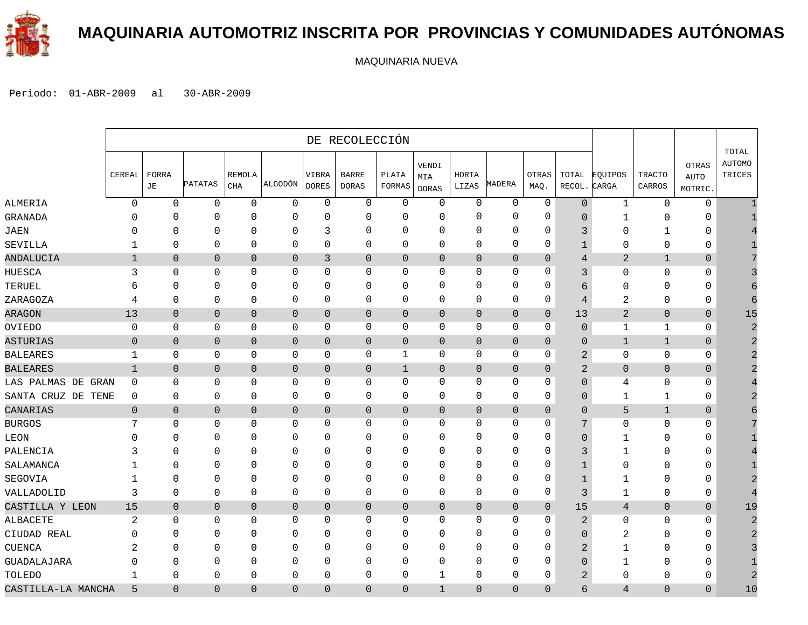

### **MAQUINARIA AUTOMOTRIZ INSCRITA POR PROVINCIAS Y COMUNIDADES AUTÓNOMAS**

MAQUINARIA NUEVA

|                       |                  |                |                |                     |                |                       | DE RECOLECCIÓN               |                 |                              |                |                |                |                 |                  |                         |                                 |                                  |
|-----------------------|------------------|----------------|----------------|---------------------|----------------|-----------------------|------------------------------|-----------------|------------------------------|----------------|----------------|----------------|-----------------|------------------|-------------------------|---------------------------------|----------------------------------|
|                       | CEREAL           | FORRA<br>JE    | PATATAS        | REMOLA<br>$\rm CHA$ | ALGODÓN        | VIBRA<br><b>DORES</b> | <b>BARRE</b><br><b>DORAS</b> | PLATA<br>FORMAS | VENDI<br>MIA<br><b>DORAS</b> | HORTA<br>LIZAS | MADERA         | OTRAS<br>MAQ.  | TOTAL<br>RECOL. | EQUIPOS<br>CARGA | <b>TRACTO</b><br>CARROS | OTRAS<br><b>AUTO</b><br>MOTRIC. | TOTAL<br><b>AUTOMO</b><br>TRICES |
| ALMERIA               | $\mathbf 0$      | $\mathbf 0$    | $\mathbf 0$    | $\mathsf 0$         | $\mathbf 0$    | $\mathbf 0$           | $\mathsf 0$                  | $\mathbf 0$     | 0                            | $\mathbf 0$    | $\mathbf 0$    | $\mathbf 0$    | $\overline{0}$  | $\mathbf{1}$     | $\mathbf 0$             | $\mathbf 0$                     |                                  |
| GRANADA               | $\Omega$         | 0              | $\mathbf{0}$   | $\Omega$            | $\overline{0}$ | $\Omega$              | 0                            | $\Omega$        | 0                            | $\Omega$       | $\mathbf 0$    | 0              | $\Omega$        | 1                | $\Omega$                | $\Omega$                        |                                  |
| JAEN                  | C                | O              | $\Omega$       | $\Omega$            | $\mathbf 0$    | 3                     | 0                            | $\Omega$        | $\Omega$                     | $\mathbf{0}$   | $\Omega$       | $\Omega$       | 3               | 0                | 1                       | 0                               |                                  |
| SEVILLA               |                  | $\mathbf 0$    | 0              | $\mathbf 0$         | 0              | $\mathbf{0}$          | 0                            | 0               | $\Omega$                     | $\mathbf{0}$   | $\mathbf 0$    | 0              | 1               | 0                | $\mathbf 0$             | 0                               |                                  |
| ANDALUCIA             | $\mathbf 1$      | $\mathbf{0}$   | $\overline{0}$ | $\mathbf{0}$        | $\mathbf 0$    | 3                     | 0                            | $\overline{0}$  | $\overline{0}$               | $\mathbf{0}$   | $\mathbf{0}$   | $\overline{0}$ | 4               | $\overline{2}$   | $\mathbf{1}$            | $\mathbf 0$                     |                                  |
| HUESCA                | 3                | 0              | 0              | $\mathbf 0$         | $\mathbf 0$    | $\mathbf 0$           | 0                            | $\mathbf 0$     | 0                            | $\mathbf{0}$   | $\mathbf 0$    | 0              | 3               | 0                | $\mathbf 0$             | 0                               |                                  |
| TERUEL                | 6                | 0              | 0              | 0                   | $\mathbf 0$    | $\mathbf 0$           | 0                            | 0               | 0                            | $\mathbf{0}$   | $\mathbf 0$    | 0              | 6               | 0                | $\mathbf 0$             | $\mathbf{0}$                    |                                  |
| ZARAGOZA              | 4                | $\mathbf 0$    | 0              | $\mathbf 0$         | $\mathbf 0$    | 0                     | 0                            | $\mathbf 0$     | 0                            | $\mathbf 0$    | $\mathbf 0$    | 0              | $\overline{4}$  | 2                | $\mathbf{0}$            | 0                               | 6                                |
| ARAGON                | 13               | $\mathbf 0$    | $\overline{0}$ | $\overline{0}$      | $\mathbf 0$    | $\mathbf{0}$          | 0                            | $\mathbf 0$     | $\overline{0}$               | $\mathbf 0$    | $\overline{0}$ | $\mathbf{0}$   | 13              | $\overline{2}$   | $\overline{0}$          | $\overline{0}$                  | 15                               |
| OVIEDO                | $\mathbf 0$      | $\Omega$       | $\Omega$       | $\mathbf 0$         | $\mathbf 0$    | $\Omega$              | 0                            | $\Omega$        | 0                            | 0              | $\mathbf 0$    | 0              | $\Omega$        | $\mathbf{1}$     | 1                       | $\mathbf 0$                     |                                  |
| ASTURIAS              | $\mathbf 0$      | $\mathbf{0}$   | $\overline{0}$ | $\mathbf{0}$        | $\overline{0}$ | $\mathbf{0}$          | 0                            | $\overline{0}$  | $\overline{0}$               | 0              | $\mathbf{0}$   | $\overline{0}$ | $\Omega$        | $\mathbf{1}$     | $\mathbf{1}$            | $\overline{0}$                  |                                  |
| <b>BALEARES</b>       | 1                | $\mathbf 0$    | 0              | 0                   | 0              | 0                     | 0                            | 1               | 0                            | 0              | 0              | 0              | 2               | 0                | $\mathbf 0$             | $\mathbf{0}$                    |                                  |
| <b>BALEARES</b>       | $\mathbf{1}$     | $\overline{0}$ | $\mathbf 0$    | $\mathbf 0$         | $\mathbf 0$    | $\mathbf 0$           | 0                            | 1               | $\overline{0}$               | $\mathbf 0$    | $\mathbf 0$    | $\mathbf{0}$   | 2               | $\overline{0}$   | $\overline{0}$          | $\mathbf 0$                     |                                  |
| LAS PALMAS DE<br>GRAN | $\mathbf 0$      | 0              | 0              | 0                   | $\mathbf 0$    | $\mathbf{0}$          | 0                            | 0               | 0                            | 0              | $\mathbf 0$    | 0              | $\Omega$        | 4                | $\mathbf 0$             | 0                               |                                  |
| SANTA CRUZ DE TENE    | $\mathbf 0$      | 0              | $\mathbf 0$    | $\mathbf 0$         | $\mathbf 0$    | $\mathsf 0$           | $\mathsf 0$                  | $\mathbf 0$     | 0                            | $\mathbf 0$    | $\mathbf 0$    | 0              | 0               | $\mathbf{1}$     | $\mathbf{1}$            | 0                               |                                  |
| CANARIAS              | $\mathbf 0$      | $\mathbf 0$    | $\overline{0}$ | $\overline{0}$      | $\mathbf{0}$   | $\mathsf{O}\xspace$   | 0                            | $\theta$        | $\mathbf 0$                  | $\overline{0}$ | $\overline{0}$ | $\mathbf 0$    | $\Omega$        | 5                | $1\,$                   | $\mathbf 0$                     |                                  |
| <b>BURGOS</b>         | 7                | 0              | 0              | $\mathbf 0$         | $\mathbf 0$    | $\mathbf 0$           | 0                            | 0               | 0                            | 0              | $\mathbf 0$    | 0              | 7               | 0                | $\mathbf 0$             | $\mathbf{0}$                    |                                  |
| LEON                  | $\left( \right)$ | $\Omega$       | $\Omega$       | $\Omega$            | $\mathbf 0$    | $\Omega$              | 0                            | $\Omega$        | 0                            | $\Omega$       | $\Omega$       | $\Omega$       | $\Omega$        | 1                | $\Omega$                | $\Omega$                        |                                  |
| PALENCIA              |                  | O              | $\Omega$       | $\Omega$            | $\mathbf 0$    | $\Omega$              | 0                            | $\Omega$        | $\Omega$                     | $\mathbf{0}$   | $\mathbf 0$    | 0              | 3               | 1                | $\Omega$                | $\mathbf{0}$                    |                                  |
| SALAMANCA             | -1               | ∩              | $\Omega$       | $\Omega$            | $\mathbf 0$    | $\Omega$              | 0                            | $\Omega$        | $\Omega$                     | $\Omega$       | $\mathbf 0$    | 0              | $\mathbf{1}$    | 0                | $\Omega$                | $\mathbf{0}$                    |                                  |
| SEGOVIA               | -1               | O              | $\Omega$       | $\mathbf 0$         | 0              | $\Omega$              | 0                            | $\Omega$        | $\Omega$                     | $\mathbf{0}$   | $\mathbf 0$    | 0              | $\mathbf{1}$    | $\mathbf{1}$     | $\mathbf 0$             | 0                               |                                  |
| VALLADOLID            | 3                | $\mathbf 0$    | 0              | $\mathbf 0$         | 0              | $\mathbf{0}$          | 0                            | 0               | 0                            | $\mathbf{0}$   | $\mathbf 0$    | 0              | 3               | $\mathbf{1}$     | $\mathbf 0$             | 0                               |                                  |
| CASTILLA Y LEON       | 15               | $\overline{0}$ | $\mathbf{0}$   | $\mathbf{0}$        | $\mathbf 0$    | $\mathbf{0}$          | 0                            | $\mathbf 0$     | $\mathbf 0$                  | $\mathbf 0$    | $\overline{0}$ | $\overline{0}$ | 15              | $\overline{4}$   | $\overline{0}$          | $\mathbf 0$                     | 19                               |
| ALBACETE              | 2                | $\Omega$       | 0              | $\mathbf 0$         | 0              | 0                     | 0                            | 0               | 0                            | $\mathbf{0}$   | $\mathbf 0$    | 0              | $\overline{a}$  | 0                | $\mathbf 0$             | $\mathbf{0}$                    |                                  |
| CIUDAD REAL           | U                | $\Omega$       | 0              | $\mathbf 0$         | $\mathbf 0$    | $\mathbf 0$           | 0                            | 0               | 0                            | $\mathbf{0}$   | $\mathbf 0$    | 0              | $\Omega$        | 2                | $\mathbf 0$             | $\mathbf 0$                     |                                  |
| CUENCA                |                  | ∩              | $\Omega$       | $\Omega$            | $\mathbf 0$    | $\Omega$              | 0                            | $\Omega$        | $\Omega$                     | $\Omega$       | $\Omega$       | $\Omega$       | $\overline{2}$  | $\mathbf{1}$     | $\mathbf 0$             | 0                               |                                  |
| GUADALAJARA           | U                | 0              | $\Omega$       | 0                   | 0              | $\Omega$              | 0                            | $\Omega$        | $\Omega$                     | $\Omega$       | $\mathbf 0$    | $\Omega$       | $\Omega$        | $\mathbf{1}$     | $\Omega$                | $\mathbf{0}$                    |                                  |
| TOLEDO                | $\mathbf{1}$     | $\Omega$       | 0              | $\mathbf 0$         | $\mathbf 0$    | 0                     | 0                            | $\Omega$        | $\mathbf{1}$                 | $\mathbf{0}$   | $\mathbf 0$    | 0              | $\overline{c}$  | $\Omega$         | $\Omega$                | 0                               |                                  |
| CASTILLA-LA MANCHA    | 5                | $\Omega$       | 0              | $\Omega$            | $\overline{0}$ | $\Omega$              | 0                            | $\Omega$        | $\mathbf{1}$                 | $\Omega$       | $\Omega$       | $\Omega$       | б               | 4                | $\Omega$                | $\Omega$                        | 10                               |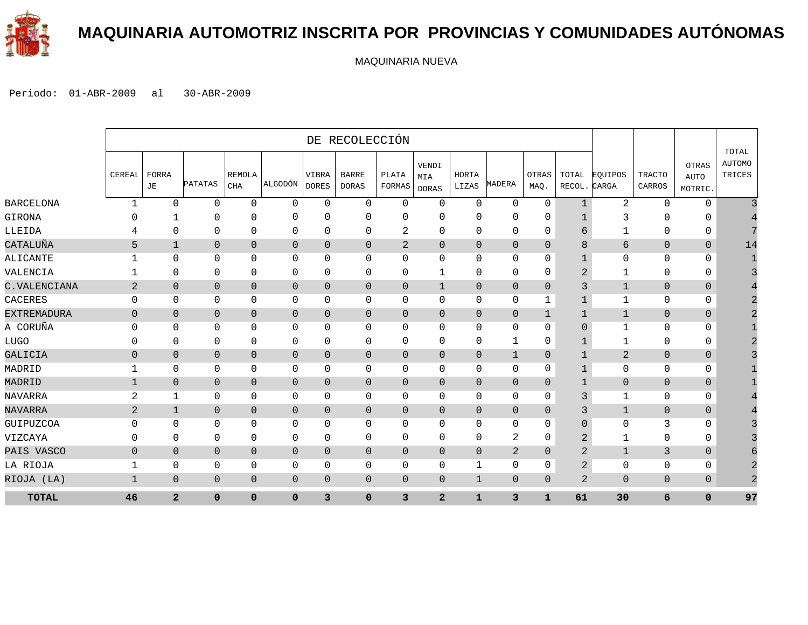

### **MAQUINARIA AUTOMOTRIZ INSCRITA POR PROVINCIAS Y COMUNIDADES AUTÓNOMAS**

MAQUINARIA NUEVA

|                    |                |                |                |                             |                |                       | DE RECOLECCIÓN               |                 |                              |                |                |                |                 |                  |                         |                                        |                                  |
|--------------------|----------------|----------------|----------------|-----------------------------|----------------|-----------------------|------------------------------|-----------------|------------------------------|----------------|----------------|----------------|-----------------|------------------|-------------------------|----------------------------------------|----------------------------------|
|                    | CEREAL         | FORRA<br>JE    | <b>PATATAS</b> | <b>REMOLA</b><br><b>CHA</b> | ALGODÓN        | VIBRA<br><b>DORES</b> | <b>BARRE</b><br><b>DORAS</b> | PLATA<br>FORMAS | VENDI<br>MIA<br><b>DORAS</b> | HORTA<br>LIZAS | MADERA         | OTRAS<br>MAQ.  | TOTAL<br>RECOL. | EOUIPOS<br>CARGA | <b>TRACTO</b><br>CARROS | <b>OTRAS</b><br><b>AUTO</b><br>MOTRIC. | TOTAL<br><b>AUTOMO</b><br>TRICES |
| <b>BARCELONA</b>   | $\mathbf{1}$   | $\Omega$       | $\mathbf 0$    | $\mathbf{0}$                | $\mathbf 0$    | $\mathbf 0$           | $\mathsf{O}$                 | $\mathbf 0$     | $\mathbf 0$                  | $\mathbf 0$    | $\mathbf 0$    | 0              | $\mathbf{1}$    | $\overline{a}$   | $\mathbf 0$             | $\mathbf 0$                            |                                  |
| GIRONA             |                |                | 0              | 0                           | $\mathbf 0$    | $\Omega$              | $\mathbf{0}$                 | $\Omega$        | $\Omega$                     | O              | 0              | 0              | 1               | 3                | 0                       | $\Omega$                               |                                  |
| LLEIDA             |                | 0              | $\mathbf 0$    | $\mathbf 0$                 | $\mathbf 0$    | 0                     | 0                            | 2               | $\mathbf 0$                  | $\mathbf 0$    | $\mathbf{0}$   | 0              | 6               |                  | $\mathbf{0}$            | $\mathbf 0$                            |                                  |
| CATALUÑA           | 5              | $\mathbf{1}$   | $\overline{0}$ | $\overline{0}$              | $\mathbf{0}$   | $\mathbf{0}$          | $\mathbf{0}$                 | $\overline{2}$  | $\mathbf 0$                  | $\mathbf 0$    | $\mathbf 0$    | $\mathbf{0}$   | 8               | $6\overline{6}$  | $\overline{0}$          | $\mathbf 0$                            | 14                               |
| ALICANTE           |                | $\mathbf{0}$   | 0              | 0                           | 0              | $\Omega$              | 0                            | $\Omega$        | $\mathbf 0$                  | $\Omega$       | 0              | 0              | 1               | $\mathbf 0$      | $\mathbf 0$             | $\mathbf 0$                            |                                  |
| VALENCIA           |                | $\Omega$       | 0              | 0                           | 0              | 0                     | 0                            | $\Omega$        | 1                            | $\Omega$       | 0              | 0              | 2               | 1                | 0                       | 0                                      |                                  |
| C. VALENCIANA      | 2              | $\Omega$       | $\overline{0}$ | $\mathbf{0}$                | $\mathbf{0}$   | $\mathbf{0}$          | $\mathbf{0}$                 | $\Omega$        | 1                            | $\overline{0}$ | $\overline{0}$ | $\Omega$       | 3               | 1                | $\mathbf{0}$            | $\mathbf{0}$                           |                                  |
| CACERES            | $\Omega$       | $\Omega$       | 0              | 0                           | 0              | $\Omega$              | 0                            | $\Omega$        | $\mathbf 0$                  | $\Omega$       | 0              | 1              | $\mathbf 1$     | 1                | $\mathbf 0$             | $\mathbf 0$                            |                                  |
| <b>EXTREMADURA</b> | $\mathbf{0}$   | $\overline{0}$ | $\overline{0}$ | $\overline{0}$              | $\mathbf 0$    | $\mathbf{0}$          | 0                            | $\Omega$        | $\overline{0}$               | $\mathbf{0}$   | $\mathbf 0$    | 1              | 1               | $\mathbf{1}$     | $\overline{0}$          | $\mathbf{0}$                           |                                  |
| A CORUÑA           | $\Omega$       | $\Omega$       | $\Omega$       | $\mathbf 0$                 | $\mathbf 0$    | $\Omega$              | $\Omega$                     | $\Omega$        | $\mathbf 0$                  | $\Omega$       | $\mathbf 0$    | 0              | $\Omega$        | $\mathbf 1$      | $\mathbf{0}$            | $\mathbf 0$                            |                                  |
| <b>LUGO</b>        | $\Omega$       | $\mathbf{0}$   | 0              | 0                           | 0              | 0                     | 0                            | $\mathbf{0}$    | $\mathbf 0$                  | $\mathbf 0$    | 1              | 0              | 1               | 1                | 0                       | 0                                      |                                  |
| GALICIA            | $\mathbf 0$    | $\mathbf{0}$   | $\mathbf 0$    | $\mathbf 0$                 | $\mathbf 0$    | $\mathbf 0$           | $\overline{0}$               | $\overline{0}$  | $\mathbf 0$                  | $\mathbf{0}$   | $\mathbf{1}$   | $\mathbf{0}$   | 1               | $\overline{2}$   | $\mathbf{0}$            | $\mathbf{0}$                           |                                  |
| MADRID             | 1              | 0              | 0              | 0                           | $\mathbf 0$    | 0                     | 0                            | $\Omega$        | $\mathbf{0}$                 | 0              | 0              | 0              | $\mathbf 1$     | $\mathbf 0$      | $\mathbf 0$             | 0                                      |                                  |
| MADRID             | $\mathbf{1}$   | $\overline{0}$ | $\overline{0}$ | $\mathbf{0}$                | $\overline{0}$ | $\overline{0}$        | $\overline{0}$               | $\Omega$        | $\overline{0}$               | $\overline{0}$ | $\mathbf{0}$   | $\mathbf{0}$   | 1               | $\overline{0}$   | $\Omega$                | $\Omega$                               |                                  |
| NAVARRA            | $\overline{2}$ | 1              | 0              | 0                           | $\mathbf 0$    | 0                     | 0                            | $\Omega$        | $\Omega$                     | $\mathbf 0$    | 0              | 0              | 3               | 1                | 0                       | $\mathbf 0$                            |                                  |
| NAVARRA            | 2              | $\mathbf{1}$   | $\overline{0}$ | $\overline{0}$              | $\mathbf{0}$   | $\mathbf{0}$          | $\mathbf 0$                  | $\Omega$        | $\overline{0}$               | $\overline{0}$ | $\overline{0}$ | $\Omega$       | 3               | $\mathbf{1}$     | $\overline{0}$          | $\mathbf{0}$                           |                                  |
| GUIPUZCOA          | $\Omega$       | $\mathbf 0$    | $\Omega$       | $\mathbf 0$                 | $\mathbf 0$    | $\mathbf 0$           | 0                            | $\mathbf 0$     | 0                            | 0              | $\mathbf 0$    | 0              | $\Omega$        | $\mathbf 0$      | 3                       | $\mathbf 0$                            |                                  |
| VIZCAYA            | $\Omega$       | 0              | 0              | 0                           | $\mathbf 0$    | 0                     | 0                            | 0               | $\mathbf 0$                  | $\mathbf 0$    | 2              | 0              | 2               |                  | 0                       | $\mathbf 0$                            |                                  |
| PAIS VASCO         | $\overline{0}$ | $\overline{0}$ | $\overline{0}$ | $\mathbf{0}$                | $\mathbf{0}$   | $\overline{0}$        | $\mathbf 0$                  | $\mathbf{0}$    | $\overline{0}$               | $\overline{0}$ | $\overline{a}$ | $\mathbf{0}$   | 2               | $\mathbf 1$      | 3                       | $\mathbf{0}$                           |                                  |
| LA RIOJA           | -1             | 0              | 0              | 0                           | 0              | 0                     | 0                            | $\Omega$        | $\mathbf 0$                  |                | 0              | 0              | 2               | $\mathbf 0$      | $\mathbf{0}$            | $\mathbf 0$                            |                                  |
| RIOJA (LA)         | $\mathbf{1}$   | $\overline{0}$ | $\mathbf{0}$   | $\mathsf 0$                 | $\mathbf 0$    | $\mathbf{0}$          | $\mathbf 0$                  | $\overline{0}$  | $\overline{0}$               | $\mathbf{1}$   | $\mathsf 0$    | $\overline{0}$ | $\overline{a}$  | $\overline{0}$   | $\overline{0}$          | $\mathbf{0}$                           | $\overline{c}$                   |
| <b>TOTAL</b>       | 46             | $\overline{a}$ | $\mathbf 0$    | $\mathbf 0$                 | $\mathbf 0$    | 3                     | $\mathbf 0$                  | 3               | $\overline{a}$               | 1              | 3              | $\mathbf{1}$   | 61              | 30               | 6                       | $\mathbf 0$                            | 97                               |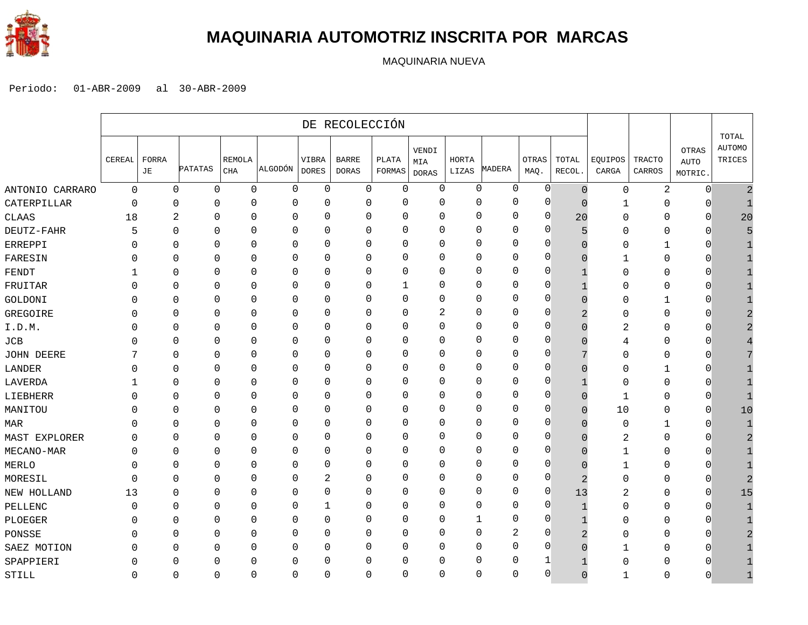

### **MAQUINARIA AUTOMOTRIZ INSCRITA POR MARCAS**

MAQUINARIA NUEVA

|                   |             |             |             |                      |             |                       | DE RECOLECCIÓN        |                 |                              |                       |             |               |                 |                  |                         |                                 |                           |
|-------------------|-------------|-------------|-------------|----------------------|-------------|-----------------------|-----------------------|-----------------|------------------------------|-----------------------|-------------|---------------|-----------------|------------------|-------------------------|---------------------------------|---------------------------|
|                   | CEREAL      | FORRA<br>JЕ | PATATAS     | <b>REMOLA</b><br>CHA | ALGODÓN     | VIBRA<br><b>DORES</b> | <b>BARRE</b><br>DORAS | PLATA<br>FORMAS | VENDI<br>MIA<br><b>DORAS</b> | <b>HORTA</b><br>LIZAS | MADERA      | OTRAS<br>MAQ. | TOTAL<br>RECOL. | EQUIPOS<br>CARGA | <b>TRACTO</b><br>CARROS | OTRAS<br><b>AUTO</b><br>MOTRIC. | TOTAL<br>AUTOMO<br>TRICES |
| ANTONIO CARRARO   | $\mathbf 0$ | 0           | $\mathbf 0$ | $\mathbf 0$          | $\mathbf 0$ | $\mathbf 0$           | 0                     | $\mathbf 0$     | $\mathbf 0$                  | 0                     | $\mathbf 0$ | 0             | $\Omega$        | $\mathbf 0$      | $\overline{\mathbf{c}}$ | $\overline{0}$                  |                           |
| CATERPILLAR       | $\Omega$    | 0           | 0           | $\Omega$             | $\mathbf 0$ | 0                     | $\mathbf 0$           | $\Omega$        | $\mathbf 0$                  | $\Omega$              | 0           | 0             | $\cap$          | 1                | 0                       | O                               |                           |
| CLAAS             | 18          | 2           | 0           | 0                    | $\Omega$    | 0                     | $\mathbf{0}$          | 0               | $\mathbf{0}$                 | 0                     | 0           | 0             | 20              | $\Omega$         | 0                       | 0                               | 20                        |
| DEUTZ-FAHR        | 5           | 0           | 0           | 0                    | $\mathbf 0$ | 0                     | 0                     | 0               | $\mathbf{0}$                 | 0                     | 0           | 0             |                 | $\Omega$         | 0                       | $\Omega$                        |                           |
| ERREPPI           |             | 0           | $\Omega$    | 0                    | $\mathbf 0$ | $\mathbf 0$           | 0                     | 0               | $\mathbf{0}$                 | $\Omega$              | 0           | 0             |                 | 0                | $\mathbf{1}$            | $\Omega$                        |                           |
| FARESIN           |             | 0           | $\Omega$    | $\Omega$             | $\Omega$    | 0                     | $\Omega$              | 0               | $\mathbf{0}$                 | 0                     | $\Omega$    | $\Omega$      | n               |                  | 0                       | O                               |                           |
| FENDT             |             | 0           | $\Omega$    | 0                    | $\mathbf 0$ | 0                     | $\mathbf{0}$          | 0               | 0                            | $\Omega$              | 0           | 0             |                 | 0                | 0                       | O                               |                           |
| FRUITAR           |             | 0           | 0           | 0                    | $\Omega$    | $\mathbf 0$           | 0                     | 1               | $\mathbf 0$                  | $\Omega$              | 0           | $\Omega$      |                 | 0                | 0                       | 0                               |                           |
| GOLDONI           |             | 0           | $\mathbf 0$ | $\Omega$             | $\mathbf 0$ | $\mathbf 0$           | $\mathbf 0$           | 0               | $\mathbf 0$                  | $\mathbf{0}$          | 0           | 0             |                 | $\Omega$         | 1                       | $\mathbf 0$                     |                           |
| GREGOIRE          |             | 0           | 0           | $\Omega$             | $\Omega$    | 0                     | 0                     | 0               | 2                            | $\Omega$              | $\Omega$    | $\Omega$      |                 | O                | 0                       | $\Omega$                        |                           |
| I.D.M.            |             | 0           | 0           | 0                    | 0           | 0                     | 0                     | $\Omega$        | $\mathbf{0}$                 | 0                     | 0           | $\Omega$      |                 | 2                | 0                       | O                               |                           |
| JCB               |             | 0           | 0           | $\Omega$             | 0           | 0                     | 0                     | 0               | $\mathbf{0}$                 | $\Omega$              | 0           | $\mathbf 0$   |                 | 4                | 0                       | O                               |                           |
| <b>JOHN DEERE</b> |             | 0           | 0           | $\Omega$             | 0           | $\mathbf 0$           | 0                     | 0               | $\mathbf{0}$                 | $\Omega$              | 0           | $\Omega$      |                 | 0                | 0                       | 0                               |                           |
| LANDER            |             | 0           | $\Omega$    | $\Omega$             | $\mathbf 0$ | 0                     | $\mathbf{0}$          | $\Omega$        | $\Omega$                     | $\mathbf{0}$          | 0           | 0             |                 | 0                | 1                       | O                               |                           |
| LAVERDA           |             | 0           | $\Omega$    | 0                    | $\Omega$    | 0                     | 0                     | $\Omega$        | $\mathbf{0}$                 | 0                     | 0           | 0             |                 | 0                | 0                       | 0                               |                           |
| LIEBHERR          |             | 0           | $\Omega$    | $\Omega$             | 0           | 0                     | 0                     | $\Omega$        | $\mathbf{0}$                 | 0                     | 0           | $\Omega$      | $\Omega$        | 1                | 0                       | $\mathbf 0$                     |                           |
| MANITOU           |             | 0           | $\Omega$    | 0                    | $\mathbf 0$ | 0                     | $\mathbf{0}$          | 0               | $\mathbf{0}$                 | $\Omega$              | $\mathbf 0$ | $\Omega$      | $\Omega$        | 10               | 0                       | $\Omega$                        | 10                        |
| MAR               | O           | 0           | $\Omega$    | $\Omega$             | $\Omega$    | 0                     | $\mathbf{0}$          | $\Omega$        | $\mathbf{0}$                 | $\Omega$              | 0           | $\Omega$      | $\Omega$        | 0                | 1                       | $\Omega$                        |                           |
| MAST EXPLORER     |             | 0           | 0           | $\Omega$             | 0           | 0                     | 0                     | 0               | $\mathbf{0}$                 | $\mathbf{0}$          | 0           | 0             |                 | 2                | 0                       | $\Omega$                        |                           |
| MECANO-MAR        |             | 0           | 0           | $\Omega$             | $\mathbf 0$ | $\mathbf 0$           | $\mathbf 0$           | 0               | $\mathbf 0$                  | $\Omega$              | 0           | 0             |                 |                  | 0                       | 0                               |                           |
| MERLO             | O           | 0           | 0           | $\Omega$             | $\mathbf 0$ | 0                     | $\mathbf{0}$          | $\Omega$        | $\Omega$                     | 0                     | $\Omega$    | $\Omega$      |                 | 1                | 0                       | O                               |                           |
| MORESIL           | n           | 0           | 0           | $\Omega$             | 0           | 2                     | 0                     | $\mathbf 0$     | 0                            | 0                     | 0           | 0             |                 | 0                | 0                       | 0                               |                           |
| NEW HOLLAND       | 13          | 0           | 0           | 0                    | 0           | 0                     | 0                     | $\mathbf 0$     | $\mathbf 0$                  | 0                     | 0           | $\Omega$      | 13              | 2                | 0                       | 0                               | 15                        |
| PELLENC           |             | 0           | 0           | $\Omega$             | 0           | $\mathbf 1$           | $\mathbf 0$           | $\mathbf 0$     | $\mathbf 0$                  | $\mathbf{0}$          | 0           | 0             |                 | 0                | 0                       | $\Omega$                        |                           |
| PLOEGER           |             | 0           | $\Omega$    | O                    | $\Omega$    | $\mathbf 0$           | $\Omega$              | $\Omega$        | $\Omega$                     | 1                     | $\Omega$    | $\Omega$      |                 | O                | 0                       | $\Omega$                        |                           |
| PONSSE            | $\left($    | 0           | 0           | 0                    | 0           | 0                     | 0                     | $\Omega$        | $\mathbf{0}$                 | 0                     | 2           | 0             |                 | $\Omega$         | 0                       | $\Omega$                        |                           |
| SAEZ MOTION       |             | 0           | 0           | 0                    | 0           | 0                     | 0                     | 0               | $\mathbf{0}$                 | $\mathbf{0}$          | 0           | $\Omega$      | $\Omega$        |                  | 0                       | O                               |                           |
| SPAPPIERI         |             | 0           | 0           | $\Omega$             | $\Omega$    | 0                     | 0                     | 0               | $\mathbf 0$                  | $\Omega$              | 0           |               |                 | $\Omega$         | 0                       |                                 |                           |
| STILL             | 0           | 0           | $\Omega$    | $\Omega$             | $\Omega$    | $\mathbf 0$           | $\mathbf 0$           | $\Omega$        | $\mathbf 0$                  | 0                     | $\Omega$    | $\Omega$      | $\Omega$        | 1                | $\Omega$                | $\Omega$                        |                           |